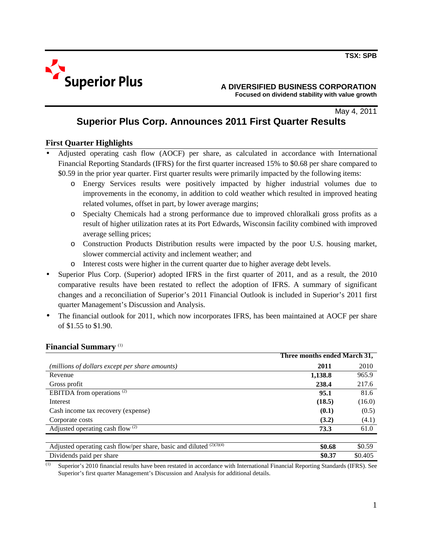

 **Focused on dividend stability with value growth** 

May 4, 2011

# **Superior Plus Corp. Announces 2011 First Quarter Results**

# **First Quarter Highlights**

- Adjusted operating cash flow (AOCF) per share, as calculated in accordance with International Financial Reporting Standards (IFRS) for the first quarter increased 15% to \$0.68 per share compared to \$0.59 in the prior year quarter. First quarter results were primarily impacted by the following items:
	- o Energy Services results were positively impacted by higher industrial volumes due to improvements in the economy, in addition to cold weather which resulted in improved heating related volumes, offset in part, by lower average margins;
	- o Specialty Chemicals had a strong performance due to improved chloralkali gross profits as a result of higher utilization rates at its Port Edwards, Wisconsin facility combined with improved average selling prices;
	- o Construction Products Distribution results were impacted by the poor U.S. housing market, slower commercial activity and inclement weather; and
	- o Interest costs were higher in the current quarter due to higher average debt levels.
- Superior Plus Corp. (Superior) adopted IFRS in the first quarter of 2011, and as a result, the 2010 comparative results have been restated to reflect the adoption of IFRS. A summary of significant changes and a reconciliation of Superior's 2011 Financial Outlook is included in Superior's 2011 first quarter Management's Discussion and Analysis.
- The financial outlook for 2011, which now incorporates IFRS, has been maintained at AOCF per share of \$1.55 to \$1.90.

|                                                                              | Three months ended March 31, |         |  |
|------------------------------------------------------------------------------|------------------------------|---------|--|
| (millions of dollars except per share amounts)                               | 2011                         | 2010    |  |
| Revenue                                                                      | 1,138.8                      | 965.9   |  |
| Gross profit                                                                 | 238.4                        | 217.6   |  |
| EBITDA from operations $(2)$                                                 | 95.1                         | 81.6    |  |
| Interest                                                                     | (18.5)                       | (16.0)  |  |
| Cash income tax recovery (expense)                                           | (0.1)                        | (0.5)   |  |
| Corporate costs                                                              | (3.2)                        | (4.1)   |  |
| Adjusted operating cash flow $(2)$                                           | 73.3                         | 61.0    |  |
|                                                                              |                              |         |  |
| Adjusted operating cash flow/per share, basic and diluted $\sqrt[(2)(3)(4)}$ | \$0.68                       | \$0.59  |  |
| Dividends paid per share                                                     | \$0.37                       | \$0.405 |  |

# **Financial Summary** (1)

(1) Superior's 2010 financial results have been restated in accordance with International Financial Reporting Standards (IFRS). See Superior's first quarter Management's Discussion and Analysis for additional details.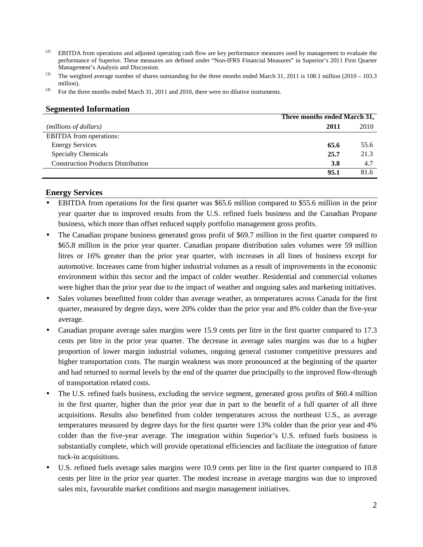- <sup>(2)</sup> EBITDA from operations and adjusted operating cash flow are key performance measures used by management to evaluate the performance of Superior. These measures are defined under "Non-IFRS Financial Measures" in Superior's 2011 First Quarter Management's Analysis and Discussion.
- (3) The weighted average number of shares outstanding for the three months ended March 31, 2011 is 108.1 million (2010 103.3) million).
- $^{(4)}$  For the three months ended March 31, 2011 and 2010, there were no dilutive instruments.

### **Segmented Information**

|                                           | Three months ended March 31, |      |
|-------------------------------------------|------------------------------|------|
| (millions of dollars)                     | 2011                         | 2010 |
| <b>EBITDA</b> from operations:            |                              |      |
| <b>Energy Services</b>                    | 65.6                         | 55.6 |
| <b>Specialty Chemicals</b>                | 25.7                         | 21.3 |
| <b>Construction Products Distribution</b> | 3.8                          | 4.7  |
|                                           | 95.1                         | 81.6 |

### **Energy Services**

- EBITDA from operations for the first quarter was \$65.6 million compared to \$55.6 million in the prior year quarter due to improved results from the U.S. refined fuels business and the Canadian Propane business, which more than offset reduced supply portfolio management gross profits.
- The Canadian propane business generated gross profit of \$69.7 million in the first quarter compared to \$65.8 million in the prior year quarter. Canadian propane distribution sales volumes were 59 million litres or 16% greater than the prior year quarter, with increases in all lines of business except for automotive. Increases came from higher industrial volumes as a result of improvements in the economic environment within this sector and the impact of colder weather. Residential and commercial volumes were higher than the prior year due to the impact of weather and ongoing sales and marketing initiatives.
- Sales volumes benefitted from colder than average weather, as temperatures across Canada for the first quarter, measured by degree days, were 20% colder than the prior year and 8% colder than the five-year average.
- Canadian propane average sales margins were 15.9 cents per litre in the first quarter compared to 17.3 cents per litre in the prior year quarter. The decrease in average sales margins was due to a higher proportion of lower margin industrial volumes, ongoing general customer competitive pressures and higher transportation costs. The margin weakness was more pronounced at the beginning of the quarter and had returned to normal levels by the end of the quarter due principally to the improved flow-through of transportation related costs.
- The U.S. refined fuels business, excluding the service segment, generated gross profits of \$60.4 million in the first quarter, higher than the prior year due in part to the benefit of a full quarter of all three acquisitions. Results also benefitted from colder temperatures across the northeast U.S., as average temperatures measured by degree days for the first quarter were 13% colder than the prior year and 4% colder than the five-year average. The integration within Superior's U.S. refined fuels business is substantially complete, which will provide operational efficiencies and facilitate the integration of future tuck-in acquisitions.
- U.S. refined fuels average sales margins were 10.9 cents per litre in the first quarter compared to 10.8 cents per litre in the prior year quarter. The modest increase in average margins was due to improved sales mix, favourable market conditions and margin management initiatives.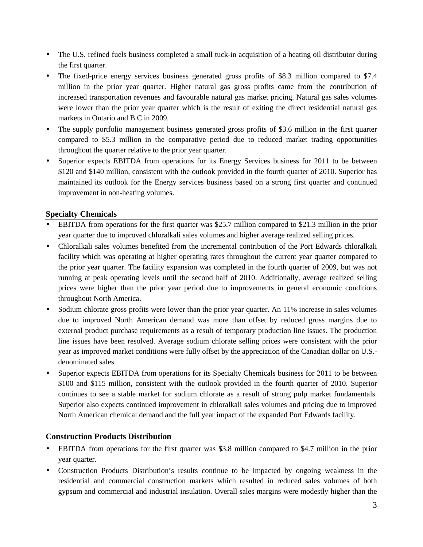- The U.S. refined fuels business completed a small tuck-in acquisition of a heating oil distributor during the first quarter.
- The fixed-price energy services business generated gross profits of \$8.3 million compared to \$7.4 million in the prior year quarter. Higher natural gas gross profits came from the contribution of increased transportation revenues and favourable natural gas market pricing. Natural gas sales volumes were lower than the prior year quarter which is the result of exiting the direct residential natural gas markets in Ontario and B.C in 2009.
- The supply portfolio management business generated gross profits of \$3.6 million in the first quarter compared to \$5.3 million in the comparative period due to reduced market trading opportunities throughout the quarter relative to the prior year quarter.
- Superior expects EBITDA from operations for its Energy Services business for 2011 to be between \$120 and \$140 million, consistent with the outlook provided in the fourth quarter of 2010. Superior has maintained its outlook for the Energy services business based on a strong first quarter and continued improvement in non-heating volumes.

# **Specialty Chemicals**

- EBITDA from operations for the first quarter was \$25.7 million compared to \$21.3 million in the prior year quarter due to improved chloralkali sales volumes and higher average realized selling prices.
- Chloralkali sales volumes benefited from the incremental contribution of the Port Edwards chloralkali facility which was operating at higher operating rates throughout the current year quarter compared to the prior year quarter. The facility expansion was completed in the fourth quarter of 2009, but was not running at peak operating levels until the second half of 2010. Additionally, average realized selling prices were higher than the prior year period due to improvements in general economic conditions throughout North America.
- Sodium chlorate gross profits were lower than the prior year quarter. An 11% increase in sales volumes due to improved North American demand was more than offset by reduced gross margins due to external product purchase requirements as a result of temporary production line issues. The production line issues have been resolved. Average sodium chlorate selling prices were consistent with the prior year as improved market conditions were fully offset by the appreciation of the Canadian dollar on U.S. denominated sales.
- Superior expects EBITDA from operations for its Specialty Chemicals business for 2011 to be between \$100 and \$115 million, consistent with the outlook provided in the fourth quarter of 2010. Superior continues to see a stable market for sodium chlorate as a result of strong pulp market fundamentals. Superior also expects continued improvement in chloralkali sales volumes and pricing due to improved North American chemical demand and the full year impact of the expanded Port Edwards facility.

# **Construction Products Distribution**

- EBITDA from operations for the first quarter was \$3.8 million compared to \$4.7 million in the prior year quarter.
- Construction Products Distribution's results continue to be impacted by ongoing weakness in the residential and commercial construction markets which resulted in reduced sales volumes of both gypsum and commercial and industrial insulation. Overall sales margins were modestly higher than the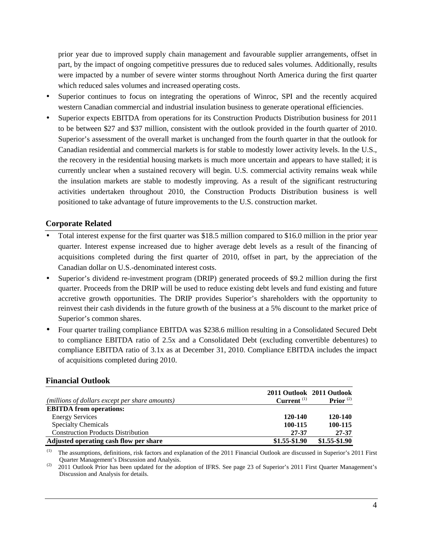prior year due to improved supply chain management and favourable supplier arrangements, offset in part, by the impact of ongoing competitive pressures due to reduced sales volumes. Additionally, results were impacted by a number of severe winter storms throughout North America during the first quarter which reduced sales volumes and increased operating costs.

- Superior continues to focus on integrating the operations of Winroc, SPI and the recently acquired western Canadian commercial and industrial insulation business to generate operational efficiencies.
- Superior expects EBITDA from operations for its Construction Products Distribution business for 2011 to be between \$27 and \$37 million, consistent with the outlook provided in the fourth quarter of 2010. Superior's assessment of the overall market is unchanged from the fourth quarter in that the outlook for Canadian residential and commercial markets is for stable to modestly lower activity levels. In the U.S., the recovery in the residential housing markets is much more uncertain and appears to have stalled; it is currently unclear when a sustained recovery will begin. U.S. commercial activity remains weak while the insulation markets are stable to modestly improving. As a result of the significant restructuring activities undertaken throughout 2010, the Construction Products Distribution business is well positioned to take advantage of future improvements to the U.S. construction market.

# **Corporate Related**

- Total interest expense for the first quarter was \$18.5 million compared to \$16.0 million in the prior year quarter. Interest expense increased due to higher average debt levels as a result of the financing of acquisitions completed during the first quarter of 2010, offset in part, by the appreciation of the Canadian dollar on U.S.-denominated interest costs.
- Superior's dividend re-investment program (DRIP) generated proceeds of \$9.2 million during the first quarter. Proceeds from the DRIP will be used to reduce existing debt levels and fund existing and future accretive growth opportunities. The DRIP provides Superior's shareholders with the opportunity to reinvest their cash dividends in the future growth of the business at a 5% discount to the market price of Superior's common shares.
- Four quarter trailing compliance EBITDA was \$238.6 million resulting in a Consolidated Secured Debt to compliance EBITDA ratio of 2.5x and a Consolidated Debt (excluding convertible debentures) to compliance EBITDA ratio of 3.1x as at December 31, 2010. Compliance EBITDA includes the impact of acquisitions completed during 2010.

# **Financial Outlook**

| (millions of dollars except per share amounts) | Current $(1)$   | 2011 Outlook 2011 Outlook<br><b>Prior</b> <sup>(2)</sup> |
|------------------------------------------------|-----------------|----------------------------------------------------------|
| <b>EBITDA</b> from operations:                 |                 |                                                          |
| <b>Energy Services</b>                         | 120-140         | 120-140                                                  |
| <b>Specialty Chemicals</b>                     | 100-115         | 100-115                                                  |
| <b>Construction Products Distribution</b>      | 27-37           | 27-37                                                    |
| Adjusted operating cash flow per share         | $$1.55 - $1.90$ | $$1.55 - $1.90$                                          |

(1) The assumptions, definitions, risk factors and explanation of the 2011 Financial Outlook are discussed in Superior's 2011 First Quarter Management's Discussion and Analysis.

(2) 2011 Outlook Prior has been updated for the adoption of IFRS. See page 23 of Superior's 2011 First Quarter Management's Discussion and Analysis for details.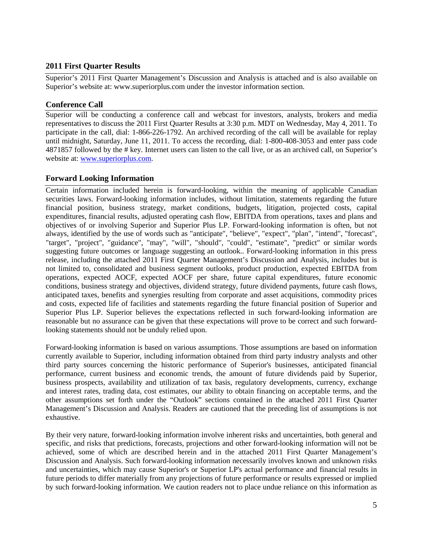# **2011 First Quarter Results**

Superior's 2011 First Quarter Management's Discussion and Analysis is attached and is also available on Superior's website at: www.superiorplus.com under the investor information section.

# **Conference Call**

Superior will be conducting a conference call and webcast for investors, analysts, brokers and media representatives to discuss the 2011 First Quarter Results at 3:30 p.m. MDT on Wednesday, May 4, 2011. To participate in the call, dial: 1-866-226-1792. An archived recording of the call will be available for replay until midnight, Saturday, June 11, 2011. To access the recording, dial: 1-800-408-3053 and enter pass code 4871857 followed by the # key. Internet users can listen to the call live, or as an archived call, on Superior's website at: www.superiorplus.com.

# **Forward Looking Information**

Certain information included herein is forward-looking, within the meaning of applicable Canadian securities laws. Forward-looking information includes, without limitation, statements regarding the future financial position, business strategy, market conditions, budgets, litigation, projected costs, capital expenditures, financial results, adjusted operating cash flow, EBITDA from operations, taxes and plans and objectives of or involving Superior and Superior Plus LP. Forward-looking information is often, but not always, identified by the use of words such as "anticipate", "believe", "expect", "plan", "intend", "forecast", "target", "project", "guidance", "may", "will", "should", "could", "estimate", "predict" or similar words suggesting future outcomes or language suggesting an outlook.. Forward-looking information in this press release, including the attached 2011 First Quarter Management's Discussion and Analysis, includes but is not limited to, consolidated and business segment outlooks, product production, expected EBITDA from operations, expected AOCF, expected AOCF per share, future capital expenditures, future economic conditions, business strategy and objectives, dividend strategy, future dividend payments, future cash flows, anticipated taxes, benefits and synergies resulting from corporate and asset acquisitions, commodity prices and costs, expected life of facilities and statements regarding the future financial position of Superior and Superior Plus LP. Superior believes the expectations reflected in such forward-looking information are reasonable but no assurance can be given that these expectations will prove to be correct and such forwardlooking statements should not be unduly relied upon.

Forward-looking information is based on various assumptions. Those assumptions are based on information currently available to Superior, including information obtained from third party industry analysts and other third party sources concerning the historic performance of Superior's businesses, anticipated financial performance, current business and economic trends, the amount of future dividends paid by Superior, business prospects, availability and utilization of tax basis, regulatory developments, currency, exchange and interest rates, trading data, cost estimates, our ability to obtain financing on acceptable terms, and the other assumptions set forth under the "Outlook" sections contained in the attached 2011 First Quarter Management's Discussion and Analysis. Readers are cautioned that the preceding list of assumptions is not exhaustive.

By their very nature, forward-looking information involve inherent risks and uncertainties, both general and specific, and risks that predictions, forecasts, projections and other forward-looking information will not be achieved, some of which are described herein and in the attached 2011 First Quarter Management's Discussion and Analysis. Such forward-looking information necessarily involves known and unknown risks and uncertainties, which may cause Superior's or Superior LP's actual performance and financial results in future periods to differ materially from any projections of future performance or results expressed or implied by such forward-looking information. We caution readers not to place undue reliance on this information as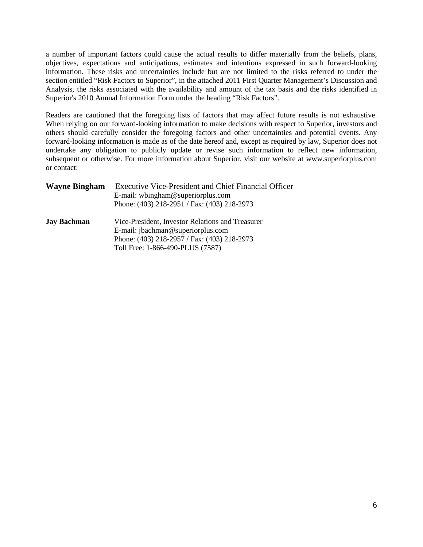a number of important factors could cause the actual results to differ materially from the beliefs, plans, objectives, expectations and anticipations, estimates and intentions expressed in such forward-looking information. These risks and uncertainties include but are not limited to the risks referred to under the section entitled "Risk Factors to Superior", in the attached 2011 First Quarter Management's Discussion and Analysis, the risks associated with the availability and amount of the tax basis and the risks identified in Superior's 2010 Annual Information Form under the heading "Risk Factors".

Readers are cautioned that the foregoing lists of factors that may affect future results is not exhaustive. When relying on our forward-looking information to make decisions with respect to Superior, investors and others should carefully consider the foregoing factors and other uncertainties and potential events. Any forward-looking information is made as of the date hereof and, except as required by law, Superior does not undertake any obligation to publicly update or revise such information to reflect new information, subsequent or otherwise. For more information about Superior, visit our website at www.superiorplus.com or contact:

| <b>Wayne Bingham</b> | <b>Executive Vice-President and Chief Financial Officer</b>                                                                                                              |
|----------------------|--------------------------------------------------------------------------------------------------------------------------------------------------------------------------|
|                      | E-mail: whingham@superiorplus.com                                                                                                                                        |
|                      | Phone: (403) 218-2951 / Fax: (403) 218-2973                                                                                                                              |
| <b>Jay Bachman</b>   | Vice-President, Investor Relations and Treasurer<br>E-mail: jbachman@superiorplus.com<br>Phone: (403) 218-2957 / Fax: (403) 218-2973<br>Toll Free: 1-866-490-PLUS (7587) |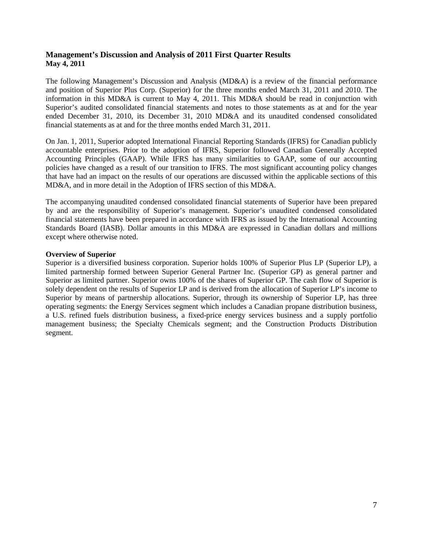# **Management's Discussion and Analysis of 2011 First Quarter Results May 4, 2011**

The following Management's Discussion and Analysis (MD&A) is a review of the financial performance and position of Superior Plus Corp. (Superior) for the three months ended March 31, 2011 and 2010. The information in this MD&A is current to May 4, 2011. This MD&A should be read in conjunction with Superior's audited consolidated financial statements and notes to those statements as at and for the year ended December 31, 2010, its December 31, 2010 MD&A and its unaudited condensed consolidated financial statements as at and for the three months ended March 31, 2011.

On Jan. 1, 2011, Superior adopted International Financial Reporting Standards (IFRS) for Canadian publicly accountable enterprises. Prior to the adoption of IFRS, Superior followed Canadian Generally Accepted Accounting Principles (GAAP). While IFRS has many similarities to GAAP, some of our accounting policies have changed as a result of our transition to IFRS. The most significant accounting policy changes that have had an impact on the results of our operations are discussed within the applicable sections of this MD&A, and in more detail in the Adoption of IFRS section of this MD&A.

The accompanying unaudited condensed consolidated financial statements of Superior have been prepared by and are the responsibility of Superior's management. Superior's unaudited condensed consolidated financial statements have been prepared in accordance with IFRS as issued by the International Accounting Standards Board (IASB). Dollar amounts in this MD&A are expressed in Canadian dollars and millions except where otherwise noted.

# **Overview of Superior**

Superior is a diversified business corporation. Superior holds 100% of Superior Plus LP (Superior LP), a limited partnership formed between Superior General Partner Inc. (Superior GP) as general partner and Superior as limited partner. Superior owns 100% of the shares of Superior GP. The cash flow of Superior is solely dependent on the results of Superior LP and is derived from the allocation of Superior LP's income to Superior by means of partnership allocations. Superior, through its ownership of Superior LP, has three operating segments: the Energy Services segment which includes a Canadian propane distribution business, a U.S. refined fuels distribution business, a fixed-price energy services business and a supply portfolio management business; the Specialty Chemicals segment; and the Construction Products Distribution segment.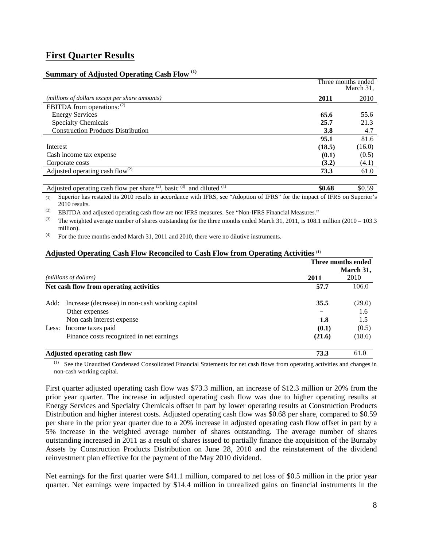# **First Quarter Results**

### **Summary of Adjusted Operating Cash Flow (1)**

|                                                |        | Three months ended<br>March 31, |
|------------------------------------------------|--------|---------------------------------|
| (millions of dollars except per share amounts) | 2011   | 2010                            |
| EBITDA from operations: $(2)$                  |        |                                 |
| <b>Energy Services</b>                         | 65.6   | 55.6                            |
| <b>Specialty Chemicals</b>                     | 25.7   | 21.3                            |
| <b>Construction Products Distribution</b>      | 3.8    | 4.7                             |
|                                                | 95.1   | 81.6                            |
| Interest                                       | (18.5) | (16.0)                          |
| Cash income tax expense                        | (0.1)  | (0.5)                           |
| Corporate costs                                | (3.2)  | (4.1)                           |
| Adjusted operating cash flow $^{(2)}$          | 73.3   | 61.0                            |

Adjusted operating cash flow per share <sup>(2)</sup>, basic <sup>(3)</sup> and diluted <sup>(4)</sup>  $\qquad$  \$0.68  $\qquad$  \$0.59

(1) Superior has restated its 2010 results in accordance with IFRS, see "Adoption of IFRS" for the impact of IFRS on Superior's 2010 results.

<sup>(2)</sup> EBITDA and adjusted operating cash flow are not IFRS measures. See "Non-IFRS Financial Measures."

(3) The weighted average number of shares outstanding for the three months ended March 31, 2011, is 108.1 million (2010 – 103.3) million).

 $^{(4)}$  For the three months ended March 31, 2011 and 2010, there were no dilutive instruments.

#### **Adjusted Operating Cash Flow Reconciled to Cash Flow from Operating Activities** (1)

|       |                                                 |        | Three months ended |
|-------|-------------------------------------------------|--------|--------------------|
|       |                                                 |        | March 31,          |
|       | (millions of dollars)                           | 2011   | 2010               |
|       | Net cash flow from operating activities         | 57.7   | 106.0              |
| Add:  | Increase (decrease) in non-cash working capital | 35.5   | (29.0)             |
|       | Other expenses                                  |        | 1.6                |
|       | Non cash interest expense                       | 1.8    | 1.5                |
| Less: | Income taxes paid                               | (0.1)  | (0.5)              |
|       | Finance costs recognized in net earnings        | (21.6) | (18.6)             |
|       | <b>Adjusted operating cash flow</b>             | 73.3   | 61.0               |

See the Unaudited Condensed Consolidated Financial Statements for net cash flows from operating activities and changes in non-cash working capital.

First quarter adjusted operating cash flow was \$73.3 million, an increase of \$12.3 million or 20% from the prior year quarter. The increase in adjusted operating cash flow was due to higher operating results at Energy Services and Specialty Chemicals offset in part by lower operating results at Construction Products Distribution and higher interest costs. Adjusted operating cash flow was \$0.68 per share, compared to \$0.59 per share in the prior year quarter due to a 20% increase in adjusted operating cash flow offset in part by a 5% increase in the weighted average number of shares outstanding. The average number of shares outstanding increased in 2011 as a result of shares issued to partially finance the acquisition of the Burnaby Assets by Construction Products Distribution on June 28, 2010 and the reinstatement of the dividend reinvestment plan effective for the payment of the May 2010 dividend.

Net earnings for the first quarter were \$41.1 million, compared to net loss of \$0.5 million in the prior year quarter. Net earnings were impacted by \$14.4 million in unrealized gains on financial instruments in the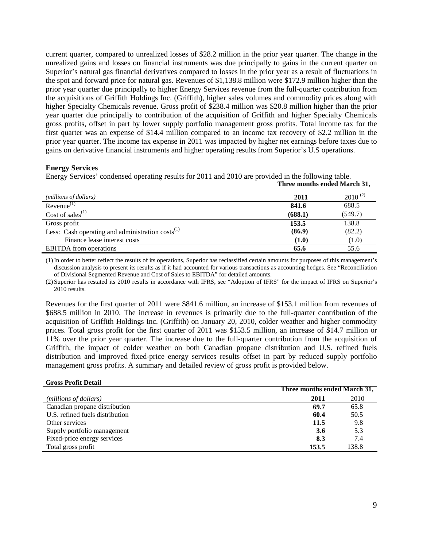current quarter, compared to unrealized losses of \$28.2 million in the prior year quarter. The change in the unrealized gains and losses on financial instruments was due principally to gains in the current quarter on Superior's natural gas financial derivatives compared to losses in the prior year as a result of fluctuations in the spot and forward price for natural gas. Revenues of \$1,138.8 million were \$172.9 million higher than the prior year quarter due principally to higher Energy Services revenue from the full-quarter contribution from the acquisitions of Griffith Holdings Inc. (Griffith), higher sales volumes and commodity prices along with higher Specialty Chemicals revenue. Gross profit of \$238.4 million was \$20.8 million higher than the prior year quarter due principally to contribution of the acquisition of Griffith and higher Specialty Chemicals gross profits, offset in part by lower supply portfolio management gross profits. Total income tax for the first quarter was an expense of \$14.4 million compared to an income tax recovery of \$2.2 million in the prior year quarter. The income tax expense in 2011 was impacted by higher net earnings before taxes due to gains on derivative financial instruments and higher operating results from Superior's U.S operations.

### **Energy Services**

Energy Services' condensed operating results for 2011 and 2010 are provided in the following table.  **Three months ended March 31,** 

| THE C MONTHS CHUCU IVIAL CH 91,                       |         |              |
|-------------------------------------------------------|---------|--------------|
| (millions of dollars)                                 | 2011    | $2010^{(2)}$ |
| $Revenue^{(1)}$                                       | 841.6   | 688.5        |
| Cost of sales <sup><math>(1)</math></sup>             | (688.1) | (549.7)      |
| Gross profit                                          | 153.5   | 138.8        |
| Less: Cash operating and administration $costs^{(1)}$ | (86.9)  | (82.2)       |
| Finance lease interest costs                          | (1.0)   | (1.0)        |
| <b>EBITDA</b> from operations                         | 65.6    | 55.6         |

(1)In order to better reflect the results of its operations, Superior has reclassified certain amounts for purposes of this management's discussion analysis to present its results as if it had accounted for various transactions as accounting hedges. See "Reconciliation of Divisional Segmented Revenue and Cost of Sales to EBITDA" for detailed amounts.

(2) Superior has restated its 2010 results in accordance with IFRS, see "Adoption of IFRS" for the impact of IFRS on Superior's 2010 results.

Revenues for the first quarter of 2011 were \$841.6 million, an increase of \$153.1 million from revenues of \$688.5 million in 2010. The increase in revenues is primarily due to the full-quarter contribution of the acquisition of Griffith Holdings Inc. (Griffith) on January 20, 2010, colder weather and higher commodity prices. Total gross profit for the first quarter of 2011 was \$153.5 million, an increase of \$14.7 million or 11% over the prior year quarter. The increase due to the full-quarter contribution from the acquisition of Griffith, the impact of colder weather on both Canadian propane distribution and U.S. refined fuels distribution and improved fixed-price energy services results offset in part by reduced supply portfolio management gross profits. A summary and detailed review of gross profit is provided below.

#### **Gross Profit Detail**

|                                 | Three months ended March 31, |       |
|---------------------------------|------------------------------|-------|
| (millions of dollars)           | 2011                         | 2010  |
| Canadian propane distribution   | 69.7                         | 65.8  |
| U.S. refined fuels distribution | 60.4                         | 50.5  |
| Other services                  | 11.5                         | 9.8   |
| Supply portfolio management     | 3.6                          | 5.3   |
| Fixed-price energy services     | 8.3                          | 7.4   |
| Total gross profit              | 153.5                        | 138.8 |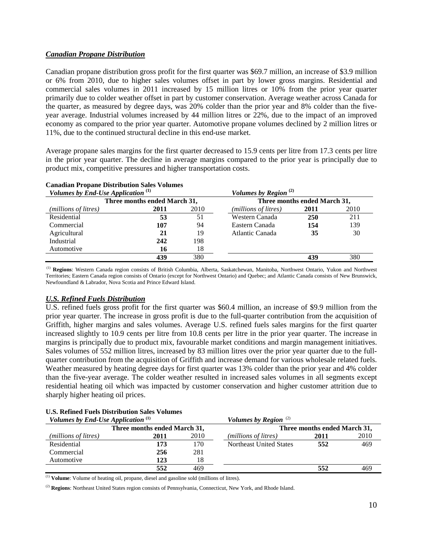# *Canadian Propane Distribution*

Canadian propane distribution gross profit for the first quarter was \$69.7 million, an increase of \$3.9 million or 6% from 2010, due to higher sales volumes offset in part by lower gross margins. Residential and commercial sales volumes in 2011 increased by 15 million litres or 10% from the prior year quarter primarily due to colder weather offset in part by customer conservation. Average weather across Canada for the quarter, as measured by degree days, was 20% colder than the prior year and 8% colder than the fiveyear average. Industrial volumes increased by 44 million litres or 22%, due to the impact of an improved economy as compared to the prior year quarter. Automotive propane volumes declined by 2 million litres or 11%, due to the continued structural decline in this end-use market.

Average propane sales margins for the first quarter decreased to 15.9 cents per litre from 17.3 cents per litre in the prior year quarter. The decline in average margins compared to the prior year is principally due to product mix, competitive pressures and higher transportation costs.

|  | <b>Canadian Propane Distribution Sales Volumes</b> |  |
|--|----------------------------------------------------|--|
|  |                                                    |  |

| Volumes by End-Use Application $(1)$ |      |      | Volumes by Region $(2)$ |                              |      |
|--------------------------------------|------|------|-------------------------|------------------------------|------|
| Three months ended March 31,         |      |      |                         | Three months ended March 31, |      |
| ( <i>millions of litres</i> )        | 2011 | 2010 | (millions of litres)    | 2011                         | 2010 |
| Residential                          | 53   | 51   | Western Canada          | <b>250</b>                   | 211  |
| Commercial                           | 107  | 94   | Eastern Canada          | 154                          | 139  |
| Agricultural                         | 21   | 19   | Atlantic Canada         | 35                           | 30   |
| Industrial                           | 242  | 198  |                         |                              |      |
| Automotive                           | 16   | 18   |                         |                              |      |
|                                      | 439  | 380  |                         | 439                          | 380  |

 (1) **Regions**: Western Canada region consists of British Columbia, Alberta, Saskatchewan, Manitoba, Northwest Ontario, Yukon and Northwest Territories; Eastern Canada region consists of Ontario (except for Northwest Ontario) and Quebec; and Atlantic Canada consists of New Brunswick, Newfoundland & Labrador, Nova Scotia and Prince Edward Island.

# *U.S. Refined Fuels Distribution*

U.S. refined fuels gross profit for the first quarter was \$60.4 million, an increase of \$9.9 million from the prior year quarter. The increase in gross profit is due to the full-quarter contribution from the acquisition of Griffith, higher margins and sales volumes. Average U.S. refined fuels sales margins for the first quarter increased slightly to 10.9 cents per litre from 10.8 cents per litre in the prior year quarter. The increase in margins is principally due to product mix, favourable market conditions and margin management initiatives. Sales volumes of 552 million litres, increased by 83 million litres over the prior year quarter due to the fullquarter contribution from the acquisition of Griffith and increase demand for various wholesale related fuels. Weather measured by heating degree days for first quarter was 13% colder than the prior year and 4% colder than the five-year average. The colder weather resulted in increased sales volumes in all segments except residential heating oil which was impacted by customer conservation and higher customer attrition due to sharply higher heating oil prices.

|  |  | <b>U.S. Refined Fuels Distribution Sales Volumes</b>       |  |
|--|--|------------------------------------------------------------|--|
|  |  | $\mathbf{V}_{0}$ lumaa ku End Haa Annliaatian $\mathbf{u}$ |  |

| Volumes by End-Use Application $(1)$ |      |                              | Volumes by Region $(2)$ |      |      |
|--------------------------------------|------|------------------------------|-------------------------|------|------|
| Three months ended March 31,         |      | Three months ended March 31, |                         |      |      |
| ( <i>millions of litres</i> )        | 2011 | 2010                         | (millions of litres)    | 2011 | 2010 |
| Residential                          | 173  | 170                          | Northeast United States | 552  | 469  |
| Commercial                           | 256  | 281                          |                         |      |      |
| Automotive                           | 123  | 18                           |                         |      |      |
|                                      | 552  | 469                          |                         | 552  | 469  |

(1) **Volume**: Volume of heating oil, propane, diesel and gasoline sold (millions of litres).

(2) **Regions**: Northeast United States region consists of Pennsylvania, Connecticut, New York, and Rhode Island.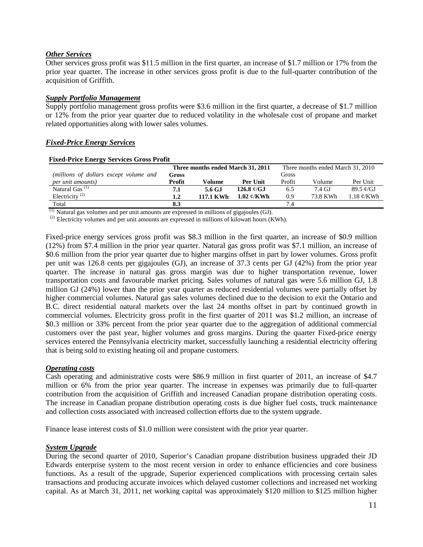# *Other Services*

Other services gross profit was \$11.5 million in the first quarter, an increase of \$1.7 million or 17% from the prior year quarter. The increase in other services gross profit is due to the full-quarter contribution of the acquisition of Griffith.

# *Supply Portfolio Management*

Supply portfolio management gross profits were \$3.6 million in the first quarter, a decrease of \$1.7 million or 12% from the prior year quarter due to reduced volatility in the wholesale cost of propane and market related opportunities along with lower sales volumes.

# *Fixed-Price Energy Services*

#### **Fixed-Price Energy Services Gross Profit**

|                                        | Three months ended March 31, 2011 |           |                      | Three months ended March 31, 2010 |          |                              |  |
|----------------------------------------|-----------------------------------|-----------|----------------------|-----------------------------------|----------|------------------------------|--|
| (millions of dollars except volume and | Gross                             |           |                      | Gross                             |          |                              |  |
| <i>per unit amounts</i> )              | <b>Profit</b>                     | Volume    | Per Unit             | Profit                            | Volume   | Per Unit                     |  |
| Natural Gas <sup>(1)</sup>             | 7.1                               | 5.6 G.I   | 126.8 $\epsilon$ /GJ | 6.5                               | 7.4 GJ   | 89.5 $\mathcal{C}/\text{GJ}$ |  |
| Electricity <sup>(2)</sup>             | $1.2\phantom{0}$                  | 117.1 KWh | 1.02 $\epsilon$ /KWh | 0.9                               | 73.8 KWh | $1.18 \text{ e/KWh}$         |  |
| Total                                  | 8.3                               |           |                      | 7.4                               |          |                              |  |

 $(1)$  Natural gas volumes and per unit amounts are expressed in millions of gigajoules (GJ).

 $^{(2)}$  Electricity volumes and per unit amounts are expressed in millions of kilowatt hours (KWh).

Fixed-price energy services gross profit was \$8.3 million in the first quarter, an increase of \$0.9 million (12%) from \$7.4 million in the prior year quarter. Natural gas gross profit was \$7.1 million, an increase of \$0.6 million from the prior year quarter due to higher margins offset in part by lower volumes. Gross profit per unit was 126.8 cents per gigajoules (GJ), an increase of 37.3 cents per GJ (42%) from the prior year quarter. The increase in natural gas gross margin was due to higher transportation revenue, lower transportation costs and favourable market pricing. Sales volumes of natural gas were 5.6 million GJ, 1.8 million GJ (24%) lower than the prior year quarter as reduced residential volumes were partially offset by higher commercial volumes. Natural gas sales volumes declined due to the decision to exit the Ontario and B.C. direct residential natural markets over the last 24 months offset in part by continued growth in commercial volumes. Electricity gross profit in the first quarter of 2011 was \$1.2 million, an increase of \$0.3 million or 33% percent from the prior year quarter due to the aggregation of additional commercial customers over the past year, higher volumes and gross margins. During the quarter Fixed-price energy services entered the Pennsylvania electricity market, successfully launching a residential electricity offering that is being sold to existing heating oil and propane customers.

# *Operating costs*

Cash operating and administrative costs were \$86.9 million in first quarter of 2011, an increase of \$4.7 million or 6% from the prior year quarter. The increase in expenses was primarily due to full-quarter contribution from the acquisition of Griffith and increased Canadian propane distribution operating costs. The increase in Canadian propane distribution operating costs is due higher fuel costs, truck maintenance and collection costs associated with increased collection efforts due to the system upgrade.

Finance lease interest costs of \$1.0 million were consistent with the prior year quarter.

# *System Upgrade*

During the second quarter of 2010, Superior's Canadian propane distribution business upgraded their JD Edwards enterprise system to the most recent version in order to enhance efficiencies and core business functions. As a result of the upgrade, Superior experienced complications with processing certain sales transactions and producing accurate invoices which delayed customer collections and increased net working capital. As at March 31, 2011, net working capital was approximately \$120 million to \$125 million higher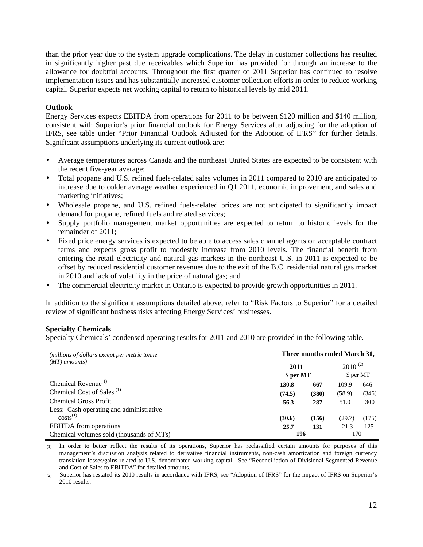than the prior year due to the system upgrade complications. The delay in customer collections has resulted in significantly higher past due receivables which Superior has provided for through an increase to the allowance for doubtful accounts. Throughout the first quarter of 2011 Superior has continued to resolve implementation issues and has substantially increased customer collection efforts in order to reduce working capital. Superior expects net working capital to return to historical levels by mid 2011.

# **Outlook**

Energy Services expects EBITDA from operations for 2011 to be between \$120 million and \$140 million, consistent with Superior's prior financial outlook for Energy Services after adjusting for the adoption of IFRS, see table under "Prior Financial Outlook Adjusted for the Adoption of IFRS" for further details. Significant assumptions underlying its current outlook are:

- Average temperatures across Canada and the northeast United States are expected to be consistent with the recent five-year average;
- Total propane and U.S. refined fuels-related sales volumes in 2011 compared to 2010 are anticipated to increase due to colder average weather experienced in Q1 2011, economic improvement, and sales and marketing initiatives;
- Wholesale propane, and U.S. refined fuels-related prices are not anticipated to significantly impact demand for propane, refined fuels and related services;
- Supply portfolio management market opportunities are expected to return to historic levels for the remainder of 2011;
- Fixed price energy services is expected to be able to access sales channel agents on acceptable contract terms and expects gross profit to modestly increase from 2010 levels. The financial benefit from entering the retail electricity and natural gas markets in the northeast U.S. in 2011 is expected to be offset by reduced residential customer revenues due to the exit of the B.C. residential natural gas market in 2010 and lack of volatility in the price of natural gas; and
- The commercial electricity market in Ontario is expected to provide growth opportunities in 2011.

In addition to the significant assumptions detailed above, refer to "Risk Factors to Superior" for a detailed review of significant business risks affecting Energy Services' businesses.

# **Specialty Chemicals**

Specialty Chemicals' condensed operating results for 2011 and 2010 are provided in the following table.

| (millions of dollars except per metric tonne) | Three months ended March 31, |           |              |       |  |  |  |
|-----------------------------------------------|------------------------------|-----------|--------------|-------|--|--|--|
| $(MT)$ amounts)                               | 2011                         |           | $2010^{(2)}$ |       |  |  |  |
|                                               | \$ per MT                    | \$ per MT |              |       |  |  |  |
| Chemical Revenue $^{(1)}$                     | 130.8                        | 667       | 109.9        | 646   |  |  |  |
| Chemical Cost of Sales <sup>(1)</sup>         | (74.5)                       | (380)     | (58.9)       | (346) |  |  |  |
| <b>Chemical Gross Profit</b>                  | 56.3                         | 287       | 51.0         | 300   |  |  |  |
| Less: Cash operating and administrative       |                              |           |              |       |  |  |  |
| $costs^{(1)}$                                 | (30.6)                       | (156)     | (29.7)       | (175) |  |  |  |
| <b>EBITDA</b> from operations                 | 25.7                         | 131       | 21.3         | 125   |  |  |  |
| Chemical volumes sold (thousands of MTs)      |                              | 196       |              | 170   |  |  |  |

(1) In order to better reflect the results of its operations, Superior has reclassified certain amounts for purposes of this management's discussion analysis related to derivative financial instruments, non-cash amortization and foreign currency translation losses/gains related to U.S.-denominated working capital. See "Reconciliation of Divisional Segmented Revenue and Cost of Sales to EBITDA" for detailed amounts.

(2) Superior has restated its 2010 results in accordance with IFRS, see "Adoption of IFRS" for the impact of IFRS on Superior's 2010 results.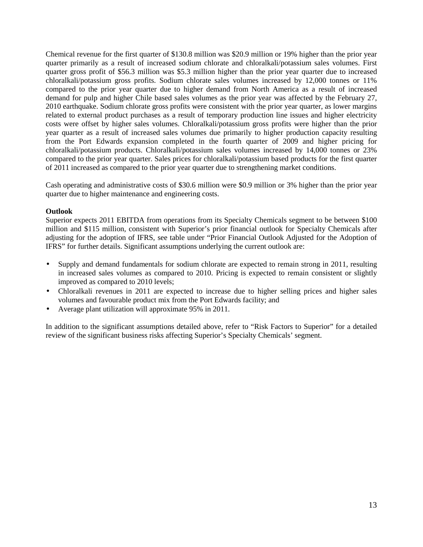Chemical revenue for the first quarter of \$130.8 million was \$20.9 million or 19% higher than the prior year quarter primarily as a result of increased sodium chlorate and chloralkali/potassium sales volumes. First quarter gross profit of \$56.3 million was \$5.3 million higher than the prior year quarter due to increased chloralkali/potassium gross profits. Sodium chlorate sales volumes increased by 12,000 tonnes or 11% compared to the prior year quarter due to higher demand from North America as a result of increased demand for pulp and higher Chile based sales volumes as the prior year was affected by the February 27, 2010 earthquake. Sodium chlorate gross profits were consistent with the prior year quarter, as lower margins related to external product purchases as a result of temporary production line issues and higher electricity costs were offset by higher sales volumes. Chloralkali/potassium gross profits were higher than the prior year quarter as a result of increased sales volumes due primarily to higher production capacity resulting from the Port Edwards expansion completed in the fourth quarter of 2009 and higher pricing for chloralkali/potassium products. Chloralkali/potassium sales volumes increased by 14,000 tonnes or 23% compared to the prior year quarter. Sales prices for chloralkali/potassium based products for the first quarter of 2011 increased as compared to the prior year quarter due to strengthening market conditions.

Cash operating and administrative costs of \$30.6 million were \$0.9 million or 3% higher than the prior year quarter due to higher maintenance and engineering costs.

# **Outlook**

Superior expects 2011 EBITDA from operations from its Specialty Chemicals segment to be between \$100 million and \$115 million, consistent with Superior's prior financial outlook for Specialty Chemicals after adjusting for the adoption of IFRS, see table under "Prior Financial Outlook Adjusted for the Adoption of IFRS" for further details. Significant assumptions underlying the current outlook are:

- Supply and demand fundamentals for sodium chlorate are expected to remain strong in 2011, resulting in increased sales volumes as compared to 2010. Pricing is expected to remain consistent or slightly improved as compared to 2010 levels;
- Chloralkali revenues in 2011 are expected to increase due to higher selling prices and higher sales volumes and favourable product mix from the Port Edwards facility; and
- Average plant utilization will approximate 95% in 2011.

In addition to the significant assumptions detailed above, refer to "Risk Factors to Superior" for a detailed review of the significant business risks affecting Superior's Specialty Chemicals' segment.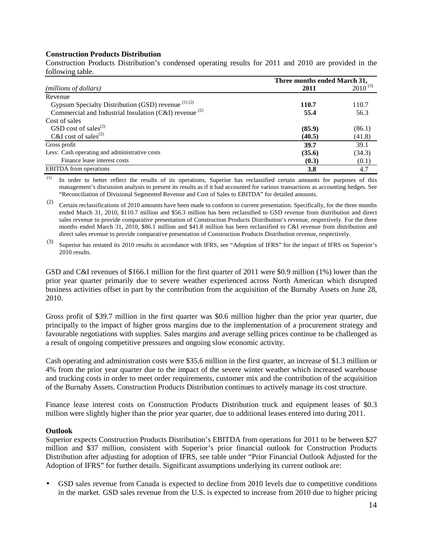### **Construction Products Distribution**

Construction Products Distribution's condensed operating results for 2011 and 2010 are provided in the following table.

|                                                                   | Three months ended March 31, |              |
|-------------------------------------------------------------------|------------------------------|--------------|
| ( <i>millions of dollars</i> )                                    | 2011                         | $2010^{(3)}$ |
| Revenue                                                           |                              |              |
| Gypsum Specialty Distribution (GSD) revenue $(1)(2)$              | 110.7                        | 110.7        |
| Commercial and Industrial Insulation (C&I) revenue <sup>(2)</sup> | 55.4                         | 56.3         |
| Cost of sales                                                     |                              |              |
| GSD cost of sales <sup><math>(2)</math></sup>                     | (85.9)                       | (86.1)       |
| C&I cost of sales <sup>(2)</sup>                                  | (40.5)                       | (41.8)       |
| Gross profit                                                      | 39.7                         | 39.1         |
| Less: Cash operating and administrative costs                     | (35.6)                       | (34.3)       |
| Finance lease interest costs                                      | (0.3)                        | (0.1)        |
| <b>EBITDA</b> from operations                                     | 3.8                          | 4.7          |

(1) In order to better reflect the results of its operations, Superior has reclassified certain amounts for purposes of this management's discussion analysis to present its results as if it had accounted for various transactions as accounting hedges. See "Reconciliation of Divisional Segmented Revenue and Cost of Sales to EBITDA" for detailed amounts.

(2) Certain reclassifications of 2010 amounts have been made to conform to current presentation. Specifically, for the three months ended March 31, 2010, \$110.7 million and \$56.3 million has been reclassified to GSD revenue from distribution and direct sales revenue to provide comparative presentation of Construction Products Distribution's revenue, respectively. For the three months ended March 31, 2010, \$86.1 million and \$41.8 million has been reclassified to C&I revenue from distribution and direct sales revenue to provide comparative presentation of Construction Products Distribution revenue, respectively.

(3) Superior has restated its 2010 results in accordance with IFRS, see "Adoption of IFRS" for the impact of IFRS on Superior's 2010 results.

GSD and C&I revenues of \$166.1 million for the first quarter of 2011 were \$0.9 million (1%) lower than the prior year quarter primarily due to severe weather experienced across North American which disrupted business activities offset in part by the contribution from the acquisition of the Burnaby Assets on June 28, 2010.

Gross profit of \$39.7 million in the first quarter was \$0.6 million higher than the prior year quarter, due principally to the impact of higher gross margins due to the implementation of a procurement strategy and favourable negotiations with supplies. Sales margins and average selling prices continue to be challenged as a result of ongoing competitive pressures and ongoing slow economic activity.

Cash operating and administration costs were \$35.6 million in the first quarter, an increase of \$1.3 million or 4% from the prior year quarter due to the impact of the severe winter weather which increased warehouse and trucking costs in order to meet order requirements, customer mix and the contribution of the acquisition of the Burnaby Assets. Construction Products Distribution continues to actively manage its cost structure.

Finance lease interest costs on Construction Products Distribution truck and equipment leases of \$0.3 million were slightly higher than the prior year quarter, due to additional leases entered into during 2011.

# **Outlook**

Superior expects Construction Products Distribution's EBITDA from operations for 2011 to be between \$27 million and \$37 million, consistent with Superior's prior financial outlook for Construction Products Distribution after adjusting for adoption of IFRS, see table under "Prior Financial Outlook Adjusted for the Adoption of IFRS" for further details. Significant assumptions underlying its current outlook are:

• GSD sales revenue from Canada is expected to decline from 2010 levels due to competitive conditions in the market. GSD sales revenue from the U.S. is expected to increase from 2010 due to higher pricing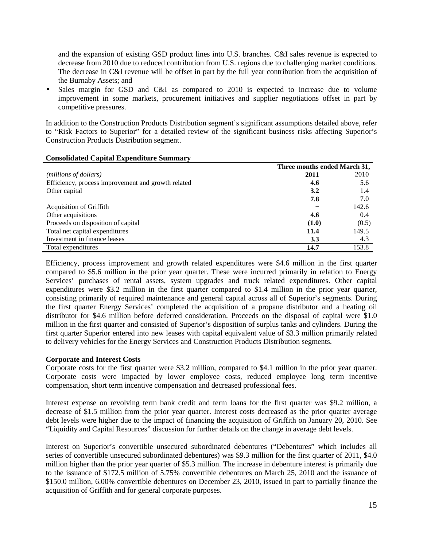and the expansion of existing GSD product lines into U.S. branches. C&I sales revenue is expected to decrease from 2010 due to reduced contribution from U.S. regions due to challenging market conditions. The decrease in C&I revenue will be offset in part by the full year contribution from the acquisition of the Burnaby Assets; and

Sales margin for GSD and C&I as compared to 2010 is expected to increase due to volume improvement in some markets, procurement initiatives and supplier negotiations offset in part by competitive pressures.

In addition to the Construction Products Distribution segment's significant assumptions detailed above, refer to "Risk Factors to Superior" for a detailed review of the significant business risks affecting Superior's Construction Products Distribution segment.

|                                                    | Three months ended March 31, |       |  |
|----------------------------------------------------|------------------------------|-------|--|
| (millions of dollars)                              | 2011                         | 2010  |  |
| Efficiency, process improvement and growth related | 4.6                          | 5.6   |  |
| Other capital                                      | 3.2                          | 1.4   |  |
|                                                    | 7.8                          | 7.0   |  |
| Acquisition of Griffith                            |                              | 142.6 |  |
| Other acquisitions                                 | 4.6                          | 0.4   |  |
| Proceeds on disposition of capital                 | (1.0)                        | (0.5) |  |
| Total net capital expenditures                     | 11.4                         | 149.5 |  |
| Investment in finance leases                       | 3.3                          | 4.3   |  |
| Total expenditures                                 | 14.7                         | 153.8 |  |

### **Consolidated Capital Expenditure Summary**

Efficiency, process improvement and growth related expenditures were \$4.6 million in the first quarter compared to \$5.6 million in the prior year quarter. These were incurred primarily in relation to Energy Services' purchases of rental assets, system upgrades and truck related expenditures. Other capital expenditures were \$3.2 million in the first quarter compared to \$1.4 million in the prior year quarter, consisting primarily of required maintenance and general capital across all of Superior's segments. During the first quarter Energy Services' completed the acquisition of a propane distributor and a heating oil distributor for \$4.6 million before deferred consideration. Proceeds on the disposal of capital were \$1.0 million in the first quarter and consisted of Superior's disposition of surplus tanks and cylinders. During the first quarter Superior entered into new leases with capital equivalent value of \$3.3 million primarily related to delivery vehicles for the Energy Services and Construction Products Distribution segments.

# **Corporate and Interest Costs**

Corporate costs for the first quarter were \$3.2 million, compared to \$4.1 million in the prior year quarter. Corporate costs were impacted by lower employee costs, reduced employee long term incentive compensation, short term incentive compensation and decreased professional fees.

Interest expense on revolving term bank credit and term loans for the first quarter was \$9.2 million, a decrease of \$1.5 million from the prior year quarter. Interest costs decreased as the prior quarter average debt levels were higher due to the impact of financing the acquisition of Griffith on January 20, 2010. See "Liquidity and Capital Resources" discussion for further details on the change in average debt levels.

Interest on Superior's convertible unsecured subordinated debentures ("Debentures" which includes all series of convertible unsecured subordinated debentures) was \$9.3 million for the first quarter of 2011, \$4.0 million higher than the prior year quarter of \$5.3 million. The increase in debenture interest is primarily due to the issuance of \$172.5 million of 5.75% convertible debentures on March 25, 2010 and the issuance of \$150.0 million, 6.00% convertible debentures on December 23, 2010, issued in part to partially finance the acquisition of Griffith and for general corporate purposes.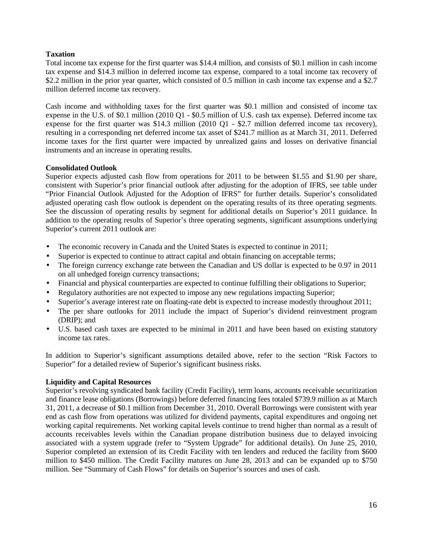# **Taxation**

Total income tax expense for the first quarter was \$14.4 million, and consists of \$0.1 million in cash income tax expense and \$14.3 million in deferred income tax expense, compared to a total income tax recovery of \$2.2 million in the prior year quarter, which consisted of 0.5 million in cash income tax expense and a \$2.7 million deferred income tax recovery.

Cash income and withholding taxes for the first quarter was \$0.1 million and consisted of income tax expense in the U.S. of \$0.1 million (2010 Q1 - \$0.5 million of U.S. cash tax expense). Deferred income tax expense for the first quarter was \$14.3 million (2010 Q1 - \$2.7 million deferred income tax recovery), resulting in a corresponding net deferred income tax asset of \$241.7 million as at March 31, 2011. Deferred income taxes for the first quarter were impacted by unrealized gains and losses on derivative financial instruments and an increase in operating results.

# **Consolidated Outlook**

Superior expects adjusted cash flow from operations for 2011 to be between \$1.55 and \$1.90 per share, consistent with Superior's prior financial outlook after adjusting for the adoption of IFRS, see table under "Prior Financial Outlook Adjusted for the Adoption of IFRS" for further details. Superior's consolidated adjusted operating cash flow outlook is dependent on the operating results of its three operating segments. See the discussion of operating results by segment for additional details on Superior's 2011 guidance. In addition to the operating results of Superior's three operating segments, significant assumptions underlying Superior's current 2011 outlook are:

- The economic recovery in Canada and the United States is expected to continue in 2011;
- Superior is expected to continue to attract capital and obtain financing on acceptable terms;
- The foreign currency exchange rate between the Canadian and US dollar is expected to be 0.97 in 2011 on all unhedged foreign currency transactions;
- Financial and physical counterparties are expected to continue fulfilling their obligations to Superior;
- Regulatory authorities are not expected to impose any new regulations impacting Superior;
- Superior's average interest rate on floating-rate debt is expected to increase modestly throughout 2011;
- The per share outlooks for 2011 include the impact of Superior's dividend reinvestment program (DRIP); and
- U.S. based cash taxes are expected to be minimal in 2011 and have been based on existing statutory income tax rates.

In addition to Superior's significant assumptions detailed above, refer to the section "Risk Factors to Superior" for a detailed review of Superior's significant business risks.

# **Liquidity and Capital Resources**

Superior's revolving syndicated bank facility (Credit Facility), term loans, accounts receivable securitization and finance lease obligations (Borrowings) before deferred financing fees totaled \$739.9 million as at March 31, 2011, a decrease of \$0.1 million from December 31, 2010. Overall Borrowings were consistent with year end as cash flow from operations was utilized for dividend payments, capital expenditures and ongoing net working capital requirements. Net working capital levels continue to trend higher than normal as a result of accounts receivables levels within the Canadian propane distribution business due to delayed invoicing associated with a system upgrade (refer to "System Upgrade" for additional details). On June 25, 2010, Superior completed an extension of its Credit Facility with ten lenders and reduced the facility from \$600 million to \$450 million. The Credit Facility matures on June 28, 2013 and can be expanded up to \$750 million. See "Summary of Cash Flows" for details on Superior's sources and uses of cash.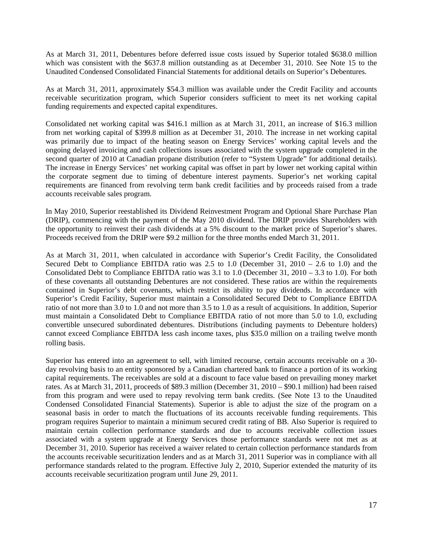As at March 31, 2011, Debentures before deferred issue costs issued by Superior totaled \$638.0 million which was consistent with the \$637.8 million outstanding as at December 31, 2010. See Note 15 to the Unaudited Condensed Consolidated Financial Statements for additional details on Superior's Debentures.

As at March 31, 2011, approximately \$54.3 million was available under the Credit Facility and accounts receivable securitization program, which Superior considers sufficient to meet its net working capital funding requirements and expected capital expenditures.

Consolidated net working capital was \$416.1 million as at March 31, 2011, an increase of \$16.3 million from net working capital of \$399.8 million as at December 31, 2010. The increase in net working capital was primarily due to impact of the heating season on Energy Services' working capital levels and the ongoing delayed invoicing and cash collections issues associated with the system upgrade completed in the second quarter of 2010 at Canadian propane distribution (refer to "System Upgrade" for additional details). The increase in Energy Services' net working capital was offset in part by lower net working capital within the corporate segment due to timing of debenture interest payments. Superior's net working capital requirements are financed from revolving term bank credit facilities and by proceeds raised from a trade accounts receivable sales program.

In May 2010, Superior reestablished its Dividend Reinvestment Program and Optional Share Purchase Plan (DRIP), commencing with the payment of the May 2010 dividend. The DRIP provides Shareholders with the opportunity to reinvest their cash dividends at a 5% discount to the market price of Superior's shares. Proceeds received from the DRIP were \$9.2 million for the three months ended March 31, 2011.

As at March 31, 2011, when calculated in accordance with Superior's Credit Facility, the Consolidated Secured Debt to Compliance EBITDA ratio was 2.5 to 1.0 (December 31,  $2010 - 2.6$  to 1.0) and the Consolidated Debt to Compliance EBITDA ratio was 3.1 to 1.0 (December 31, 2010 – 3.3 to 1.0). For both of these covenants all outstanding Debentures are not considered. These ratios are within the requirements contained in Superior's debt covenants, which restrict its ability to pay dividends. In accordance with Superior's Credit Facility, Superior must maintain a Consolidated Secured Debt to Compliance EBITDA ratio of not more than 3.0 to 1.0 and not more than 3.5 to 1.0 as a result of acquisitions. In addition, Superior must maintain a Consolidated Debt to Compliance EBITDA ratio of not more than 5.0 to 1.0, excluding convertible unsecured subordinated debentures. Distributions (including payments to Debenture holders) cannot exceed Compliance EBITDA less cash income taxes, plus \$35.0 million on a trailing twelve month rolling basis.

Superior has entered into an agreement to sell, with limited recourse, certain accounts receivable on a 30 day revolving basis to an entity sponsored by a Canadian chartered bank to finance a portion of its working capital requirements. The receivables are sold at a discount to face value based on prevailing money market rates. As at March 31, 2011, proceeds of \$89.3 million (December 31, 2010 – \$90.1 million) had been raised from this program and were used to repay revolving term bank credits. (See Note 13 to the Unaudited Condensed Consolidated Financial Statements). Superior is able to adjust the size of the program on a seasonal basis in order to match the fluctuations of its accounts receivable funding requirements. This program requires Superior to maintain a minimum secured credit rating of BB. Also Superior is required to maintain certain collection performance standards and due to accounts receivable collection issues associated with a system upgrade at Energy Services those performance standards were not met as at December 31, 2010. Superior has received a waiver related to certain collection performance standards from the accounts receivable securitization lenders and as at March 31, 2011 Superior was in compliance with all performance standards related to the program. Effective July 2, 2010, Superior extended the maturity of its accounts receivable securitization program until June 29, 2011.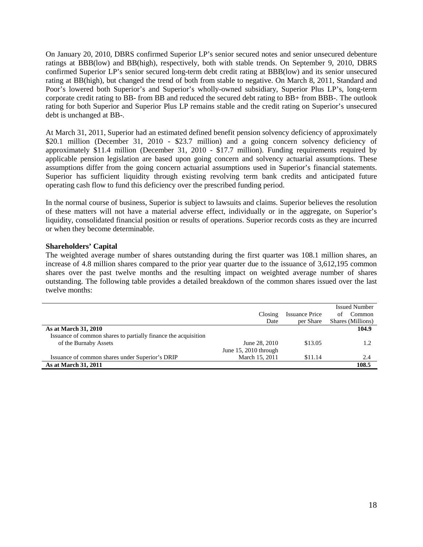On January 20, 2010, DBRS confirmed Superior LP's senior secured notes and senior unsecured debenture ratings at BBB(low) and BB(high), respectively, both with stable trends. On September 9, 2010, DBRS confirmed Superior LP's senior secured long-term debt credit rating at BBB(low) and its senior unsecured rating at BB(high), but changed the trend of both from stable to negative. On March 8, 2011, Standard and Poor's lowered both Superior's and Superior's wholly-owned subsidiary, Superior Plus LP's, long-term corporate credit rating to BB- from BB and reduced the secured debt rating to BB+ from BBB-. The outlook rating for both Superior and Superior Plus LP remains stable and the credit rating on Superior's unsecured debt is unchanged at BB-.

At March 31, 2011, Superior had an estimated defined benefit pension solvency deficiency of approximately \$20.1 million (December 31, 2010 - \$23.7 million) and a going concern solvency deficiency of approximately \$11.4 million (December 31, 2010 - \$17.7 million). Funding requirements required by applicable pension legislation are based upon going concern and solvency actuarial assumptions. These assumptions differ from the going concern actuarial assumptions used in Superior's financial statements. Superior has sufficient liquidity through existing revolving term bank credits and anticipated future operating cash flow to fund this deficiency over the prescribed funding period.

In the normal course of business, Superior is subject to lawsuits and claims. Superior believes the resolution of these matters will not have a material adverse effect, individually or in the aggregate, on Superior's liquidity, consolidated financial position or results of operations. Superior records costs as they are incurred or when they become determinable.

# **Shareholders' Capital**

The weighted average number of shares outstanding during the first quarter was 108.1 million shares, an increase of 4.8 million shares compared to the prior year quarter due to the issuance of 3,612,195 common shares over the past twelve months and the resulting impact on weighted average number of shares outstanding. The following table provides a detailed breakdown of the common shares issued over the last twelve months:

|                                                                |                       |                       | <b>Issued Number</b> |
|----------------------------------------------------------------|-----------------------|-----------------------|----------------------|
|                                                                | Closing               | <b>Issuance Price</b> | Common<br>οf         |
|                                                                | Date                  | per Share             | Shares (Millions)    |
| As at March 31, 2010                                           |                       |                       | 104.9                |
| Issuance of common shares to partially finance the acquisition |                       |                       |                      |
| of the Burnaby Assets                                          | June 28, 2010         | \$13.05               | 1.2                  |
|                                                                | June 15, 2010 through |                       |                      |
| Issuance of common shares under Superior's DRIP                | March 15, 2011        | \$11.14               | 2.4                  |
| As at March 31, 2011                                           |                       |                       | 108.5                |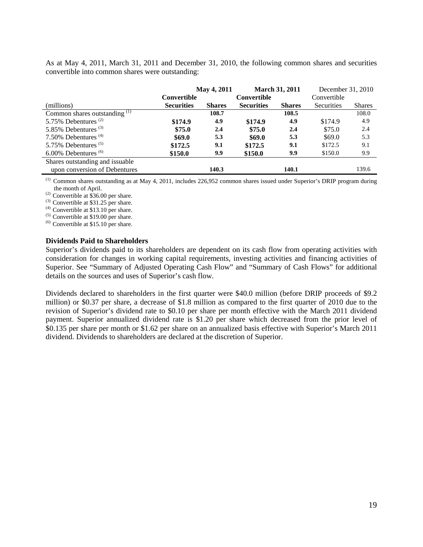As at May 4, 2011, March 31, 2011 and December 31, 2010, the following common shares and securities convertible into common shares were outstanding:

|                                                 | May 4, 2011       |               |                   | <b>March 31, 2011</b> | December 31, 2010 |               |
|-------------------------------------------------|-------------------|---------------|-------------------|-----------------------|-------------------|---------------|
|                                                 | Convertible       |               | Convertible       |                       | Convertible       |               |
| (millions)                                      | <b>Securities</b> | <b>Shares</b> | <b>Securities</b> | <b>Shares</b>         | <b>Securities</b> | <b>Shares</b> |
| Common shares outstanding $(1)$                 |                   | 108.7         |                   | 108.5                 |                   | 108.0         |
| 5.75% Debentures $(2)$                          | \$174.9           | 4.9           | \$174.9           | 4.9                   | \$174.9           | 4.9           |
| 5.85% Debentures <sup>(3)</sup>                 | \$75.0            | 2.4           | \$75.0            | 2.4                   | \$75.0            | 2.4           |
| 7.50% Debentures $(4)$                          | \$69.0            | 5.3           | \$69.0            | 5.3                   | \$69.0\$          | 5.3           |
| 5.75% Debentures $(5)$                          | \$172.5           | 9.1           | \$172.5           | 9.1                   | \$172.5           | 9.1           |
| $6.00\%$ Debentures <sup><math>(6)</math></sup> | \$150.0           | 9.9           | \$150.0           | 9.9                   | \$150.0           | 9.9           |
| Shares outstanding and issuable                 |                   |               |                   |                       |                   |               |
| upon conversion of Debentures                   |                   | 140.3         |                   | 140.1                 |                   | 139.6         |

(1) Common shares outstanding as at May 4, 2011, includes 226,952 common shares issued under Superior's DRIP program during the month of April.

 $(2)$  Convertible at \$36.00 per share.

(3) Convertible at \$31.25 per share.

 $^{(4)}$  Convertible at \$13.10 per share.

 $(5)$  Convertible at \$19.00 per share.

 $(6)$  Convertible at \$15.10 per share.

### **Dividends Paid to Shareholders**

Superior's dividends paid to its shareholders are dependent on its cash flow from operating activities with consideration for changes in working capital requirements, investing activities and financing activities of Superior. See "Summary of Adjusted Operating Cash Flow" and "Summary of Cash Flows" for additional details on the sources and uses of Superior's cash flow.

Dividends declared to shareholders in the first quarter were \$40.0 million (before DRIP proceeds of \$9.2 million) or \$0.37 per share, a decrease of \$1.8 million as compared to the first quarter of 2010 due to the revision of Superior's dividend rate to \$0.10 per share per month effective with the March 2011 dividend payment. Superior annualized dividend rate is \$1.20 per share which decreased from the prior level of \$0.135 per share per month or \$1.62 per share on an annualized basis effective with Superior's March 2011 dividend. Dividends to shareholders are declared at the discretion of Superior.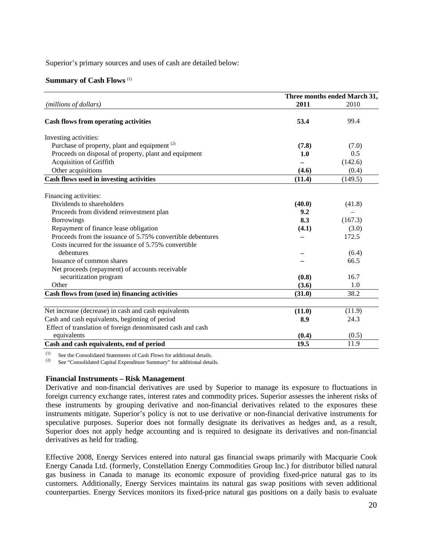Superior's primary sources and uses of cash are detailed below:

### **Summary of Cash Flows** (1)

|                                                            |               | Three months ended March 31, |
|------------------------------------------------------------|---------------|------------------------------|
| (millions of dollars)                                      | 2011          | 2010                         |
| <b>Cash flows from operating activities</b>                | 53.4          | 99.4                         |
| Investing activities:                                      |               |                              |
| Purchase of property, plant and equipment <sup>(2)</sup>   | (7.8)         | (7.0)                        |
| Proceeds on disposal of property, plant and equipment      | 1.0           | 0.5                          |
| Acquisition of Griffith                                    |               | (142.6)                      |
| Other acquisitions                                         | (4.6)         | (0.4)                        |
| Cash flows used in investing activities                    | (11.4)        | (149.5)                      |
| Financing activities:                                      |               |                              |
| Dividends to shareholders                                  |               |                              |
|                                                            | (40.0)<br>9.2 | (41.8)                       |
| Proceeds from dividend reinvestment plan                   | 8.3           |                              |
| <b>Borrowings</b>                                          |               | (167.3)                      |
| Repayment of finance lease obligation                      | (4.1)         | (3.0)                        |
| Proceeds from the issuance of 5.75% convertible debentures |               | 172.5                        |
| Costs incurred for the issuance of 5.75% convertible       |               |                              |
| debentures                                                 |               | (6.4)                        |
| Issuance of common shares                                  |               | 66.5                         |
| Net proceeds (repayment) of accounts receivable            |               |                              |
| securitization program                                     | (0.8)         | 16.7                         |
| Other                                                      | (3.6)         | 1.0                          |
| Cash flows from (used in) financing activities             | (31.0)        | 38.2                         |
| Net increase (decrease) in cash and cash equivalents       | (11.0)        | (11.9)                       |
| Cash and cash equivalents, beginning of period             | 8.9           | 24.3                         |
|                                                            |               |                              |
| Effect of translation of foreign denominated cash and cash |               |                              |
| equivalents                                                | (0.4)         | (0.5)                        |
| Cash and cash equivalents, end of period                   | 19.5          | 11.9                         |

(1) See the Consolidated Statements of Cash Flows for additional details.<br>(2) See "Consolidated Canital Expenditure Summary" for additional details.

See "Consolidated Capital Expenditure Summary" for additional details.

#### **Financial Instruments – Risk Management**

Derivative and non-financial derivatives are used by Superior to manage its exposure to fluctuations in foreign currency exchange rates, interest rates and commodity prices. Superior assesses the inherent risks of these instruments by grouping derivative and non-financial derivatives related to the exposures these instruments mitigate. Superior's policy is not to use derivative or non-financial derivative instruments for speculative purposes. Superior does not formally designate its derivatives as hedges and, as a result, Superior does not apply hedge accounting and is required to designate its derivatives and non-financial derivatives as held for trading.

Effective 2008, Energy Services entered into natural gas financial swaps primarily with Macquarie Cook Energy Canada Ltd. (formerly, Constellation Energy Commodities Group Inc.) for distributor billed natural gas business in Canada to manage its economic exposure of providing fixed-price natural gas to its customers. Additionally, Energy Services maintains its natural gas swap positions with seven additional counterparties. Energy Services monitors its fixed-price natural gas positions on a daily basis to evaluate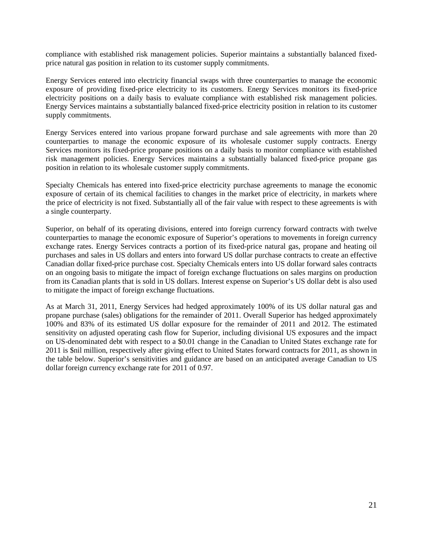compliance with established risk management policies. Superior maintains a substantially balanced fixedprice natural gas position in relation to its customer supply commitments.

Energy Services entered into electricity financial swaps with three counterparties to manage the economic exposure of providing fixed-price electricity to its customers. Energy Services monitors its fixed-price electricity positions on a daily basis to evaluate compliance with established risk management policies. Energy Services maintains a substantially balanced fixed-price electricity position in relation to its customer supply commitments.

Energy Services entered into various propane forward purchase and sale agreements with more than 20 counterparties to manage the economic exposure of its wholesale customer supply contracts. Energy Services monitors its fixed-price propane positions on a daily basis to monitor compliance with established risk management policies. Energy Services maintains a substantially balanced fixed-price propane gas position in relation to its wholesale customer supply commitments.

Specialty Chemicals has entered into fixed-price electricity purchase agreements to manage the economic exposure of certain of its chemical facilities to changes in the market price of electricity, in markets where the price of electricity is not fixed. Substantially all of the fair value with respect to these agreements is with a single counterparty.

Superior, on behalf of its operating divisions, entered into foreign currency forward contracts with twelve counterparties to manage the economic exposure of Superior's operations to movements in foreign currency exchange rates. Energy Services contracts a portion of its fixed-price natural gas, propane and heating oil purchases and sales in US dollars and enters into forward US dollar purchase contracts to create an effective Canadian dollar fixed-price purchase cost. Specialty Chemicals enters into US dollar forward sales contracts on an ongoing basis to mitigate the impact of foreign exchange fluctuations on sales margins on production from its Canadian plants that is sold in US dollars. Interest expense on Superior's US dollar debt is also used to mitigate the impact of foreign exchange fluctuations.

As at March 31, 2011, Energy Services had hedged approximately 100% of its US dollar natural gas and propane purchase (sales) obligations for the remainder of 2011. Overall Superior has hedged approximately 100% and 83% of its estimated US dollar exposure for the remainder of 2011 and 2012. The estimated sensitivity on adjusted operating cash flow for Superior, including divisional US exposures and the impact on US-denominated debt with respect to a \$0.01 change in the Canadian to United States exchange rate for 2011 is \$nil million, respectively after giving effect to United States forward contracts for 2011, as shown in the table below. Superior's sensitivities and guidance are based on an anticipated average Canadian to US dollar foreign currency exchange rate for 2011 of 0.97.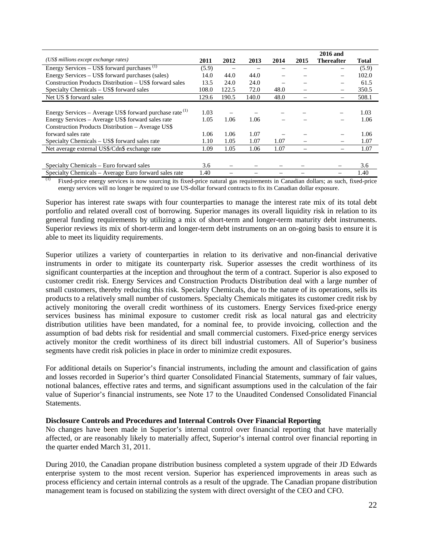|                                                            |       |       |       |      |                          | 2016 and          |       |
|------------------------------------------------------------|-------|-------|-------|------|--------------------------|-------------------|-------|
| (US\$ millions except exchange rates)                      | 2011  | 2012  | 2013  | 2014 | 2015                     | <b>Thereafter</b> | Total |
| Energy Services – US\$ forward purchases $(1)$             | (5.9) |       |       |      |                          |                   | (5.9) |
| Energy Services – US\$ forward purchases (sales)           | 14.0  | 44.0  | 44.0  |      |                          |                   | 102.0 |
| Construction Products Distribution – US\$ forward sales    | 13.5  | 24.0  | 24.0  |      |                          |                   | 61.5  |
| Specialty Chemicals – US\$ forward sales                   | 108.0 | 122.5 | 72.0  | 48.0 | $\overline{\phantom{0}}$ |                   | 350.5 |
| Net US \$ forward sales                                    | 129.6 | 190.5 | 140.0 | 48.0 |                          |                   | 508.1 |
|                                                            |       |       |       |      |                          |                   |       |
| Energy Services – Average US\$ forward purchase rate $(1)$ | 1.03  |       |       |      |                          |                   | 1.03  |
| Energy Services - Average US\$ forward sales rate          | 1.05  | 1.06  | 1.06  |      |                          |                   | 1.06  |
| Construction Products Distribution – Average US\$          |       |       |       |      |                          |                   |       |
| forward sales rate                                         | 1.06  | 1.06  | 1.07  |      |                          |                   | 1.06  |
| Specialty Chemicals – US\$ forward sales rate              | 1.10  | 1.05  | 1.07  | 1.07 |                          |                   | 1.07  |
| Net average external US\$/Cdn\$ exchange rate              | 1.09  | 1.05  | 1.06  | 1.07 |                          |                   | 1.07  |
|                                                            |       |       |       |      |                          |                   |       |
| Specialty Chemicals – Euro forward sales                   | 3.6   |       |       |      |                          |                   | 3.6   |
| Specialty Chemicals - Average Euro forward sales rate      | 1.40  |       |       |      |                          |                   | 1.40  |
|                                                            |       |       |       |      |                          |                   |       |

Fixed-price energy services is now sourcing its fixed-price natural gas requirements in Canadian dollars; as such, fixed-price energy services will no longer be required to use US-dollar forward contracts to fix its Canadian dollar exposure.

Superior has interest rate swaps with four counterparties to manage the interest rate mix of its total debt portfolio and related overall cost of borrowing. Superior manages its overall liquidity risk in relation to its general funding requirements by utilizing a mix of short-term and longer-term maturity debt instruments. Superior reviews its mix of short-term and longer-term debt instruments on an on-going basis to ensure it is able to meet its liquidity requirements.

Superior utilizes a variety of counterparties in relation to its derivative and non-financial derivative instruments in order to mitigate its counterparty risk. Superior assesses the credit worthiness of its significant counterparties at the inception and throughout the term of a contract. Superior is also exposed to customer credit risk. Energy Services and Construction Products Distribution deal with a large number of small customers, thereby reducing this risk. Specialty Chemicals, due to the nature of its operations, sells its products to a relatively small number of customers. Specialty Chemicals mitigates its customer credit risk by actively monitoring the overall credit worthiness of its customers. Energy Services fixed-price energy services business has minimal exposure to customer credit risk as local natural gas and electricity distribution utilities have been mandated, for a nominal fee, to provide invoicing, collection and the assumption of bad debts risk for residential and small commercial customers. Fixed-price energy services actively monitor the credit worthiness of its direct bill industrial customers. All of Superior's business segments have credit risk policies in place in order to minimize credit exposures.

For additional details on Superior's financial instruments, including the amount and classification of gains and losses recorded in Superior's third quarter Consolidated Financial Statements, summary of fair values, notional balances, effective rates and terms, and significant assumptions used in the calculation of the fair value of Superior's financial instruments, see Note 17 to the Unaudited Condensed Consolidated Financial Statements.

#### **Disclosure Controls and Procedures and Internal Controls Over Financial Reporting**

No changes have been made in Superior's internal control over financial reporting that have materially affected, or are reasonably likely to materially affect, Superior's internal control over financial reporting in the quarter ended March 31, 2011.

During 2010, the Canadian propane distribution business completed a system upgrade of their JD Edwards enterprise system to the most recent version. Superior has experienced improvements in areas such as process efficiency and certain internal controls as a result of the upgrade. The Canadian propane distribution management team is focused on stabilizing the system with direct oversight of the CEO and CFO.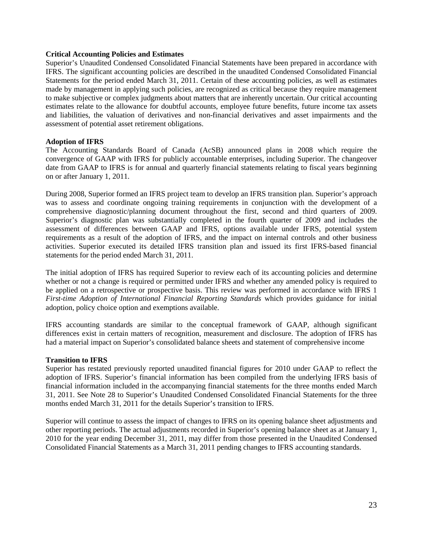### **Critical Accounting Policies and Estimates**

Superior's Unaudited Condensed Consolidated Financial Statements have been prepared in accordance with IFRS. The significant accounting policies are described in the unaudited Condensed Consolidated Financial Statements for the period ended March 31, 2011. Certain of these accounting policies, as well as estimates made by management in applying such policies, are recognized as critical because they require management to make subjective or complex judgments about matters that are inherently uncertain. Our critical accounting estimates relate to the allowance for doubtful accounts, employee future benefits, future income tax assets and liabilities, the valuation of derivatives and non-financial derivatives and asset impairments and the assessment of potential asset retirement obligations.

### **Adoption of IFRS**

The Accounting Standards Board of Canada (AcSB) announced plans in 2008 which require the convergence of GAAP with IFRS for publicly accountable enterprises, including Superior. The changeover date from GAAP to IFRS is for annual and quarterly financial statements relating to fiscal years beginning on or after January 1, 2011.

During 2008, Superior formed an IFRS project team to develop an IFRS transition plan. Superior's approach was to assess and coordinate ongoing training requirements in conjunction with the development of a comprehensive diagnostic/planning document throughout the first, second and third quarters of 2009. Superior's diagnostic plan was substantially completed in the fourth quarter of 2009 and includes the assessment of differences between GAAP and IFRS, options available under IFRS, potential system requirements as a result of the adoption of IFRS, and the impact on internal controls and other business activities. Superior executed its detailed IFRS transition plan and issued its first IFRS-based financial statements for the period ended March 31, 2011.

The initial adoption of IFRS has required Superior to review each of its accounting policies and determine whether or not a change is required or permitted under IFRS and whether any amended policy is required to be applied on a retrospective or prospective basis. This review was performed in accordance with IFRS 1 *First-time Adoption of International Financial Reporting Standards* which provides guidance for initial adoption, policy choice option and exemptions available.

IFRS accounting standards are similar to the conceptual framework of GAAP, although significant differences exist in certain matters of recognition, measurement and disclosure. The adoption of IFRS has had a material impact on Superior's consolidated balance sheets and statement of comprehensive income

#### **Transition to IFRS**

Superior has restated previously reported unaudited financial figures for 2010 under GAAP to reflect the adoption of IFRS. Superior's financial information has been compiled from the underlying IFRS basis of financial information included in the accompanying financial statements for the three months ended March 31, 2011. See Note 28 to Superior's Unaudited Condensed Consolidated Financial Statements for the three months ended March 31, 2011 for the details Superior's transition to IFRS.

Superior will continue to assess the impact of changes to IFRS on its opening balance sheet adjustments and other reporting periods. The actual adjustments recorded in Superior's opening balance sheet as at January 1, 2010 for the year ending December 31, 2011, may differ from those presented in the Unaudited Condensed Consolidated Financial Statements as a March 31, 2011 pending changes to IFRS accounting standards.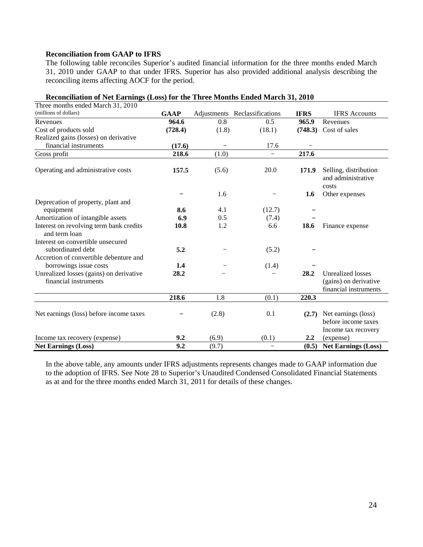### **Reconciliation from GAAP to IFRS**

The following table reconciles Superior's audited financial information for the three months ended March 31, 2010 under GAAP to that under IFRS. Superior has also provided additional analysis describing the reconciling items affecting AOCF for the period.

| Reconciliation of Net Earnings (Loss) for the Three Months Ended March 31, 2010 |             |       |                               |             |                                                      |  |  |  |
|---------------------------------------------------------------------------------|-------------|-------|-------------------------------|-------------|------------------------------------------------------|--|--|--|
| Three months ended March 31, 2010                                               |             |       |                               |             |                                                      |  |  |  |
| (millions of dollars)                                                           | <b>GAAP</b> |       | Adjustments Reclassifications | <b>IFRS</b> | <b>IFRS</b> Accounts                                 |  |  |  |
| Revenues                                                                        | 964.6       | 0.8   | 0.5                           | 965.9       | Revenues                                             |  |  |  |
| Cost of products sold                                                           | (728.4)     | (1.8) | (18.1)                        | (748.3)     | Cost of sales                                        |  |  |  |
| Realized gains (losses) on derivative                                           |             |       |                               |             |                                                      |  |  |  |
| financial instruments                                                           | (17.6)      |       | 17.6                          |             |                                                      |  |  |  |
| Gross profit                                                                    | 218.6       | (1.0) |                               | 217.6       |                                                      |  |  |  |
| Operating and administrative costs                                              | 157.5       | (5.6) | 20.0                          | 171.9       | Selling, distribution<br>and administrative<br>costs |  |  |  |
|                                                                                 |             | 1.6   |                               | 1.6         | Other expenses                                       |  |  |  |
| Deprecation of property, plant and                                              |             |       |                               |             |                                                      |  |  |  |
| equipment                                                                       | 8.6         | 4.1   | (12.7)                        |             |                                                      |  |  |  |
| Amortization of intangible assets                                               | 6.9         | 0.5   | (7.4)                         |             |                                                      |  |  |  |
| Interest on revolving term bank credits<br>and term loan                        | 10.8        | 1.2   | 6.6                           | 18.6        | Finance expense                                      |  |  |  |
| Interest on convertible unsecured                                               |             |       |                               |             |                                                      |  |  |  |
| subordinated debt                                                               | 5.2         |       | (5.2)                         |             |                                                      |  |  |  |
| Accretion of convertible debenture and                                          |             |       |                               |             |                                                      |  |  |  |
| borrowings issue costs                                                          | 1.4         |       | (1.4)                         |             |                                                      |  |  |  |
| Unrealized losses (gains) on derivative                                         | 28.2        |       |                               | 28.2        | <b>Unrealized losses</b>                             |  |  |  |
| financial instruments                                                           |             |       |                               |             | (gains) on derivative                                |  |  |  |
|                                                                                 |             |       |                               |             | financial instruments                                |  |  |  |
|                                                                                 | 218.6       | 1.8   | (0.1)                         | 220.3       |                                                      |  |  |  |
|                                                                                 |             |       |                               |             |                                                      |  |  |  |
| Net earnings (loss) before income taxes                                         |             | (2.8) | 0.1                           | (2.7)       | Net earnings (loss)                                  |  |  |  |
|                                                                                 |             |       |                               |             | before income taxes                                  |  |  |  |
|                                                                                 |             |       |                               |             | Income tax recovery                                  |  |  |  |
| Income tax recovery (expense)                                                   | 9.2         | (6.9) | (0.1)                         | 2.2         | (expense)                                            |  |  |  |
| <b>Net Earnings (Loss)</b>                                                      | 9.2         | (9.7) |                               | (0.5)       | <b>Net Earnings (Loss)</b>                           |  |  |  |

In the above table, any amounts under IFRS adjustments represents changes made to GAAP information due to the adoption of IFRS. See Note 28 to Superior's Unaudited Condensed Consolidated Financial Statements as at and for the three months ended March 31, 2011 for details of these changes.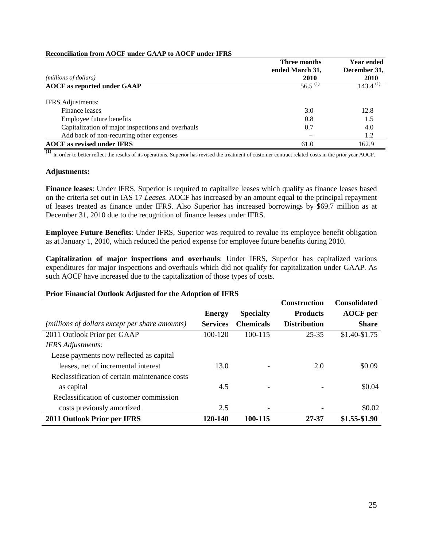#### **Reconciliation from AOCF under GAAP to AOCF under IFRS**

|                                                   | Three months<br>ended March 31, | <b>Year ended</b><br>December 31, |  |
|---------------------------------------------------|---------------------------------|-----------------------------------|--|
| (millions of dollars)                             | 2010                            | <b>2010</b>                       |  |
| <b>AOCF</b> as reported under GAAP                | $56.5^{(1)}$                    | $143.4^{(1)}$                     |  |
| IFRS Adjustments:                                 |                                 |                                   |  |
| Finance leases                                    | 3.0                             | 12.8                              |  |
| Employee future benefits                          | 0.8                             | 1.5                               |  |
| Capitalization of major inspections and overhauls | 0.7                             | 4.0                               |  |
| Add back of non-recurring other expenses          |                                 | 1.2                               |  |
| <b>AOCF</b> as revised under IFRS                 | 61.0                            | 162.9                             |  |

**(1)** In order to better reflect the results of its operations, Superior has revised the treatment of customer contract related costs in the prior year AOCF.

#### **Adjustments:**

**Finance leases**: Under IFRS, Superior is required to capitalize leases which qualify as finance leases based on the criteria set out in IAS 17 *Leases.* AOCF has increased by an amount equal to the principal repayment of leases treated as finance under IFRS. Also Superior has increased borrowings by \$69.7 million as at December 31, 2010 due to the recognition of finance leases under IFRS.

**Employee Future Benefits**: Under IFRS, Superior was required to revalue its employee benefit obligation as at January 1, 2010, which reduced the period expense for employee future benefits during 2010.

**Capitalization of major inspections and overhauls**: Under IFRS, Superior has capitalized various expenditures for major inspections and overhauls which did not qualify for capitalization under GAAP. As such AOCF have increased due to the capitalization of those types of costs.

| T TIOT FINANCIAL OULLOOK Augusted for the Auoption of IF KS |                 |                  |                     |                     |
|-------------------------------------------------------------|-----------------|------------------|---------------------|---------------------|
|                                                             |                 |                  | <b>Construction</b> | <b>Consolidated</b> |
|                                                             | <b>Energy</b>   | <b>Specialty</b> | <b>Products</b>     | <b>AOCF</b> per     |
| (millions of dollars except per share amounts)              | <b>Services</b> | <b>Chemicals</b> | <b>Distribution</b> | <b>Share</b>        |
| 2011 Outlook Prior per GAAP                                 | 100-120         | 100-115          | 25-35               | $$1.40-S1.75$       |
| <b>IFRS</b> Adjustments:                                    |                 |                  |                     |                     |
| Lease payments now reflected as capital                     |                 |                  |                     |                     |
| leases, net of incremental interest                         | 13.0            |                  | 2.0                 | \$0.09              |
| Reclassification of certain maintenance costs               |                 |                  |                     |                     |
| as capital                                                  | 4.5             |                  |                     | \$0.04              |
| Reclassification of customer commission                     |                 |                  |                     |                     |
| costs previously amortized                                  | 2.5             |                  |                     | \$0.02              |
| 2011 Outlook Prior per IFRS                                 | 120-140         | 100-115          | 27-37               | $$1.55 - $1.90$     |

# **Prior Financial Outlook Adjusted for the Adoption of IFRS**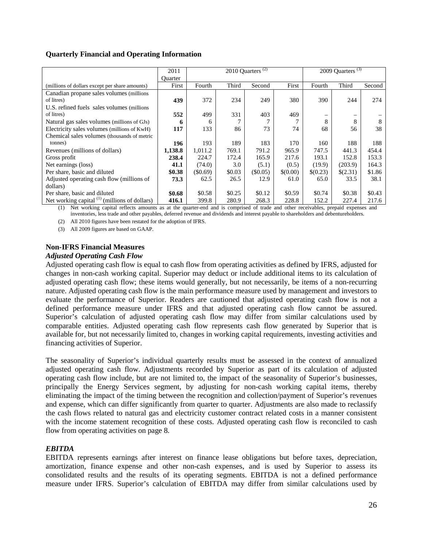# **Quarterly Financial and Operating Information**

|                                                 | 2011           |            |        | 2010 Quarters $(2)$ |          |          | 2009 Quarters $(3)$ |        |
|-------------------------------------------------|----------------|------------|--------|---------------------|----------|----------|---------------------|--------|
|                                                 | <b>Ouarter</b> |            |        |                     |          |          |                     |        |
| (millions of dollars except per share amounts)  | First          | Fourth     | Third  | Second              | First    | Fourth   | Third               | Second |
| Canadian propane sales volumes (millions)       |                |            |        |                     |          |          |                     |        |
| of litres)                                      | 439            | 372        | 234    | 249                 | 380      | 390      | 244                 | 274    |
| U.S. refined fuels sales volumes (millions)     |                |            |        |                     |          |          |                     |        |
| of litres)                                      | 552            | 499        | 331    | 403                 | 469      |          |                     |        |
| Natural gas sales volumes (millions of GJs)     | 6              | 6          |        |                     |          | 8        | 8                   | 8      |
| Electricity sales volumes (millions of KwH)     | 117            | 133        | 86     | 73                  | 74       | 68       | 56                  | 38     |
| Chemical sales volumes (thousands of metric     |                |            |        |                     |          |          |                     |        |
| tonnes)                                         | 196            | 193        | 189    | 183                 | 170      | 160      | 188                 | 188    |
| Revenues (millions of dollars)                  | 1,138.8        | 1.011.2    | 769.1  | 791.2               | 965.9    | 747.5    | 441.3               | 454.4  |
| Gross profit                                    | 238.4          | 224.7      | 172.4  | 165.9               | 217.6    | 193.1    | 152.8               | 153.3  |
| Net earnings (loss)                             | 41.1           | (74.0)     | 3.0    | (5.1)               | (0.5)    | (19.9)   | (203.9)             | 164.3  |
| Per share, basic and diluted                    | \$0.38         | $(\$0.69)$ | \$0.03 | $(\$0.05)$          | \$(0.00) | \$(0.23) | \$(2.31)            | \$1.86 |
| Adjusted operating cash flow (millions of       | 73.3           | 62.5       | 26.5   | 12.9                | 61.0     | 65.0     | 33.5                | 38.1   |
| dollars)                                        |                |            |        |                     |          |          |                     |        |
| Per share, basic and diluted                    | \$0.68         | \$0.58     | \$0.25 | \$0.12              | \$0.59   | \$0.74   | \$0.38              | \$0.43 |
| Net working capital $(1)$ (millions of dollars) | 416.1          | 399.8      | 280.9  | 268.3               | 228.8    | 152.2    | 227.4               | 217.6  |

(1) Net working capital reflects amounts as at the quarter-end and is comprised of trade and other receivables, prepaid expenses and inventories, less trade and other payables, deferred revenue and dividends and interest payable to shareholders and debentureholders.

(2) All 2010 figures have been restated for the adoption of IFRS.

(3) All 2009 figures are based on GAAP.

# **Non-IFRS Financial Measures**

#### *Adjusted Operating Cash Flow*

Adjusted operating cash flow is equal to cash flow from operating activities as defined by IFRS, adjusted for changes in non-cash working capital. Superior may deduct or include additional items to its calculation of adjusted operating cash flow; these items would generally, but not necessarily, be items of a non-recurring nature. Adjusted operating cash flow is the main performance measure used by management and investors to evaluate the performance of Superior. Readers are cautioned that adjusted operating cash flow is not a defined performance measure under IFRS and that adjusted operating cash flow cannot be assured. Superior's calculation of adjusted operating cash flow may differ from similar calculations used by comparable entities. Adjusted operating cash flow represents cash flow generated by Superior that is available for, but not necessarily limited to, changes in working capital requirements, investing activities and financing activities of Superior.

The seasonality of Superior's individual quarterly results must be assessed in the context of annualized adjusted operating cash flow. Adjustments recorded by Superior as part of its calculation of adjusted operating cash flow include, but are not limited to, the impact of the seasonality of Superior's businesses, principally the Energy Services segment, by adjusting for non-cash working capital items, thereby eliminating the impact of the timing between the recognition and collection/payment of Superior's revenues and expense, which can differ significantly from quarter to quarter. Adjustments are also made to reclassify the cash flows related to natural gas and electricity customer contract related costs in a manner consistent with the income statement recognition of these costs. Adjusted operating cash flow is reconciled to cash flow from operating activities on page 8.

# *EBITDA*

EBITDA represents earnings after interest on finance lease obligations but before taxes, depreciation, amortization, finance expense and other non-cash expenses, and is used by Superior to assess its consolidated results and the results of its operating segments. EBITDA is not a defined performance measure under IFRS. Superior's calculation of EBITDA may differ from similar calculations used by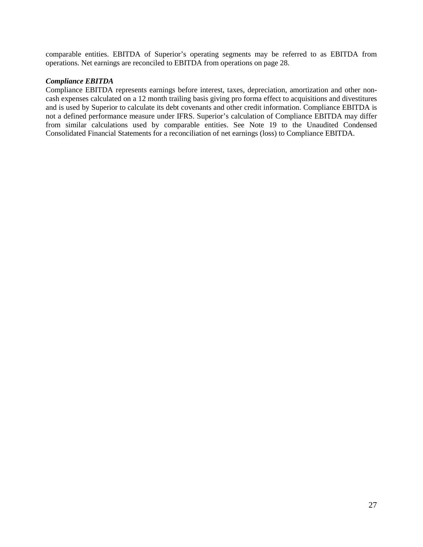comparable entities. EBITDA of Superior's operating segments may be referred to as EBITDA from operations. Net earnings are reconciled to EBITDA from operations on page 28.

# *Compliance EBITDA*

Compliance EBITDA represents earnings before interest, taxes, depreciation, amortization and other noncash expenses calculated on a 12 month trailing basis giving pro forma effect to acquisitions and divestitures and is used by Superior to calculate its debt covenants and other credit information. Compliance EBITDA is not a defined performance measure under IFRS. Superior's calculation of Compliance EBITDA may differ from similar calculations used by comparable entities. See Note 19 to the Unaudited Condensed Consolidated Financial Statements for a reconciliation of net earnings (loss) to Compliance EBITDA.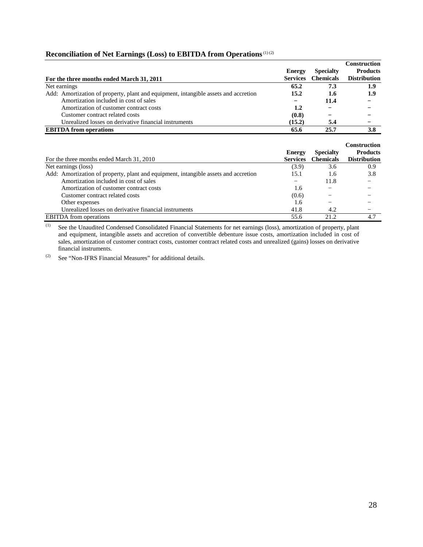|  |  |  | Reconciliation of Net Earnings (Loss) to EBITDA from Operations <sup>(1)(2)</sup> |
|--|--|--|-----------------------------------------------------------------------------------|
|--|--|--|-----------------------------------------------------------------------------------|

|                                                                                     |                 |                  | <b>Construction</b> |
|-------------------------------------------------------------------------------------|-----------------|------------------|---------------------|
|                                                                                     | <b>Energy</b>   | <b>Specialty</b> | <b>Products</b>     |
| For the three months ended March 31, 2011                                           | <b>Services</b> | <b>Chemicals</b> | <b>Distribution</b> |
| Net earnings                                                                        | 65.2            | 7.3              | 1.9                 |
| Add: Amortization of property, plant and equipment, intangible assets and accretion | 15.2            | 1.6              | 1.9                 |
| Amortization included in cost of sales                                              |                 | 11.4             |                     |
| Amortization of customer contract costs                                             | 1.2             |                  |                     |
| Customer contract related costs                                                     | (0.8)           |                  |                     |
| Unrealized losses on derivative financial instruments                               | (15.2)          | 5.4              |                     |
| <b>EBITDA</b> from operations                                                       | 65.6            | 25.7             | 3.8                 |

| For the three months ended March 31, 2010                                           | Energy<br><b>Services</b> | <b>Specialty</b><br><b>Chemicals</b> | <b>Construction</b><br><b>Products</b><br><b>Distribution</b> |
|-------------------------------------------------------------------------------------|---------------------------|--------------------------------------|---------------------------------------------------------------|
| Net earnings (loss)                                                                 | (3.9)                     | 3.6                                  | 0.9                                                           |
| Add: Amortization of property, plant and equipment, intangible assets and accretion | 15.1                      | 1.6                                  | 3.8                                                           |
| Amortization included in cost of sales                                              |                           | 11.8                                 |                                                               |
| Amortization of customer contract costs                                             | 1.6                       |                                      |                                                               |
| Customer contract related costs                                                     | (0.6)                     |                                      |                                                               |
| Other expenses                                                                      | 1.6                       |                                      |                                                               |
| Unrealized losses on derivative financial instruments                               | 41.8                      | 4.2                                  |                                                               |
| <b>EBITDA</b> from operations                                                       | 55.6                      | 21.2                                 | 4.7                                                           |

(1) See the Unaudited Condensed Consolidated Financial Statements for net earnings (loss), amortization of property, plant and equipment, intangible assets and accretion of convertible debenture issue costs, amortization included in cost of sales, amortization of customer contract costs, customer contract related costs and unrealized (gains) losses on derivative financial instruments.

(2) See "Non-IFRS Financial Measures" for additional details.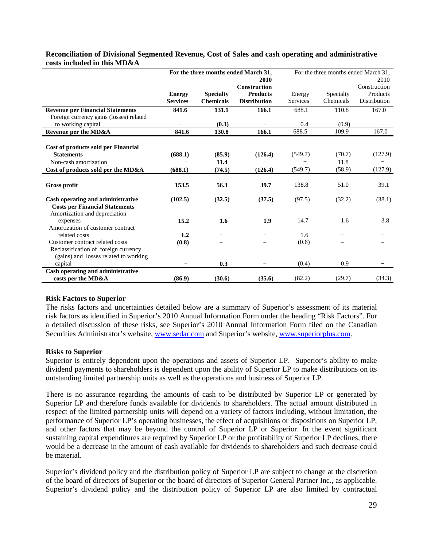|                                                                            | For the three months ended March 31, |                  |                     | For the three months ended March 31, |           |              |  |
|----------------------------------------------------------------------------|--------------------------------------|------------------|---------------------|--------------------------------------|-----------|--------------|--|
|                                                                            |                                      |                  | 2010                |                                      |           | 2010         |  |
|                                                                            |                                      |                  | <b>Construction</b> |                                      |           | Construction |  |
|                                                                            | <b>Energy</b>                        | <b>Specialty</b> | <b>Products</b>     | Energy                               | Specialty | Products     |  |
|                                                                            | <b>Services</b>                      | <b>Chemicals</b> | <b>Distribution</b> | Services                             | Chemicals | Distribution |  |
| <b>Revenue per Financial Statements</b>                                    | 841.6                                | 131.1            | 166.1               | 688.1                                | 110.8     | 167.0        |  |
| Foreign currency gains (losses) related                                    |                                      |                  |                     |                                      |           |              |  |
| to working capital                                                         |                                      | (0.3)            |                     | 0.4                                  | (0.9)     |              |  |
| Revenue per the MD&A                                                       | 841.6                                | 130.8            | 166.1               | 688.5                                | 109.9     | 167.0        |  |
|                                                                            |                                      |                  |                     |                                      |           |              |  |
| Cost of products sold per Financial                                        |                                      |                  |                     |                                      |           |              |  |
| <b>Statements</b>                                                          | (688.1)                              | (85.9)           | (126.4)             | (549.7)                              | (70.7)    | (127.9)      |  |
| Non-cash amortization                                                      |                                      | 11.4             |                     |                                      | 11.8      |              |  |
| Cost of products sold per the MD&A                                         | (688.1)                              | (74.5)           | (126.4)             | (549.7)                              | (58.9)    | (127.9)      |  |
| <b>Gross profit</b>                                                        | 153.5                                | 56.3             | 39.7                | 138.8                                | 51.0      | 39.1         |  |
| Cash operating and administrative<br><b>Costs per Financial Statements</b> | (102.5)                              | (32.5)           | (37.5)              | (97.5)                               | (32.2)    | (38.1)       |  |
| Amortization and depreciation                                              |                                      |                  |                     |                                      |           |              |  |
| expenses                                                                   | 15.2                                 | 1.6              | 1.9                 | 14.7                                 | 1.6       | 3.8          |  |
| Amortization of customer contract                                          |                                      |                  |                     |                                      |           |              |  |
| related costs                                                              | 1.2                                  |                  |                     | 1.6                                  |           |              |  |
| Customer contract related costs                                            | (0.8)                                |                  |                     | (0.6)                                |           |              |  |
| Reclassification of foreign currency                                       |                                      |                  |                     |                                      |           |              |  |
| (gains) and losses related to working                                      |                                      |                  |                     |                                      |           |              |  |
| capital                                                                    |                                      | 0.3              |                     | (0.4)                                | 0.9       |              |  |
| Cash operating and administrative                                          |                                      |                  |                     |                                      |           |              |  |
| costs per the MD&A                                                         | (86.9)                               | (30.6)           | (35.6)              | (82.2)                               | (29.7)    | (34.3)       |  |

### **Reconciliation of Divisional Segmented Revenue, Cost of Sales and cash operating and administrative costs included in this MD&A**

# **Risk Factors to Superior**

The risks factors and uncertainties detailed below are a summary of Superior's assessment of its material risk factors as identified in Superior's 2010 Annual Information Form under the heading "Risk Factors". For a detailed discussion of these risks, see Superior's 2010 Annual Information Form filed on the Canadian Securities Administrator's website, www.sedar.com and Superior's website, www.superiorplus.com.

# **Risks to Superior**

Superior is entirely dependent upon the operations and assets of Superior LP. Superior's ability to make dividend payments to shareholders is dependent upon the ability of Superior LP to make distributions on its outstanding limited partnership units as well as the operations and business of Superior LP.

There is no assurance regarding the amounts of cash to be distributed by Superior LP or generated by Superior LP and therefore funds available for dividends to shareholders. The actual amount distributed in respect of the limited partnership units will depend on a variety of factors including, without limitation, the performance of Superior LP's operating businesses, the effect of acquisitions or dispositions on Superior LP, and other factors that may be beyond the control of Superior LP or Superior. In the event significant sustaining capital expenditures are required by Superior LP or the profitability of Superior LP declines, there would be a decrease in the amount of cash available for dividends to shareholders and such decrease could be material.

Superior's dividend policy and the distribution policy of Superior LP are subject to change at the discretion of the board of directors of Superior or the board of directors of Superior General Partner Inc., as applicable. Superior's dividend policy and the distribution policy of Superior LP are also limited by contractual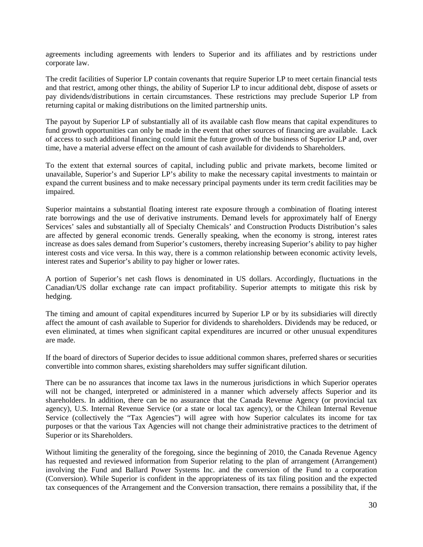agreements including agreements with lenders to Superior and its affiliates and by restrictions under corporate law.

The credit facilities of Superior LP contain covenants that require Superior LP to meet certain financial tests and that restrict, among other things, the ability of Superior LP to incur additional debt, dispose of assets or pay dividends/distributions in certain circumstances. These restrictions may preclude Superior LP from returning capital or making distributions on the limited partnership units.

The payout by Superior LP of substantially all of its available cash flow means that capital expenditures to fund growth opportunities can only be made in the event that other sources of financing are available. Lack of access to such additional financing could limit the future growth of the business of Superior LP and, over time, have a material adverse effect on the amount of cash available for dividends to Shareholders.

To the extent that external sources of capital, including public and private markets, become limited or unavailable, Superior's and Superior LP's ability to make the necessary capital investments to maintain or expand the current business and to make necessary principal payments under its term credit facilities may be impaired.

Superior maintains a substantial floating interest rate exposure through a combination of floating interest rate borrowings and the use of derivative instruments. Demand levels for approximately half of Energy Services' sales and substantially all of Specialty Chemicals' and Construction Products Distribution's sales are affected by general economic trends. Generally speaking, when the economy is strong, interest rates increase as does sales demand from Superior's customers, thereby increasing Superior's ability to pay higher interest costs and vice versa. In this way, there is a common relationship between economic activity levels, interest rates and Superior's ability to pay higher or lower rates.

A portion of Superior's net cash flows is denominated in US dollars. Accordingly, fluctuations in the Canadian/US dollar exchange rate can impact profitability. Superior attempts to mitigate this risk by hedging.

The timing and amount of capital expenditures incurred by Superior LP or by its subsidiaries will directly affect the amount of cash available to Superior for dividends to shareholders. Dividends may be reduced, or even eliminated, at times when significant capital expenditures are incurred or other unusual expenditures are made.

If the board of directors of Superior decides to issue additional common shares, preferred shares or securities convertible into common shares, existing shareholders may suffer significant dilution.

There can be no assurances that income tax laws in the numerous jurisdictions in which Superior operates will not be changed, interpreted or administered in a manner which adversely affects Superior and its shareholders. In addition, there can be no assurance that the Canada Revenue Agency (or provincial tax agency), U.S. Internal Revenue Service (or a state or local tax agency), or the Chilean Internal Revenue Service (collectively the "Tax Agencies") will agree with how Superior calculates its income for tax purposes or that the various Tax Agencies will not change their administrative practices to the detriment of Superior or its Shareholders.

Without limiting the generality of the foregoing, since the beginning of 2010, the Canada Revenue Agency has requested and reviewed information from Superior relating to the plan of arrangement (Arrangement) involving the Fund and Ballard Power Systems Inc. and the conversion of the Fund to a corporation (Conversion). While Superior is confident in the appropriateness of its tax filing position and the expected tax consequences of the Arrangement and the Conversion transaction, there remains a possibility that, if the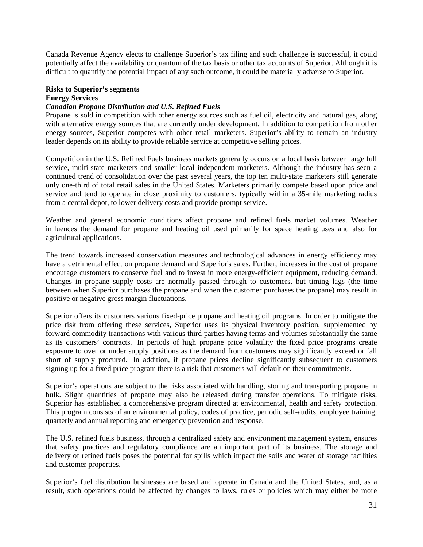Canada Revenue Agency elects to challenge Superior's tax filing and such challenge is successful, it could potentially affect the availability or quantum of the tax basis or other tax accounts of Superior. Although it is difficult to quantify the potential impact of any such outcome, it could be materially adverse to Superior.

# **Risks to Superior's segments Energy Services**

# *Canadian Propane Distribution and U.S. Refined Fuels*

Propane is sold in competition with other energy sources such as fuel oil, electricity and natural gas, along with alternative energy sources that are currently under development. In addition to competition from other energy sources, Superior competes with other retail marketers. Superior's ability to remain an industry leader depends on its ability to provide reliable service at competitive selling prices.

Competition in the U.S. Refined Fuels business markets generally occurs on a local basis between large full service, multi-state marketers and smaller local independent marketers. Although the industry has seen a continued trend of consolidation over the past several years, the top ten multi-state marketers still generate only one-third of total retail sales in the United States. Marketers primarily compete based upon price and service and tend to operate in close proximity to customers, typically within a 35-mile marketing radius from a central depot, to lower delivery costs and provide prompt service.

Weather and general economic conditions affect propane and refined fuels market volumes. Weather influences the demand for propane and heating oil used primarily for space heating uses and also for agricultural applications.

The trend towards increased conservation measures and technological advances in energy efficiency may have a detrimental effect on propane demand and Superior's sales. Further, increases in the cost of propane encourage customers to conserve fuel and to invest in more energy-efficient equipment, reducing demand. Changes in propane supply costs are normally passed through to customers, but timing lags (the time between when Superior purchases the propane and when the customer purchases the propane) may result in positive or negative gross margin fluctuations.

Superior offers its customers various fixed-price propane and heating oil programs. In order to mitigate the price risk from offering these services, Superior uses its physical inventory position, supplemented by forward commodity transactions with various third parties having terms and volumes substantially the same as its customers' contracts. In periods of high propane price volatility the fixed price programs create exposure to over or under supply positions as the demand from customers may significantly exceed or fall short of supply procured. In addition, if propane prices decline significantly subsequent to customers signing up for a fixed price program there is a risk that customers will default on their commitments.

Superior's operations are subject to the risks associated with handling, storing and transporting propane in bulk. Slight quantities of propane may also be released during transfer operations. To mitigate risks, Superior has established a comprehensive program directed at environmental, health and safety protection. This program consists of an environmental policy, codes of practice, periodic self-audits, employee training, quarterly and annual reporting and emergency prevention and response.

The U.S. refined fuels business, through a centralized safety and environment management system, ensures that safety practices and regulatory compliance are an important part of its business. The storage and delivery of refined fuels poses the potential for spills which impact the soils and water of storage facilities and customer properties.

Superior's fuel distribution businesses are based and operate in Canada and the United States, and, as a result, such operations could be affected by changes to laws, rules or policies which may either be more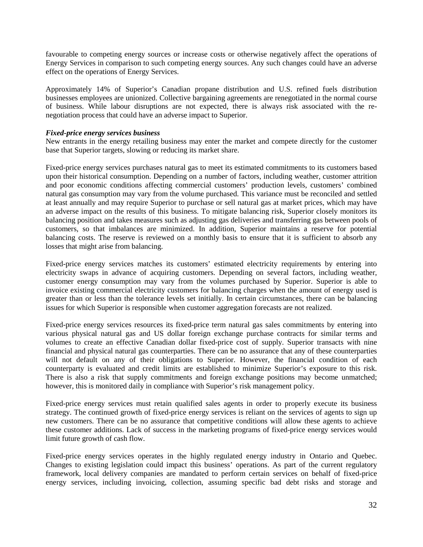favourable to competing energy sources or increase costs or otherwise negatively affect the operations of Energy Services in comparison to such competing energy sources. Any such changes could have an adverse effect on the operations of Energy Services.

Approximately 14% of Superior's Canadian propane distribution and U.S. refined fuels distribution businesses employees are unionized. Collective bargaining agreements are renegotiated in the normal course of business. While labour disruptions are not expected, there is always risk associated with the renegotiation process that could have an adverse impact to Superior.

### *Fixed-price energy services business*

New entrants in the energy retailing business may enter the market and compete directly for the customer base that Superior targets, slowing or reducing its market share.

Fixed-price energy services purchases natural gas to meet its estimated commitments to its customers based upon their historical consumption. Depending on a number of factors, including weather, customer attrition and poor economic conditions affecting commercial customers' production levels, customers' combined natural gas consumption may vary from the volume purchased. This variance must be reconciled and settled at least annually and may require Superior to purchase or sell natural gas at market prices, which may have an adverse impact on the results of this business. To mitigate balancing risk, Superior closely monitors its balancing position and takes measures such as adjusting gas deliveries and transferring gas between pools of customers, so that imbalances are minimized. In addition, Superior maintains a reserve for potential balancing costs. The reserve is reviewed on a monthly basis to ensure that it is sufficient to absorb any losses that might arise from balancing.

Fixed-price energy services matches its customers' estimated electricity requirements by entering into electricity swaps in advance of acquiring customers. Depending on several factors, including weather, customer energy consumption may vary from the volumes purchased by Superior. Superior is able to invoice existing commercial electricity customers for balancing charges when the amount of energy used is greater than or less than the tolerance levels set initially. In certain circumstances, there can be balancing issues for which Superior is responsible when customer aggregation forecasts are not realized.

Fixed-price energy services resources its fixed-price term natural gas sales commitments by entering into various physical natural gas and US dollar foreign exchange purchase contracts for similar terms and volumes to create an effective Canadian dollar fixed-price cost of supply. Superior transacts with nine financial and physical natural gas counterparties. There can be no assurance that any of these counterparties will not default on any of their obligations to Superior. However, the financial condition of each counterparty is evaluated and credit limits are established to minimize Superior's exposure to this risk. There is also a risk that supply commitments and foreign exchange positions may become unmatched; however, this is monitored daily in compliance with Superior's risk management policy.

Fixed-price energy services must retain qualified sales agents in order to properly execute its business strategy. The continued growth of fixed-price energy services is reliant on the services of agents to sign up new customers. There can be no assurance that competitive conditions will allow these agents to achieve these customer additions. Lack of success in the marketing programs of fixed-price energy services would limit future growth of cash flow.

Fixed-price energy services operates in the highly regulated energy industry in Ontario and Quebec. Changes to existing legislation could impact this business' operations. As part of the current regulatory framework, local delivery companies are mandated to perform certain services on behalf of fixed-price energy services, including invoicing, collection, assuming specific bad debt risks and storage and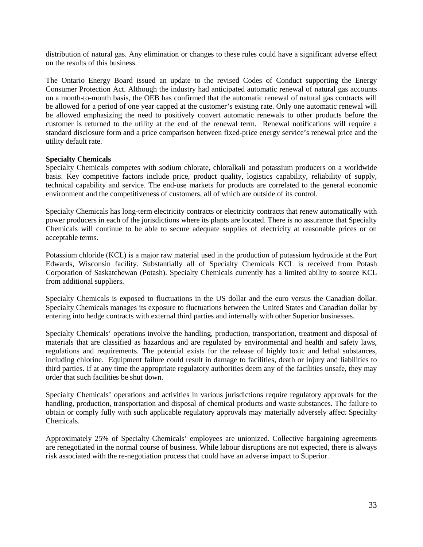distribution of natural gas. Any elimination or changes to these rules could have a significant adverse effect on the results of this business.

The Ontario Energy Board issued an update to the revised Codes of Conduct supporting the Energy Consumer Protection Act. Although the industry had anticipated automatic renewal of natural gas accounts on a month-to-month basis, the OEB has confirmed that the automatic renewal of natural gas contracts will be allowed for a period of one year capped at the customer's existing rate. Only one automatic renewal will be allowed emphasizing the need to positively convert automatic renewals to other products before the customer is returned to the utility at the end of the renewal term. Renewal notifications will require a standard disclosure form and a price comparison between fixed-price energy service's renewal price and the utility default rate.

### **Specialty Chemicals**

Specialty Chemicals competes with sodium chlorate, chloralkali and potassium producers on a worldwide basis. Key competitive factors include price, product quality, logistics capability, reliability of supply, technical capability and service. The end-use markets for products are correlated to the general economic environment and the competitiveness of customers, all of which are outside of its control.

Specialty Chemicals has long-term electricity contracts or electricity contracts that renew automatically with power producers in each of the jurisdictions where its plants are located. There is no assurance that Specialty Chemicals will continue to be able to secure adequate supplies of electricity at reasonable prices or on acceptable terms.

Potassium chloride (KCL) is a major raw material used in the production of potassium hydroxide at the Port Edwards, Wisconsin facility. Substantially all of Specialty Chemicals KCL is received from Potash Corporation of Saskatchewan (Potash). Specialty Chemicals currently has a limited ability to source KCL from additional suppliers.

Specialty Chemicals is exposed to fluctuations in the US dollar and the euro versus the Canadian dollar. Specialty Chemicals manages its exposure to fluctuations between the United States and Canadian dollar by entering into hedge contracts with external third parties and internally with other Superior businesses.

Specialty Chemicals' operations involve the handling, production, transportation, treatment and disposal of materials that are classified as hazardous and are regulated by environmental and health and safety laws, regulations and requirements. The potential exists for the release of highly toxic and lethal substances, including chlorine. Equipment failure could result in damage to facilities, death or injury and liabilities to third parties. If at any time the appropriate regulatory authorities deem any of the facilities unsafe, they may order that such facilities be shut down.

Specialty Chemicals' operations and activities in various jurisdictions require regulatory approvals for the handling, production, transportation and disposal of chemical products and waste substances. The failure to obtain or comply fully with such applicable regulatory approvals may materially adversely affect Specialty Chemicals.

Approximately 25% of Specialty Chemicals' employees are unionized. Collective bargaining agreements are renegotiated in the normal course of business. While labour disruptions are not expected, there is always risk associated with the re-negotiation process that could have an adverse impact to Superior.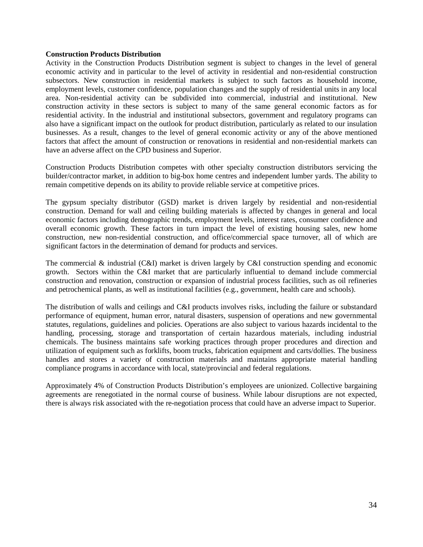#### **Construction Products Distribution**

Activity in the Construction Products Distribution segment is subject to changes in the level of general economic activity and in particular to the level of activity in residential and non-residential construction subsectors. New construction in residential markets is subject to such factors as household income, employment levels, customer confidence, population changes and the supply of residential units in any local area. Non-residential activity can be subdivided into commercial, industrial and institutional. New construction activity in these sectors is subject to many of the same general economic factors as for residential activity. In the industrial and institutional subsectors, government and regulatory programs can also have a significant impact on the outlook for product distribution, particularly as related to our insulation businesses. As a result, changes to the level of general economic activity or any of the above mentioned factors that affect the amount of construction or renovations in residential and non-residential markets can have an adverse affect on the CPD business and Superior.

Construction Products Distribution competes with other specialty construction distributors servicing the builder/contractor market, in addition to big-box home centres and independent lumber yards. The ability to remain competitive depends on its ability to provide reliable service at competitive prices.

The gypsum specialty distributor (GSD) market is driven largely by residential and non-residential construction. Demand for wall and ceiling building materials is affected by changes in general and local economic factors including demographic trends, employment levels, interest rates, consumer confidence and overall economic growth. These factors in turn impact the level of existing housing sales, new home construction, new non-residential construction, and office/commercial space turnover, all of which are significant factors in the determination of demand for products and services.

The commercial  $\&$  industrial (C $\&$ I) market is driven largely by C $\&$ I construction spending and economic growth. Sectors within the C&I market that are particularly influential to demand include commercial construction and renovation, construction or expansion of industrial process facilities, such as oil refineries and petrochemical plants, as well as institutional facilities (e.g., government, health care and schools).

The distribution of walls and ceilings and C&I products involves risks, including the failure or substandard performance of equipment, human error, natural disasters, suspension of operations and new governmental statutes, regulations, guidelines and policies. Operations are also subject to various hazards incidental to the handling, processing, storage and transportation of certain hazardous materials, including industrial chemicals. The business maintains safe working practices through proper procedures and direction and utilization of equipment such as forklifts, boom trucks, fabrication equipment and carts/dollies. The business handles and stores a variety of construction materials and maintains appropriate material handling compliance programs in accordance with local, state/provincial and federal regulations.

Approximately 4% of Construction Products Distribution's employees are unionized. Collective bargaining agreements are renegotiated in the normal course of business. While labour disruptions are not expected, there is always risk associated with the re-negotiation process that could have an adverse impact to Superior.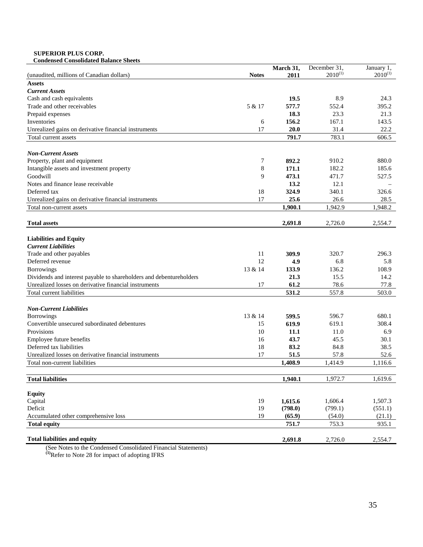#### **SUPERIOR PLUS CORP. Condensed Consolidated Balance Sheets**

|                                                                     |              | March 31, | December 31, | January 1,   |
|---------------------------------------------------------------------|--------------|-----------|--------------|--------------|
| (unaudited, millions of Canadian dollars)                           | <b>Notes</b> | 2011      | $2010^{(1)}$ | $2010^{(1)}$ |
| <b>Assets</b>                                                       |              |           |              |              |
| <b>Current Assets</b>                                               |              |           |              |              |
| Cash and cash equivalents                                           |              | 19.5      | 8.9          | 24.3         |
| Trade and other receivables                                         | 5 & 17       | 577.7     | 552.4        | 395.2        |
| Prepaid expenses                                                    |              | 18.3      | 23.3         | 21.3         |
| Inventories                                                         | 6            | 156.2     | 167.1        | 143.5        |
| Unrealized gains on derivative financial instruments                | 17           | 20.0      | 31.4         | 22.2         |
| Total current assets                                                |              | 791.7     | 783.1        | 606.5        |
|                                                                     |              |           |              |              |
| <b>Non-Current Assets</b>                                           |              |           |              |              |
| Property, plant and equipment                                       | 7            | 892.2     | 910.2        | 880.0        |
| Intangible assets and investment property                           | $\,$ 8 $\,$  | 171.1     | 182.2        | 185.6        |
| Goodwill                                                            | 9            | 473.1     | 471.7        | 527.5        |
| Notes and finance lease receivable                                  |              | 13.2      | 12.1         |              |
| Deferred tax                                                        | 18           | 324.9     | 340.1        | 326.6        |
| Unrealized gains on derivative financial instruments                | 17           | 25.6      | 26.6         | 28.5         |
| Total non-current assets                                            |              | 1,900.1   | 1,942.9      | 1,948.2      |
|                                                                     |              |           |              |              |
| <b>Total assets</b>                                                 |              | 2,691.8   | 2,726.0      | 2,554.7      |
|                                                                     |              |           |              |              |
| <b>Liabilities and Equity</b>                                       |              |           |              |              |
| <b>Current Liabilities</b>                                          |              |           |              |              |
| Trade and other payables                                            | 11           | 309.9     | 320.7        | 296.3        |
| Deferred revenue                                                    | 12           | 4.9       | 6.8          | 5.8          |
| <b>Borrowings</b>                                                   | 13 & 14      | 133.9     | 136.2        | 108.9        |
| Dividends and interest payable to shareholders and debentureholders |              | 21.3      | 15.5         | 14.2         |
| Unrealized losses on derivative financial instruments               | 17           | 61.2      | 78.6         | 77.8         |
| Total current liabilities                                           |              | 531.2     | 557.8        | 503.0        |
|                                                                     |              |           |              |              |
| <b>Non-Current Liabilities</b>                                      |              |           |              |              |
| <b>Borrowings</b>                                                   | 13 & 14      | 599.5     | 596.7        | 680.1        |
| Convertible unsecured subordinated debentures                       | 15           | 619.9     | 619.1        | 308.4        |
| Provisions                                                          | 10           | 11.1      | 11.0         | 6.9          |
| Employee future benefits                                            | 16           | 43.7      | 45.5         | 30.1         |
| Deferred tax liabilities                                            | 18           | 83.2      | 84.8         | 38.5         |
| Unrealized losses on derivative financial instruments               | 17           | 51.5      | 57.8         | 52.6         |
| Total non-current liabilities                                       |              | 1,408.9   | 1,414.9      | 1,116.6      |
|                                                                     |              |           |              |              |
| <b>Total liabilities</b>                                            |              | 1,940.1   | 1,972.7      | 1,619.6      |
|                                                                     |              |           |              |              |
| <b>Equity</b>                                                       |              |           |              |              |
| Capital                                                             | 19           | 1,615.6   | 1,606.4      | 1,507.3      |
| Deficit                                                             | 19           | (798.0)   | (799.1)      | (551.1)      |
| Accumulated other comprehensive loss                                | 19           | (65.9)    | (54.0)       | (21.1)       |
| <b>Total equity</b>                                                 |              | 751.7     | 753.3        | 935.1        |
| <b>Total liabilities and equity</b>                                 |              |           |              |              |
|                                                                     |              | 2,691.8   | 2,726.0      | 2,554.7      |

(See Notes to the Condensed Consolidated Financial Statements) **(1)**Refer to Note 28 for impact of adopting IFRS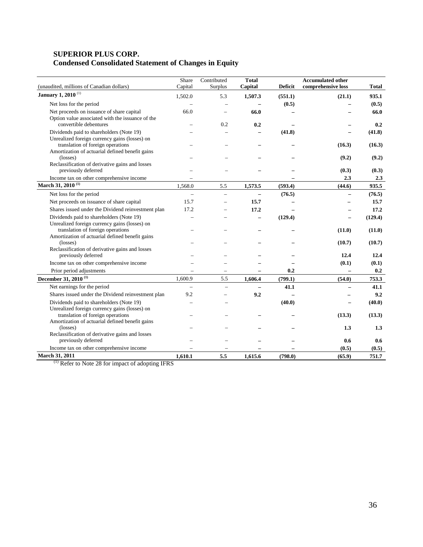# **SUPERIOR PLUS CORP. Condensed Consolidated Statement of Changes in Equity**

| (unaudited, millions of Canadian dollars)                                                                               | Share<br>Capital | Contributed<br>Surplus   | <b>Total</b><br>Capital | <b>Deficit</b> | <b>Accumulated other</b><br>comprehensive loss | Total          |
|-------------------------------------------------------------------------------------------------------------------------|------------------|--------------------------|-------------------------|----------------|------------------------------------------------|----------------|
| January 1, 2010 <sup>(1)</sup>                                                                                          | 1,502.0          | 5.3                      | 1,507.3                 | (551.1)        | (21.1)                                         | 935.1          |
| Net loss for the period                                                                                                 |                  |                          |                         | (0.5)          |                                                | (0.5)          |
| Net proceeds on issuance of share capital<br>Option value associated with the issuance of the<br>convertible debentures | 66.0             | 0.2                      | 66.0<br>0.2             |                |                                                | 66.0<br>0.2    |
| Dividends paid to shareholders (Note 19)<br>Unrealized foreign currency gains (losses) on                               |                  |                          |                         | (41.8)         |                                                | (41.8)         |
| translation of foreign operations<br>Amortization of actuarial defined benefit gains                                    |                  |                          |                         |                | (16.3)                                         | (16.3)         |
| $(\text{losses})$<br>Reclassification of derivative gains and losses<br>previously deferred                             |                  |                          |                         |                | (9.2)<br>(0.3)                                 | (9.2)<br>(0.3) |
| Income tax on other comprehensive income                                                                                |                  |                          |                         |                | 2.3                                            | 2.3            |
| March 31, 2010 <sup>(1)</sup>                                                                                           | 1,568.0          | 5.5                      | 1,573.5                 | (593.4)        | (44.6)                                         | 935.5          |
| Net loss for the period                                                                                                 | $\overline{a}$   | $\overline{\phantom{0}}$ |                         | (76.5)         | $\overline{a}$                                 | (76.5)         |
| Net proceeds on issuance of share capital                                                                               | 15.7             |                          | 15.7                    |                | $\overline{\phantom{0}}$                       | 15.7           |
| Shares issued under the Dividend reinvestment plan                                                                      | 17.2             |                          | 17.2                    |                | $\overline{\phantom{0}}$                       | 17.2           |
| Dividends paid to shareholders (Note 19)<br>Unrealized foreign currency gains (losses) on                               |                  |                          | $\equiv$                | (129.4)        | $\overline{\phantom{0}}$                       | (129.4)        |
| translation of foreign operations<br>Amortization of actuarial defined benefit gains                                    |                  |                          |                         |                | (11.0)                                         | (11.0)         |
| $(\text{losses})$<br>Reclassification of derivative gains and losses<br>previously deferred                             |                  |                          |                         |                | (10.7)<br>12.4                                 | (10.7)<br>12.4 |
| Income tax on other comprehensive income                                                                                |                  |                          |                         |                | (0.1)                                          | (0.1)          |
| Prior period adjustments                                                                                                |                  |                          |                         | 0.2            |                                                | 0.2            |
| December 31, 2010 <sup>(1)</sup>                                                                                        | 1,600.9          | 5.5                      | 1,606.4                 | (799.1)        | (54.0)                                         | 753.3          |
| Net earnings for the period                                                                                             | $\overline{a}$   | $\overline{a}$           |                         | 41.1           | $\overline{\phantom{0}}$                       | 41.1           |
| Shares issued under the Dividend reinvestment plan                                                                      | 9.2              |                          | 9.2                     |                |                                                | 9.2            |
| Dividends paid to shareholders (Note 19)<br>Unrealized foreign currency gains (losses) on                               |                  |                          |                         | (40.0)         | $\overline{\phantom{0}}$                       | (40.0)         |
| translation of foreign operations<br>Amortization of actuarial defined benefit gains                                    |                  |                          |                         |                | (13.3)                                         | (13.3)         |
| (losses)<br>Reclassification of derivative gains and losses<br>previously deferred                                      |                  |                          |                         |                | 1.3<br>0.6                                     | 1.3<br>0.6     |
| Income tax on other comprehensive income                                                                                |                  |                          |                         |                | (0.5)                                          | (0.5)          |
| March 31, 2011                                                                                                          | 1,610.1          | 5.5                      | 1,615.6                 | (798.0)        | (65.9)                                         | 751.7          |

 $^{(1)}$  Refer to Note 28 for impact of adopting IFRS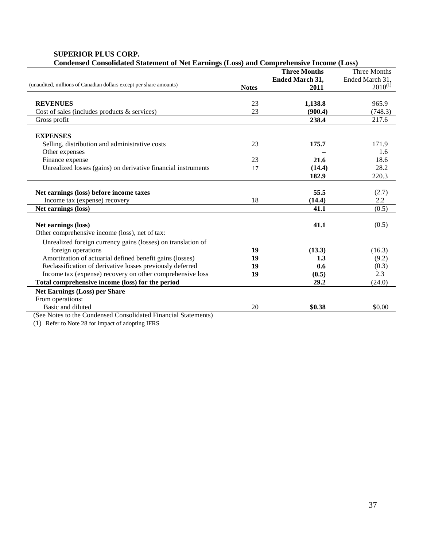| Condensed Consondated Statement of Fet Earlings (Loss) and Comprenensive income (Loss) |              |                        |                 |
|----------------------------------------------------------------------------------------|--------------|------------------------|-----------------|
|                                                                                        |              | <b>Three Months</b>    | Three Months    |
|                                                                                        |              | <b>Ended March 31,</b> | Ended March 31, |
| (unaudited, millions of Canadian dollars except per share amounts)                     | <b>Notes</b> | 2011                   | $2010^{(1)}$    |
|                                                                                        |              |                        |                 |
| <b>REVENUES</b>                                                                        | 23           | 1,138.8                | 965.9           |
| Cost of sales (includes products $&$ services)                                         | 23           | (900.4)                | (748.3)         |
| Gross profit                                                                           |              | 238.4                  | 217.6           |
| <b>EXPENSES</b>                                                                        |              |                        |                 |
| Selling, distribution and administrative costs                                         | 23           | 175.7                  | 171.9           |
| Other expenses                                                                         |              |                        | 1.6             |
| Finance expense                                                                        | 23           | 21.6                   | 18.6            |
| Unrealized losses (gains) on derivative financial instruments                          | 17           | (14.4)                 | 28.2            |
|                                                                                        |              | 182.9                  | 220.3           |
| Net earnings (loss) before income taxes                                                |              | 55.5                   | (2.7)           |
| Income tax (expense) recovery                                                          | 18           | (14.4)                 | 2.2             |
| Net earnings (loss)                                                                    |              | 41.1                   | (0.5)           |
|                                                                                        |              |                        |                 |
| Net earnings (loss)                                                                    |              | 41.1                   | (0.5)           |
| Other comprehensive income (loss), net of tax:                                         |              |                        |                 |
| Unrealized foreign currency gains (losses) on translation of                           |              |                        |                 |
| foreign operations                                                                     | 19           | (13.3)                 | (16.3)          |
| Amortization of actuarial defined benefit gains (losses)                               | 19           | 1.3                    | (9.2)           |
| Reclassification of derivative losses previously deferred                              | 19           | 0.6                    | (0.3)           |
| Income tax (expense) recovery on other comprehensive loss                              | 19           | (0.5)                  | 2.3             |
| Total comprehensive income (loss) for the period                                       |              | 29.2                   | (24.0)          |
| <b>Net Earnings (Loss) per Share</b>                                                   |              |                        |                 |
| From operations:                                                                       |              |                        |                 |
| Basic and diluted                                                                      | 20           | \$0.38                 | \$0.00          |
|                                                                                        |              |                        |                 |

# **SUPERIOR PLUS CORP. Condensed Consolidated Statement of Net Earnings (Loss) and Comprehensive Income (Loss)**

(See Notes to the Condensed Consolidated Financial Statements)

(1) Refer to Note 28 for impact of adopting IFRS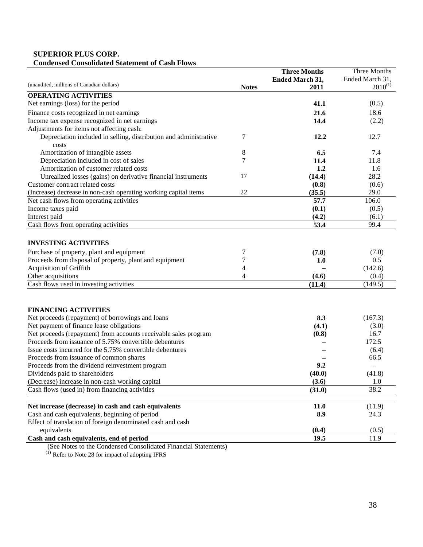# **SUPERIOR PLUS CORP. Condensed Consolidated Statement of Cash Flows**

| Ended March 31,<br><b>Ended March 31,</b><br>(unaudited, millions of Canadian dollars)<br>$2010^{(1)}$<br><b>Notes</b><br>2011<br>Net earnings (loss) for the period<br>41.1<br>(0.5)<br>21.6<br>18.6<br>Finance costs recognized in net earnings<br>Income tax expense recognized in net earnings<br>14.4<br>(2.2)<br>Adjustments for items not affecting cash:<br>Depreciation included in selling, distribution and administrative<br>7<br>12.2<br>12.7<br>costs<br>8<br>Amortization of intangible assets<br>7.4<br>6.5<br>Depreciation included in cost of sales<br>7<br>11.4<br>11.8<br>Amortization of customer related costs<br>1.2<br>1.6<br>17<br>28.2<br>Unrealized losses (gains) on derivative financial instruments<br>(14.4)<br>Customer contract related costs<br>(0.8)<br>(0.6)<br>(Increase) decrease in non-cash operating working capital items<br>22<br>(35.5)<br>29.0<br>Net cash flows from operating activities<br>57.7<br>106.0<br>Income taxes paid<br>(0.1)<br>(0.5)<br>Interest paid<br>(4.2)<br>(6.1)<br>Cash flows from operating activities<br>53.4<br>99.4<br><b>INVESTING ACTIVITIES</b><br>Purchase of property, plant and equipment<br>$\boldsymbol{7}$<br>(7.8)<br>(7.0)<br>7<br>Proceeds from disposal of property, plant and equipment<br>0.5<br>1.0<br>Acquisition of Griffith<br>(142.6)<br>4<br>Other acquisitions<br>4<br>(4.6)<br>(0.4)<br>Cash flows used in investing activities<br>(11.4)<br>(149.5)<br><b>FINANCING ACTIVITIES</b><br>Net proceeds (repayment) of borrowings and loans<br>8.3<br>(167.3)<br>Net payment of finance lease obligations<br>(4.1)<br>(3.0)<br>Net proceeds (repayment) from accounts receivable sales program<br>(0.8)<br>16.7<br>Proceeds from issuance of 5.75% convertible debentures<br>172.5<br>Issue costs incurred for the 5.75% convertible debentures<br>(6.4)<br>Proceeds from issuance of common shares<br>66.5<br>9.2<br>Proceeds from the dividend reinvestment program<br>(40.0)<br>(41.8)<br>Dividends paid to shareholders<br>(Decrease) increase in non-cash working capital<br>(3.6)<br>1.0<br>Cash flows (used in) from financing activities<br>38.2<br>(31.0)<br>Net increase (decrease) in cash and cash equivalents<br>11.0<br>(11.9)<br>Cash and cash equivalents, beginning of period<br>8.9<br>24.3 |                             | <b>Three Months</b> | Three Months |
|---------------------------------------------------------------------------------------------------------------------------------------------------------------------------------------------------------------------------------------------------------------------------------------------------------------------------------------------------------------------------------------------------------------------------------------------------------------------------------------------------------------------------------------------------------------------------------------------------------------------------------------------------------------------------------------------------------------------------------------------------------------------------------------------------------------------------------------------------------------------------------------------------------------------------------------------------------------------------------------------------------------------------------------------------------------------------------------------------------------------------------------------------------------------------------------------------------------------------------------------------------------------------------------------------------------------------------------------------------------------------------------------------------------------------------------------------------------------------------------------------------------------------------------------------------------------------------------------------------------------------------------------------------------------------------------------------------------------------------------------------------------------------------------------------------------------------------------------------------------------------------------------------------------------------------------------------------------------------------------------------------------------------------------------------------------------------------------------------------------------------------------------------------------------------------------------------------------------------------------------------------------------------------------------------------|-----------------------------|---------------------|--------------|
|                                                                                                                                                                                                                                                                                                                                                                                                                                                                                                                                                                                                                                                                                                                                                                                                                                                                                                                                                                                                                                                                                                                                                                                                                                                                                                                                                                                                                                                                                                                                                                                                                                                                                                                                                                                                                                                                                                                                                                                                                                                                                                                                                                                                                                                                                                         |                             |                     |              |
|                                                                                                                                                                                                                                                                                                                                                                                                                                                                                                                                                                                                                                                                                                                                                                                                                                                                                                                                                                                                                                                                                                                                                                                                                                                                                                                                                                                                                                                                                                                                                                                                                                                                                                                                                                                                                                                                                                                                                                                                                                                                                                                                                                                                                                                                                                         |                             |                     |              |
|                                                                                                                                                                                                                                                                                                                                                                                                                                                                                                                                                                                                                                                                                                                                                                                                                                                                                                                                                                                                                                                                                                                                                                                                                                                                                                                                                                                                                                                                                                                                                                                                                                                                                                                                                                                                                                                                                                                                                                                                                                                                                                                                                                                                                                                                                                         | <b>OPERATING ACTIVITIES</b> |                     |              |
|                                                                                                                                                                                                                                                                                                                                                                                                                                                                                                                                                                                                                                                                                                                                                                                                                                                                                                                                                                                                                                                                                                                                                                                                                                                                                                                                                                                                                                                                                                                                                                                                                                                                                                                                                                                                                                                                                                                                                                                                                                                                                                                                                                                                                                                                                                         |                             |                     |              |
|                                                                                                                                                                                                                                                                                                                                                                                                                                                                                                                                                                                                                                                                                                                                                                                                                                                                                                                                                                                                                                                                                                                                                                                                                                                                                                                                                                                                                                                                                                                                                                                                                                                                                                                                                                                                                                                                                                                                                                                                                                                                                                                                                                                                                                                                                                         |                             |                     |              |
|                                                                                                                                                                                                                                                                                                                                                                                                                                                                                                                                                                                                                                                                                                                                                                                                                                                                                                                                                                                                                                                                                                                                                                                                                                                                                                                                                                                                                                                                                                                                                                                                                                                                                                                                                                                                                                                                                                                                                                                                                                                                                                                                                                                                                                                                                                         |                             |                     |              |
|                                                                                                                                                                                                                                                                                                                                                                                                                                                                                                                                                                                                                                                                                                                                                                                                                                                                                                                                                                                                                                                                                                                                                                                                                                                                                                                                                                                                                                                                                                                                                                                                                                                                                                                                                                                                                                                                                                                                                                                                                                                                                                                                                                                                                                                                                                         |                             |                     |              |
|                                                                                                                                                                                                                                                                                                                                                                                                                                                                                                                                                                                                                                                                                                                                                                                                                                                                                                                                                                                                                                                                                                                                                                                                                                                                                                                                                                                                                                                                                                                                                                                                                                                                                                                                                                                                                                                                                                                                                                                                                                                                                                                                                                                                                                                                                                         |                             |                     |              |
|                                                                                                                                                                                                                                                                                                                                                                                                                                                                                                                                                                                                                                                                                                                                                                                                                                                                                                                                                                                                                                                                                                                                                                                                                                                                                                                                                                                                                                                                                                                                                                                                                                                                                                                                                                                                                                                                                                                                                                                                                                                                                                                                                                                                                                                                                                         |                             |                     |              |
|                                                                                                                                                                                                                                                                                                                                                                                                                                                                                                                                                                                                                                                                                                                                                                                                                                                                                                                                                                                                                                                                                                                                                                                                                                                                                                                                                                                                                                                                                                                                                                                                                                                                                                                                                                                                                                                                                                                                                                                                                                                                                                                                                                                                                                                                                                         |                             |                     |              |
|                                                                                                                                                                                                                                                                                                                                                                                                                                                                                                                                                                                                                                                                                                                                                                                                                                                                                                                                                                                                                                                                                                                                                                                                                                                                                                                                                                                                                                                                                                                                                                                                                                                                                                                                                                                                                                                                                                                                                                                                                                                                                                                                                                                                                                                                                                         |                             |                     |              |
|                                                                                                                                                                                                                                                                                                                                                                                                                                                                                                                                                                                                                                                                                                                                                                                                                                                                                                                                                                                                                                                                                                                                                                                                                                                                                                                                                                                                                                                                                                                                                                                                                                                                                                                                                                                                                                                                                                                                                                                                                                                                                                                                                                                                                                                                                                         |                             |                     |              |
|                                                                                                                                                                                                                                                                                                                                                                                                                                                                                                                                                                                                                                                                                                                                                                                                                                                                                                                                                                                                                                                                                                                                                                                                                                                                                                                                                                                                                                                                                                                                                                                                                                                                                                                                                                                                                                                                                                                                                                                                                                                                                                                                                                                                                                                                                                         |                             |                     |              |
|                                                                                                                                                                                                                                                                                                                                                                                                                                                                                                                                                                                                                                                                                                                                                                                                                                                                                                                                                                                                                                                                                                                                                                                                                                                                                                                                                                                                                                                                                                                                                                                                                                                                                                                                                                                                                                                                                                                                                                                                                                                                                                                                                                                                                                                                                                         |                             |                     |              |
|                                                                                                                                                                                                                                                                                                                                                                                                                                                                                                                                                                                                                                                                                                                                                                                                                                                                                                                                                                                                                                                                                                                                                                                                                                                                                                                                                                                                                                                                                                                                                                                                                                                                                                                                                                                                                                                                                                                                                                                                                                                                                                                                                                                                                                                                                                         |                             |                     |              |
|                                                                                                                                                                                                                                                                                                                                                                                                                                                                                                                                                                                                                                                                                                                                                                                                                                                                                                                                                                                                                                                                                                                                                                                                                                                                                                                                                                                                                                                                                                                                                                                                                                                                                                                                                                                                                                                                                                                                                                                                                                                                                                                                                                                                                                                                                                         |                             |                     |              |
|                                                                                                                                                                                                                                                                                                                                                                                                                                                                                                                                                                                                                                                                                                                                                                                                                                                                                                                                                                                                                                                                                                                                                                                                                                                                                                                                                                                                                                                                                                                                                                                                                                                                                                                                                                                                                                                                                                                                                                                                                                                                                                                                                                                                                                                                                                         |                             |                     |              |
|                                                                                                                                                                                                                                                                                                                                                                                                                                                                                                                                                                                                                                                                                                                                                                                                                                                                                                                                                                                                                                                                                                                                                                                                                                                                                                                                                                                                                                                                                                                                                                                                                                                                                                                                                                                                                                                                                                                                                                                                                                                                                                                                                                                                                                                                                                         |                             |                     |              |
|                                                                                                                                                                                                                                                                                                                                                                                                                                                                                                                                                                                                                                                                                                                                                                                                                                                                                                                                                                                                                                                                                                                                                                                                                                                                                                                                                                                                                                                                                                                                                                                                                                                                                                                                                                                                                                                                                                                                                                                                                                                                                                                                                                                                                                                                                                         |                             |                     |              |
|                                                                                                                                                                                                                                                                                                                                                                                                                                                                                                                                                                                                                                                                                                                                                                                                                                                                                                                                                                                                                                                                                                                                                                                                                                                                                                                                                                                                                                                                                                                                                                                                                                                                                                                                                                                                                                                                                                                                                                                                                                                                                                                                                                                                                                                                                                         |                             |                     |              |
|                                                                                                                                                                                                                                                                                                                                                                                                                                                                                                                                                                                                                                                                                                                                                                                                                                                                                                                                                                                                                                                                                                                                                                                                                                                                                                                                                                                                                                                                                                                                                                                                                                                                                                                                                                                                                                                                                                                                                                                                                                                                                                                                                                                                                                                                                                         |                             |                     |              |
|                                                                                                                                                                                                                                                                                                                                                                                                                                                                                                                                                                                                                                                                                                                                                                                                                                                                                                                                                                                                                                                                                                                                                                                                                                                                                                                                                                                                                                                                                                                                                                                                                                                                                                                                                                                                                                                                                                                                                                                                                                                                                                                                                                                                                                                                                                         |                             |                     |              |
|                                                                                                                                                                                                                                                                                                                                                                                                                                                                                                                                                                                                                                                                                                                                                                                                                                                                                                                                                                                                                                                                                                                                                                                                                                                                                                                                                                                                                                                                                                                                                                                                                                                                                                                                                                                                                                                                                                                                                                                                                                                                                                                                                                                                                                                                                                         |                             |                     |              |
|                                                                                                                                                                                                                                                                                                                                                                                                                                                                                                                                                                                                                                                                                                                                                                                                                                                                                                                                                                                                                                                                                                                                                                                                                                                                                                                                                                                                                                                                                                                                                                                                                                                                                                                                                                                                                                                                                                                                                                                                                                                                                                                                                                                                                                                                                                         |                             |                     |              |
|                                                                                                                                                                                                                                                                                                                                                                                                                                                                                                                                                                                                                                                                                                                                                                                                                                                                                                                                                                                                                                                                                                                                                                                                                                                                                                                                                                                                                                                                                                                                                                                                                                                                                                                                                                                                                                                                                                                                                                                                                                                                                                                                                                                                                                                                                                         |                             |                     |              |
|                                                                                                                                                                                                                                                                                                                                                                                                                                                                                                                                                                                                                                                                                                                                                                                                                                                                                                                                                                                                                                                                                                                                                                                                                                                                                                                                                                                                                                                                                                                                                                                                                                                                                                                                                                                                                                                                                                                                                                                                                                                                                                                                                                                                                                                                                                         |                             |                     |              |
|                                                                                                                                                                                                                                                                                                                                                                                                                                                                                                                                                                                                                                                                                                                                                                                                                                                                                                                                                                                                                                                                                                                                                                                                                                                                                                                                                                                                                                                                                                                                                                                                                                                                                                                                                                                                                                                                                                                                                                                                                                                                                                                                                                                                                                                                                                         |                             |                     |              |
|                                                                                                                                                                                                                                                                                                                                                                                                                                                                                                                                                                                                                                                                                                                                                                                                                                                                                                                                                                                                                                                                                                                                                                                                                                                                                                                                                                                                                                                                                                                                                                                                                                                                                                                                                                                                                                                                                                                                                                                                                                                                                                                                                                                                                                                                                                         |                             |                     |              |
|                                                                                                                                                                                                                                                                                                                                                                                                                                                                                                                                                                                                                                                                                                                                                                                                                                                                                                                                                                                                                                                                                                                                                                                                                                                                                                                                                                                                                                                                                                                                                                                                                                                                                                                                                                                                                                                                                                                                                                                                                                                                                                                                                                                                                                                                                                         |                             |                     |              |
|                                                                                                                                                                                                                                                                                                                                                                                                                                                                                                                                                                                                                                                                                                                                                                                                                                                                                                                                                                                                                                                                                                                                                                                                                                                                                                                                                                                                                                                                                                                                                                                                                                                                                                                                                                                                                                                                                                                                                                                                                                                                                                                                                                                                                                                                                                         |                             |                     |              |
|                                                                                                                                                                                                                                                                                                                                                                                                                                                                                                                                                                                                                                                                                                                                                                                                                                                                                                                                                                                                                                                                                                                                                                                                                                                                                                                                                                                                                                                                                                                                                                                                                                                                                                                                                                                                                                                                                                                                                                                                                                                                                                                                                                                                                                                                                                         |                             |                     |              |
|                                                                                                                                                                                                                                                                                                                                                                                                                                                                                                                                                                                                                                                                                                                                                                                                                                                                                                                                                                                                                                                                                                                                                                                                                                                                                                                                                                                                                                                                                                                                                                                                                                                                                                                                                                                                                                                                                                                                                                                                                                                                                                                                                                                                                                                                                                         |                             |                     |              |
|                                                                                                                                                                                                                                                                                                                                                                                                                                                                                                                                                                                                                                                                                                                                                                                                                                                                                                                                                                                                                                                                                                                                                                                                                                                                                                                                                                                                                                                                                                                                                                                                                                                                                                                                                                                                                                                                                                                                                                                                                                                                                                                                                                                                                                                                                                         |                             |                     |              |
|                                                                                                                                                                                                                                                                                                                                                                                                                                                                                                                                                                                                                                                                                                                                                                                                                                                                                                                                                                                                                                                                                                                                                                                                                                                                                                                                                                                                                                                                                                                                                                                                                                                                                                                                                                                                                                                                                                                                                                                                                                                                                                                                                                                                                                                                                                         |                             |                     |              |
|                                                                                                                                                                                                                                                                                                                                                                                                                                                                                                                                                                                                                                                                                                                                                                                                                                                                                                                                                                                                                                                                                                                                                                                                                                                                                                                                                                                                                                                                                                                                                                                                                                                                                                                                                                                                                                                                                                                                                                                                                                                                                                                                                                                                                                                                                                         |                             |                     |              |
|                                                                                                                                                                                                                                                                                                                                                                                                                                                                                                                                                                                                                                                                                                                                                                                                                                                                                                                                                                                                                                                                                                                                                                                                                                                                                                                                                                                                                                                                                                                                                                                                                                                                                                                                                                                                                                                                                                                                                                                                                                                                                                                                                                                                                                                                                                         |                             |                     |              |
|                                                                                                                                                                                                                                                                                                                                                                                                                                                                                                                                                                                                                                                                                                                                                                                                                                                                                                                                                                                                                                                                                                                                                                                                                                                                                                                                                                                                                                                                                                                                                                                                                                                                                                                                                                                                                                                                                                                                                                                                                                                                                                                                                                                                                                                                                                         |                             |                     |              |
|                                                                                                                                                                                                                                                                                                                                                                                                                                                                                                                                                                                                                                                                                                                                                                                                                                                                                                                                                                                                                                                                                                                                                                                                                                                                                                                                                                                                                                                                                                                                                                                                                                                                                                                                                                                                                                                                                                                                                                                                                                                                                                                                                                                                                                                                                                         |                             |                     |              |
|                                                                                                                                                                                                                                                                                                                                                                                                                                                                                                                                                                                                                                                                                                                                                                                                                                                                                                                                                                                                                                                                                                                                                                                                                                                                                                                                                                                                                                                                                                                                                                                                                                                                                                                                                                                                                                                                                                                                                                                                                                                                                                                                                                                                                                                                                                         |                             |                     |              |
| Effect of translation of foreign denominated cash and cash                                                                                                                                                                                                                                                                                                                                                                                                                                                                                                                                                                                                                                                                                                                                                                                                                                                                                                                                                                                                                                                                                                                                                                                                                                                                                                                                                                                                                                                                                                                                                                                                                                                                                                                                                                                                                                                                                                                                                                                                                                                                                                                                                                                                                                              |                             |                     |              |
| equivalents<br>(0.4)<br>(0.5)                                                                                                                                                                                                                                                                                                                                                                                                                                                                                                                                                                                                                                                                                                                                                                                                                                                                                                                                                                                                                                                                                                                                                                                                                                                                                                                                                                                                                                                                                                                                                                                                                                                                                                                                                                                                                                                                                                                                                                                                                                                                                                                                                                                                                                                                           |                             |                     |              |
| 11.9<br>Cash and cash equivalents, end of period<br>19.5                                                                                                                                                                                                                                                                                                                                                                                                                                                                                                                                                                                                                                                                                                                                                                                                                                                                                                                                                                                                                                                                                                                                                                                                                                                                                                                                                                                                                                                                                                                                                                                                                                                                                                                                                                                                                                                                                                                                                                                                                                                                                                                                                                                                                                                |                             |                     |              |

(See Notes to the Condensed Consolidated Financial Statements)

 $<sup>(1)</sup>$  Refer to Note 28 for impact of adopting IFRS</sup>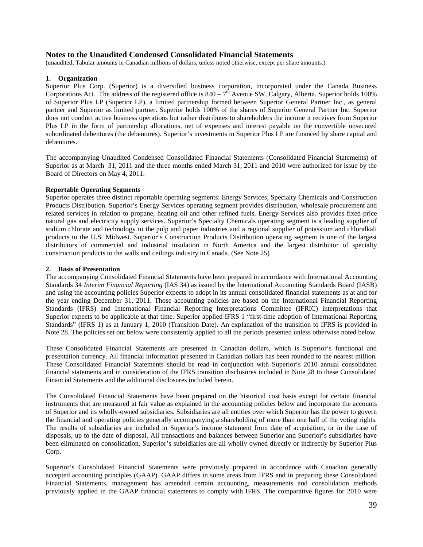# **Notes to the Unaudited Condensed Consolidated Financial Statements**

(unaudited, Tabular amounts in Canadian millions of dollars, unless noted otherwise, except per share amounts.)

# **1. Organization**

Superior Plus Corp. (Superior) is a diversified business corporation, incorporated under the Canada Business Corporations Act. The address of the registered office is  $840 - 7<sup>th</sup>$  Avenue SW, Calgary, Alberta. Superior holds 100% of Superior Plus LP (Superior LP), a limited partnership formed between Superior General Partner Inc., as general partner and Superior as limited partner. Superior holds 100% of the shares of Superior General Partner Inc. Superior does not conduct active business operations but rather distributes to shareholders the income it receives from Superior Plus LP in the form of partnership allocations, net of expenses and interest payable on the convertible unsecured subordinated debentures (the debentures). Superior's investments in Superior Plus LP are financed by share capital and debentures.

The accompanying Unaudited Condensed Consolidated Financial Statements (Consolidated Financial Statements) of Superior as at March 31, 2011 and the three months ended March 31, 2011 and 2010 were authorized for issue by the Board of Directors on May 4, 2011.

# **Reportable Operating Segments**

Superior operates three distinct reportable operating segments: Energy Services, Specialty Chemicals and Construction Products Distribution. Superior's Energy Services operating segment provides distribution, wholesale procurement and related services in relation to propane, heating oil and other refined fuels. Energy Services also provides fixed-price natural gas and electricity supply services. Superior's Specialty Chemicals operating segment is a leading supplier of sodium chlorate and technology to the pulp and paper industries and a regional supplier of potassium and chloralkali products to the U.S. Midwest. Superior's Construction Products Distribution operating segment is one of the largest distributors of commercial and industrial insulation in North America and the largest distributor of specialty construction products to the walls and ceilings industry in Canada. (See Note 25)

## **2. Basis of Presentation**

The accompanying Consolidated Financial Statements have been prepared in accordance with International Accounting Standards 34 *Interim Financial Reporting* (IAS 34) as issued by the International Accounting Standards Board (IASB) and using the accounting policies Superior expects to adopt in its annual consolidated financial statements as at and for the year ending December 31, 2011. Those accounting policies are based on the International Financial Reporting Standards (IFRS) and International Financial Reporting Interpretations Committee (IFRIC) interpretations that Superior expects to be applicable at that time. Superior applied IFRS 1 "first-time adoption of International Reporting Standards" (IFRS 1) as at January 1, 2010 (Transition Date). An explanation of the transition to IFRS is provided in Note 28. The policies set out below were consistently applied to all the periods presented unless otherwise noted below.

These Consolidated Financial Statements are presented in Canadian dollars, which is Superior's functional and presentation currency. All financial information presented in Canadian dollars has been rounded to the nearest million. These Consolidated Financial Statements should be read in conjunction with Superior's 2010 annual consolidated financial statements and in consideration of the IFRS transition disclosures included in Note 28 to these Consolidated Financial Statements and the additional disclosures included herein.

The Consolidated Financial Statements have been prepared on the historical cost basis except for certain financial instruments that are measured at fair value as explained in the accounting policies below and incorporate the accounts of Superior and its wholly-owned subsidiaries. Subsidiaries are all entities over which Superior has the power to govern the financial and operating policies generally accompanying a shareholding of more than one half of the voting rights. The results of subsidiaries are included in Superior's income statement from date of acquisition, or in the case of disposals, up to the date of disposal. All transactions and balances between Superior and Superior's subsidiaries have been eliminated on consolidation. Superior's subsidiaries are all wholly owned directly or indirectly by Superior Plus Corp.

Superior's Consolidated Financial Statements were previously prepared in accordance with Canadian generally accepted accounting principles (GAAP). GAAP differs in some areas from IFRS and in preparing these Consolidated Financial Statements, management has amended certain accounting, measurements and consolidation methods previously applied in the GAAP financial statements to comply with IFRS. The comparative figures for 2010 were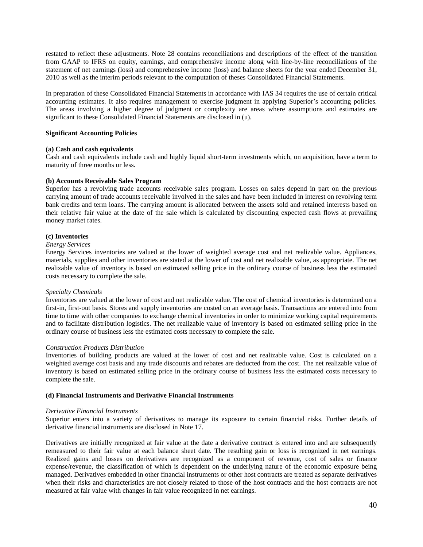restated to reflect these adjustments. Note 28 contains reconciliations and descriptions of the effect of the transition from GAAP to IFRS on equity, earnings, and comprehensive income along with line-by-line reconciliations of the statement of net earnings (loss) and comprehensive income (loss) and balance sheets for the year ended December 31, 2010 as well as the interim periods relevant to the computation of theses Consolidated Financial Statements.

In preparation of these Consolidated Financial Statements in accordance with IAS 34 requires the use of certain critical accounting estimates. It also requires management to exercise judgment in applying Superior's accounting policies. The areas involving a higher degree of judgment or complexity are areas where assumptions and estimates are significant to these Consolidated Financial Statements are disclosed in (u).

# **Significant Accounting Policies**

## **(a) Cash and cash equivalents**

Cash and cash equivalents include cash and highly liquid short-term investments which, on acquisition, have a term to maturity of three months or less.

## **(b) Accounts Receivable Sales Program**

Superior has a revolving trade accounts receivable sales program. Losses on sales depend in part on the previous carrying amount of trade accounts receivable involved in the sales and have been included in interest on revolving term bank credits and term loans. The carrying amount is allocated between the assets sold and retained interests based on their relative fair value at the date of the sale which is calculated by discounting expected cash flows at prevailing money market rates.

# **(c) Inventories**

## *Energy Services*

Energy Services inventories are valued at the lower of weighted average cost and net realizable value. Appliances, materials, supplies and other inventories are stated at the lower of cost and net realizable value, as appropriate. The net realizable value of inventory is based on estimated selling price in the ordinary course of business less the estimated costs necessary to complete the sale.

## *Specialty Chemicals*

Inventories are valued at the lower of cost and net realizable value. The cost of chemical inventories is determined on a first-in, first-out basis. Stores and supply inventories are costed on an average basis. Transactions are entered into from time to time with other companies to exchange chemical inventories in order to minimize working capital requirements and to facilitate distribution logistics. The net realizable value of inventory is based on estimated selling price in the ordinary course of business less the estimated costs necessary to complete the sale.

## *Construction Products Distribution*

Inventories of building products are valued at the lower of cost and net realizable value. Cost is calculated on a weighted average cost basis and any trade discounts and rebates are deducted from the cost. The net realizable value of inventory is based on estimated selling price in the ordinary course of business less the estimated costs necessary to complete the sale.

## **(d) Financial Instruments and Derivative Financial Instruments**

# *Derivative Financial Instruments*

Superior enters into a variety of derivatives to manage its exposure to certain financial risks. Further details of derivative financial instruments are disclosed in Note 17.

Derivatives are initially recognized at fair value at the date a derivative contract is entered into and are subsequently remeasured to their fair value at each balance sheet date. The resulting gain or loss is recognized in net earnings. Realized gains and losses on derivatives are recognized as a component of revenue, cost of sales or finance expense/revenue, the classification of which is dependent on the underlying nature of the economic exposure being managed. Derivatives embedded in other financial instruments or other host contracts are treated as separate derivatives when their risks and characteristics are not closely related to those of the host contracts and the host contracts are not measured at fair value with changes in fair value recognized in net earnings.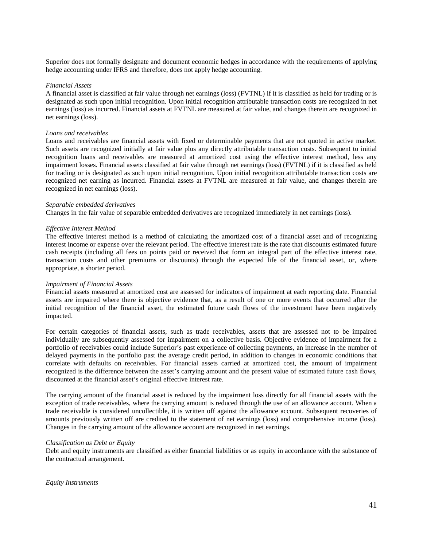Superior does not formally designate and document economic hedges in accordance with the requirements of applying hedge accounting under IFRS and therefore, does not apply hedge accounting.

## *Financial Assets*

A financial asset is classified at fair value through net earnings (loss) (FVTNL) if it is classified as held for trading or is designated as such upon initial recognition. Upon initial recognition attributable transaction costs are recognized in net earnings (loss) as incurred. Financial assets at FVTNL are measured at fair value, and changes therein are recognized in net earnings (loss).

#### *Loans and receivables*

Loans and receivables are financial assets with fixed or determinable payments that are not quoted in active market. Such assets are recognized initially at fair value plus any directly attributable transaction costs. Subsequent to initial recognition loans and receivables are measured at amortized cost using the effective interest method, less any impairment losses. Financial assets classified at fair value through net earnings (loss) (FVTNL) if it is classified as held for trading or is designated as such upon initial recognition. Upon initial recognition attributable transaction costs are recognized net earning as incurred. Financial assets at FVTNL are measured at fair value, and changes therein are recognized in net earnings (loss).

#### *Separable embedded derivatives*

Changes in the fair value of separable embedded derivatives are recognized immediately in net earnings (loss).

## *Effective Interest Method*

The effective interest method is a method of calculating the amortized cost of a financial asset and of recognizing interest income or expense over the relevant period. The effective interest rate is the rate that discounts estimated future cash receipts (including all fees on points paid or received that form an integral part of the effective interest rate, transaction costs and other premiums or discounts) through the expected life of the financial asset, or, where appropriate, a shorter period.

## *Impairment of Financial Assets*

Financial assets measured at amortized cost are assessed for indicators of impairment at each reporting date. Financial assets are impaired where there is objective evidence that, as a result of one or more events that occurred after the initial recognition of the financial asset, the estimated future cash flows of the investment have been negatively impacted.

For certain categories of financial assets, such as trade receivables, assets that are assessed not to be impaired individually are subsequently assessed for impairment on a collective basis. Objective evidence of impairment for a portfolio of receivables could include Superior's past experience of collecting payments, an increase in the number of delayed payments in the portfolio past the average credit period, in addition to changes in economic conditions that correlate with defaults on receivables. For financial assets carried at amortized cost, the amount of impairment recognized is the difference between the asset's carrying amount and the present value of estimated future cash flows, discounted at the financial asset's original effective interest rate.

The carrying amount of the financial asset is reduced by the impairment loss directly for all financial assets with the exception of trade receivables, where the carrying amount is reduced through the use of an allowance account. When a trade receivable is considered uncollectible, it is written off against the allowance account. Subsequent recoveries of amounts previously written off are credited to the statement of net earnings (loss) and comprehensive income (loss). Changes in the carrying amount of the allowance account are recognized in net earnings.

## *Classification as Debt or Equity*

Debt and equity instruments are classified as either financial liabilities or as equity in accordance with the substance of the contractual arrangement.

#### *Equity Instruments*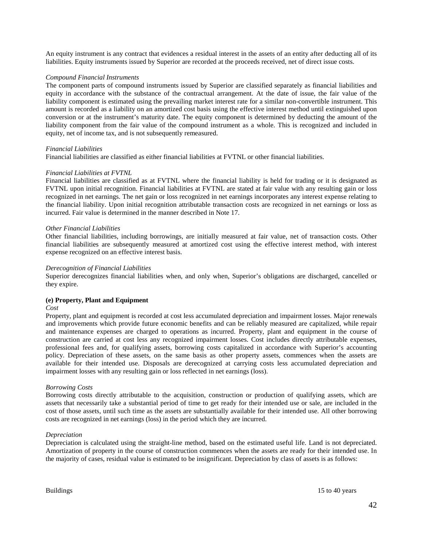An equity instrument is any contract that evidences a residual interest in the assets of an entity after deducting all of its liabilities. Equity instruments issued by Superior are recorded at the proceeds received, net of direct issue costs.

# *Compound Financial Instruments*

The component parts of compound instruments issued by Superior are classified separately as financial liabilities and equity in accordance with the substance of the contractual arrangement. At the date of issue, the fair value of the liability component is estimated using the prevailing market interest rate for a similar non-convertible instrument. This amount is recorded as a liability on an amortized cost basis using the effective interest method until extinguished upon conversion or at the instrument's maturity date. The equity component is determined by deducting the amount of the liability component from the fair value of the compound instrument as a whole. This is recognized and included in equity, net of income tax, and is not subsequently remeasured.

## *Financial Liabilities*

Financial liabilities are classified as either financial liabilities at FVTNL or other financial liabilities.

#### *Financial Liabilities at FVTNL*

Financial liabilities are classified as at FVTNL where the financial liability is held for trading or it is designated as FVTNL upon initial recognition. Financial liabilities at FVTNL are stated at fair value with any resulting gain or loss recognized in net earnings. The net gain or loss recognized in net earnings incorporates any interest expense relating to the financial liability. Upon initial recognition attributable transaction costs are recognized in net earnings or loss as incurred. Fair value is determined in the manner described in Note 17.

#### *Other Financial Liabilities*

Other financial liabilities, including borrowings, are initially measured at fair value, net of transaction costs. Other financial liabilities are subsequently measured at amortized cost using the effective interest method, with interest expense recognized on an effective interest basis.

#### *Derecognition of Financial Liabilities*

Superior derecognizes financial liabilities when, and only when, Superior's obligations are discharged, cancelled or they expire.

# **(e) Property, Plant and Equipment**

*Cost* 

Property, plant and equipment is recorded at cost less accumulated depreciation and impairment losses. Major renewals and improvements which provide future economic benefits and can be reliably measured are capitalized, while repair and maintenance expenses are charged to operations as incurred. Property, plant and equipment in the course of construction are carried at cost less any recognized impairment losses. Cost includes directly attributable expenses, professional fees and, for qualifying assets, borrowing costs capitalized in accordance with Superior's accounting policy. Depreciation of these assets, on the same basis as other property assets, commences when the assets are available for their intended use. Disposals are derecognized at carrying costs less accumulated depreciation and impairment losses with any resulting gain or loss reflected in net earnings (loss).

# *Borrowing Costs*

Borrowing costs directly attributable to the acquisition, construction or production of qualifying assets, which are assets that necessarily take a substantial period of time to get ready for their intended use or sale, are included in the cost of those assets, until such time as the assets are substantially available for their intended use. All other borrowing costs are recognized in net earnings (loss) in the period which they are incurred.

## *Depreciation*

Depreciation is calculated using the straight-line method, based on the estimated useful life. Land is not depreciated. Amortization of property in the course of construction commences when the assets are ready for their intended use. In the majority of cases, residual value is estimated to be insignificant. Depreciation by class of assets is as follows: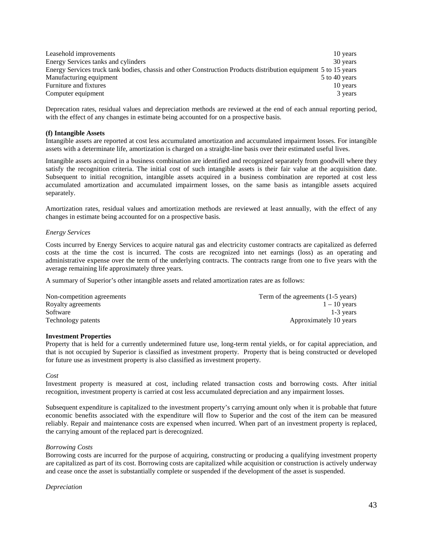| Leasehold improvements                                                                                          | 10 years      |
|-----------------------------------------------------------------------------------------------------------------|---------------|
| Energy Services tanks and cylinders                                                                             | 30 years      |
| Energy Services truck tank bodies, chassis and other Construction Products distribution equipment 5 to 15 years |               |
| Manufacturing equipment                                                                                         | 5 to 40 years |
| Furniture and fixtures                                                                                          | 10 years      |
| Computer equipment                                                                                              | 3 years       |

Deprecation rates, residual values and depreciation methods are reviewed at the end of each annual reporting period, with the effect of any changes in estimate being accounted for on a prospective basis.

## **(f) Intangible Assets**

Intangible assets are reported at cost less accumulated amortization and accumulated impairment losses. For intangible assets with a determinate life, amortization is charged on a straight-line basis over their estimated useful lives.

Intangible assets acquired in a business combination are identified and recognized separately from goodwill where they satisfy the recognition criteria. The initial cost of such intangible assets is their fair value at the acquisition date. Subsequent to initial recognition, intangible assets acquired in a business combination are reported at cost less accumulated amortization and accumulated impairment losses, on the same basis as intangible assets acquired separately.

Amortization rates, residual values and amortization methods are reviewed at least annually, with the effect of any changes in estimate being accounted for on a prospective basis.

## *Energy Services*

Costs incurred by Energy Services to acquire natural gas and electricity customer contracts are capitalized as deferred costs at the time the cost is incurred. The costs are recognized into net earnings (loss) as an operating and administrative expense over the term of the underlying contracts. The contracts range from one to five years with the average remaining life approximately three years.

A summary of Superior's other intangible assets and related amortization rates are as follows:

| Non-competition agreements | Term of the agreements (1-5 years) |
|----------------------------|------------------------------------|
| Royalty agreements         | $1 - 10$ years                     |
| Software                   | 1-3 years                          |
| Technology patents         | Approximately 10 years             |

## **Investment Properties**

Property that is held for a currently undetermined future use, long-term rental yields, or for capital appreciation, and that is not occupied by Superior is classified as investment property. Property that is being constructed or developed for future use as investment property is also classified as investment property.

#### *Cost*

Investment property is measured at cost, including related transaction costs and borrowing costs. After initial recognition, investment property is carried at cost less accumulated depreciation and any impairment losses.

Subsequent expenditure is capitalized to the investment property's carrying amount only when it is probable that future economic benefits associated with the expenditure will flow to Superior and the cost of the item can be measured reliably. Repair and maintenance costs are expensed when incurred. When part of an investment property is replaced, the carrying amount of the replaced part is derecognized.

## *Borrowing Costs*

Borrowing costs are incurred for the purpose of acquiring, constructing or producing a qualifying investment property are capitalized as part of its cost. Borrowing costs are capitalized while acquisition or construction is actively underway and cease once the asset is substantially complete or suspended if the development of the asset is suspended.

## *Depreciation*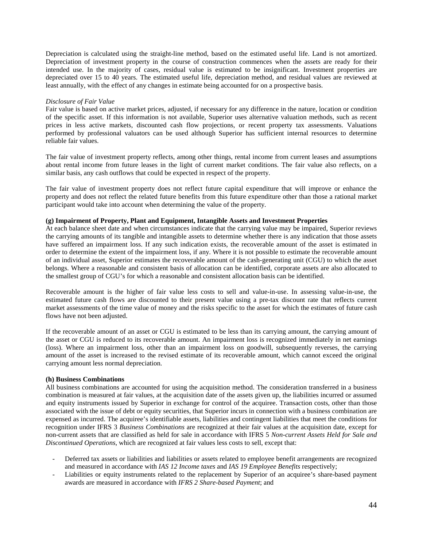Depreciation is calculated using the straight-line method, based on the estimated useful life. Land is not amortized. Depreciation of investment property in the course of construction commences when the assets are ready for their intended use. In the majority of cases, residual value is estimated to be insignificant. Investment properties are depreciated over 15 to 40 years. The estimated useful life, depreciation method, and residual values are reviewed at least annually, with the effect of any changes in estimate being accounted for on a prospective basis.

# *Disclosure of Fair Value*

Fair value is based on active market prices, adjusted, if necessary for any difference in the nature, location or condition of the specific asset. If this information is not available, Superior uses alternative valuation methods, such as recent prices in less active markets, discounted cash flow projections, or recent property tax assessments. Valuations performed by professional valuators can be used although Superior has sufficient internal resources to determine reliable fair values.

The fair value of investment property reflects, among other things, rental income from current leases and assumptions about rental income from future leases in the light of current market conditions. The fair value also reflects, on a similar basis, any cash outflows that could be expected in respect of the property.

The fair value of investment property does not reflect future capital expenditure that will improve or enhance the property and does not reflect the related future benefits from this future expenditure other than those a rational market participant would take into account when determining the value of the property.

# **(g) Impairment of Property, Plant and Equipment, Intangible Assets and Investment Properties**

At each balance sheet date and when circumstances indicate that the carrying value may be impaired, Superior reviews the carrying amounts of its tangible and intangible assets to determine whether there is any indication that those assets have suffered an impairment loss. If any such indication exists, the recoverable amount of the asset is estimated in order to determine the extent of the impairment loss, if any. Where it is not possible to estimate the recoverable amount of an individual asset, Superior estimates the recoverable amount of the cash-generating unit (CGU) to which the asset belongs. Where a reasonable and consistent basis of allocation can be identified, corporate assets are also allocated to the smallest group of CGU's for which a reasonable and consistent allocation basis can be identified.

Recoverable amount is the higher of fair value less costs to sell and value-in-use. In assessing value-in-use, the estimated future cash flows are discounted to their present value using a pre-tax discount rate that reflects current market assessments of the time value of money and the risks specific to the asset for which the estimates of future cash flows have not been adjusted.

If the recoverable amount of an asset or CGU is estimated to be less than its carrying amount, the carrying amount of the asset or CGU is reduced to its recoverable amount. An impairment loss is recognized immediately in net earnings (loss). Where an impairment loss, other than an impairment loss on goodwill, subsequently reverses, the carrying amount of the asset is increased to the revised estimate of its recoverable amount, which cannot exceed the original carrying amount less normal depreciation.

## **(h) Business Combinations**

All business combinations are accounted for using the acquisition method. The consideration transferred in a business combination is measured at fair values, at the acquisition date of the assets given up, the liabilities incurred or assumed and equity instruments issued by Superior in exchange for control of the acquiree. Transaction costs, other than those associated with the issue of debt or equity securities, that Superior incurs in connection with a business combination are expensed as incurred. The acquiree's identifiable assets, liabilities and contingent liabilities that meet the conditions for recognition under IFRS 3 *Business Combinations* are recognized at their fair values at the acquisition date, except for non-current assets that are classified as held for sale in accordance with IFRS 5 *Non-current Assets Held for Sale and Discontinued Operations*, which are recognized at fair values less costs to sell, except that:

- Deferred tax assets or liabilities and liabilities or assets related to employee benefit arrangements are recognized and measured in accordance with *IAS 12 Income taxes* and *IAS 19 Employee Benefits* respectively;
- Liabilities or equity instruments related to the replacement by Superior of an acquiree's share-based payment awards are measured in accordance with *IFRS 2 Share-based Payment*; and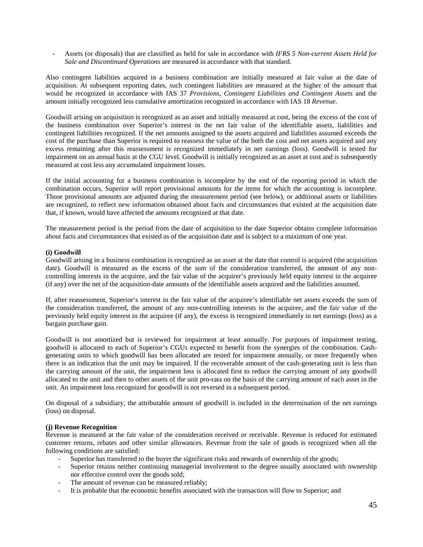- Assets (or disposals) that are classified as held for sale in accordance with *IFRS 5 Non-current Assets Held for Sale and Discontinued Operations* are measured in accordance with that standard.

Also contingent liabilities acquired in a business combination are initially measured at fair value at the date of acquisition. At subsequent reporting dates, such contingent liabilities are measured at the higher of the amount that would be recognized in accordance with IAS 37 *Provisions, Contingent Liabilities and Contingent Assets* and the amount initially recognized less cumulative amortization recognized in accordance with IAS 18 *Revenue*.

Goodwill arising on acquisition is recognized as an asset and initially measured at cost, being the excess of the cost of the business combination over Superior's interest in the net fair value of the identifiable assets, liabilities and contingent liabilities recognized. If the net amounts assigned to the assets acquired and liabilities assumed exceeds the cost of the purchase than Superior is required to reassess the value of the both the cost and net assets acquired and any excess remaining after this reassessment is recognized immediately in net earnings (loss). Goodwill is tested for impairment on an annual basis at the CGU level. Goodwill is initially recognized as an asset at cost and is subsequently measured at cost less any accumulated impairment losses.

If the initial accounting for a business combination is incomplete by the end of the reporting period in which the combination occurs, Superior will report provisional amounts for the items for which the accounting is incomplete. Those provisional amounts are adjusted during the measurement period (see below), or additional assets or liabilities are recognized, to reflect new information obtained about facts and circumstances that existed at the acquisition date that, if known, would have affected the amounts recognized at that date.

The measurement period is the period from the date of acquisition to the date Superior obtains complete information about facts and circumstances that existed as of the acquisition date and is subject to a maximum of one year.

# **(i) Goodwill**

Goodwill arising in a business combination is recognized as an asset at the date that control is acquired (the acquisition date). Goodwill is measured as the excess of the sum of the consideration transferred, the amount of any noncontrolling interests in the acquiree, and the fair value of the acquirer's previously held equity interest in the acquiree (if any) over the net of the acquisition-date amounts of the identifiable assets acquired and the liabilities assumed.

If, after reassessment, Superior's interest in the fair value of the acquiree's identifiable net assets exceeds the sum of the consideration transferred, the amount of any non-controlling interests in the acquiree, and the fair value of the previously held equity interest in the acquiree (if any), the excess is recognized immediately in net earnings (loss) as a bargain purchase gain.

Goodwill is not amortized but is reviewed for impairment at least annually. For purposes of impairment testing, goodwill is allocated to each of Superior's CGUs expected to benefit from the synergies of the combination. Cashgenerating units to which goodwill has been allocated are tested for impairment annually, or more frequently when there is an indication that the unit may be impaired. If the recoverable amount of the cash-generating unit is less than the carrying amount of the unit, the impairment loss is allocated first to reduce the carrying amount of any goodwill allocated to the unit and then to other assets of the unit pro-rata on the basis of the carrying amount of each asset in the unit. An impairment loss recognized for goodwill is not reversed in a subsequent period.

On disposal of a subsidiary, the attributable amount of goodwill is included in the determination of the net earnings (loss) on disposal.

## **(j) Revenue Recognition**

Revenue is measured at the fair value of the consideration received or receivable. Revenue is reduced for estimated customer returns, rebates and other similar allowances. Revenue from the sale of goods is recognized when all the following conditions are satisfied:

- Superior has transferred to the buyer the significant risks and rewards of ownership of the goods;
- Superior retains neither continuing managerial involvement to the degree usually associated with ownership nor effective control over the goods sold;
- The amount of revenue can be measured reliably;
- It is probable that the economic benefits associated with the transaction will flow to Superior; and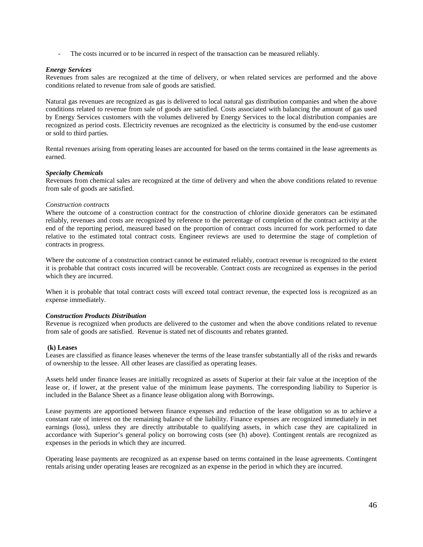- The costs incurred or to be incurred in respect of the transaction can be measured reliably.

# *Energy Services*

Revenues from sales are recognized at the time of delivery, or when related services are performed and the above conditions related to revenue from sale of goods are satisfied.

Natural gas revenues are recognized as gas is delivered to local natural gas distribution companies and when the above conditions related to revenue from sale of goods are satisfied. Costs associated with balancing the amount of gas used by Energy Services customers with the volumes delivered by Energy Services to the local distribution companies are recognized as period costs. Electricity revenues are recognized as the electricity is consumed by the end-use customer or sold to third parties.

Rental revenues arising from operating leases are accounted for based on the terms contained in the lease agreements as earned.

# *Specialty Chemicals*

Revenues from chemical sales are recognized at the time of delivery and when the above conditions related to revenue from sale of goods are satisfied.

# *Construction contracts*

Where the outcome of a construction contract for the construction of chlorine dioxide generators can be estimated reliably, revenues and costs are recognized by reference to the percentage of completion of the contract activity at the end of the reporting period, measured based on the proportion of contract costs incurred for work performed to date relative to the estimated total contract costs. Engineer reviews are used to determine the stage of completion of contracts in progress.

Where the outcome of a construction contract cannot be estimated reliably, contract revenue is recognized to the extent it is probable that contract costs incurred will be recoverable. Contract costs are recognized as expenses in the period which they are incurred.

When it is probable that total contract costs will exceed total contract revenue, the expected loss is recognized as an expense immediately.

## *Construction Products Distribution*

Revenue is recognized when products are delivered to the customer and when the above conditions related to revenue from sale of goods are satisfied. Revenue is stated net of discounts and rebates granted.

## **(k) Leases**

Leases are classified as finance leases whenever the terms of the lease transfer substantially all of the risks and rewards of ownership to the lessee. All other leases are classified as operating leases.

Assets held under finance leases are initially recognized as assets of Superior at their fair value at the inception of the lease or, if lower, at the present value of the minimum lease payments. The corresponding liability to Superior is included in the Balance Sheet as a finance lease obligation along with Borrowings.

Lease payments are apportioned between finance expenses and reduction of the lease obligation so as to achieve a constant rate of interest on the remaining balance of the liability. Finance expenses are recognized immediately in net earnings (loss), unless they are directly attributable to qualifying assets, in which case they are capitalized in accordance with Superior's general policy on borrowing costs (see (h) above). Contingent rentals are recognized as expenses in the periods in which they are incurred.

Operating lease payments are recognized as an expense based on terms contained in the lease agreements. Contingent rentals arising under operating leases are recognized as an expense in the period in which they are incurred.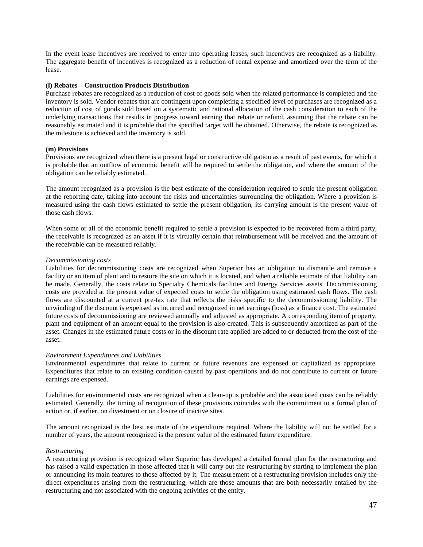In the event lease incentives are received to enter into operating leases, such incentives are recognized as a liability. The aggregate benefit of incentives is recognized as a reduction of rental expense and amortized over the term of the lease.

# **(l) Rebates – Construction Products Distribution**

Purchase rebates are recognized as a reduction of cost of goods sold when the related performance is completed and the inventory is sold. Vendor rebates that are contingent upon completing a specified level of purchases are recognized as a reduction of cost of goods sold based on a systematic and rational allocation of the cash consideration to each of the underlying transactions that results in progress toward earning that rebate or refund, assuming that the rebate can be reasonably estimated and it is probable that the specified target will be obtained. Otherwise, the rebate is recognized as the milestone is achieved and the inventory is sold.

## **(m) Provisions**

Provisions are recognized when there is a present legal or constructive obligation as a result of past events, for which it is probable that an outflow of economic benefit will be required to settle the obligation, and where the amount of the obligation can be reliably estimated.

The amount recognized as a provision is the best estimate of the consideration required to settle the present obligation at the reporting date, taking into account the risks and uncertainties surrounding the obligation. Where a provision is measured using the cash flows estimated to settle the present obligation, its carrying amount is the present value of those cash flows.

When some or all of the economic benefit required to settle a provision is expected to be recovered from a third party, the receivable is recognized as an asset if it is virtually certain that reimbursement will be received and the amount of the receivable can be measured reliably.

# *Decommissioning costs*

Liabilities for decommissioning costs are recognized when Superior has an obligation to dismantle and remove a facility or an item of plant and to restore the site on which it is located, and when a reliable estimate of that liability can be made. Generally, the costs relate to Specialty Chemicals facilities and Energy Services assets. Decommissioning costs are provided at the present value of expected costs to settle the obligation using estimated cash flows. The cash flows are discounted at a current pre-tax rate that reflects the risks specific to the decommissioning liability. The unwinding of the discount is expensed as incurred and recognized in net earnings (loss) as a finance cost. The estimated future costs of decommissioning are reviewed annually and adjusted as appropriate. A corresponding item of property, plant and equipment of an amount equal to the provision is also created. This is subsequently amortized as part of the asset. Changes in the estimated future costs or in the discount rate applied are added to or deducted from the cost of the asset.

## *Environment Expenditures and Liabilities*

Environmental expenditures that relate to current or future revenues are expensed or capitalized as appropriate. Expenditures that relate to an existing condition caused by past operations and do not contribute to current or future earnings are expensed.

Liabilities for environmental costs are recognized when a clean-up is probable and the associated costs can be reliably estimated. Generally, the timing of recognition of these provisions coincides with the commitment to a formal plan of action or, if earlier, on divestment or on closure of inactive sites.

The amount recognized is the best estimate of the expenditure required. Where the liability will not be settled for a number of years, the amount recognized is the present value of the estimated future expenditure.

## *Restructuring*

A restructuring provision is recognized when Superior has developed a detailed formal plan for the restructuring and has raised a valid expectation in those affected that it will carry out the restructuring by starting to implement the plan or announcing its main features to those affected by it. The measurement of a restructuring provision includes only the direct expenditures arising from the restructuring, which are those amounts that are both necessarily entailed by the restructuring and not associated with the ongoing activities of the entity.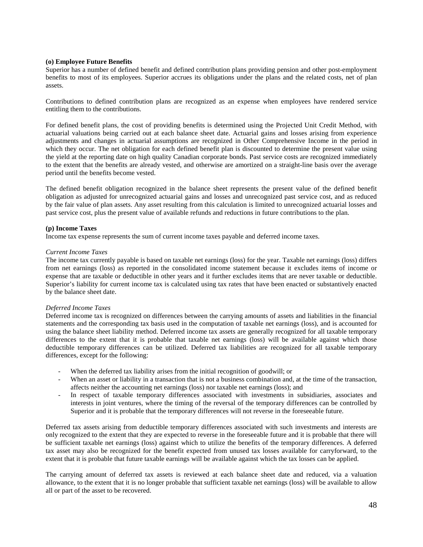## **(o) Employee Future Benefits**

Superior has a number of defined benefit and defined contribution plans providing pension and other post-employment benefits to most of its employees. Superior accrues its obligations under the plans and the related costs, net of plan assets.

Contributions to defined contribution plans are recognized as an expense when employees have rendered service entitling them to the contributions.

For defined benefit plans, the cost of providing benefits is determined using the Projected Unit Credit Method, with actuarial valuations being carried out at each balance sheet date. Actuarial gains and losses arising from experience adjustments and changes in actuarial assumptions are recognized in Other Comprehensive Income in the period in which they occur. The net obligation for each defined benefit plan is discounted to determine the present value using the yield at the reporting date on high quality Canadian corporate bonds. Past service costs are recognized immediately to the extent that the benefits are already vested, and otherwise are amortized on a straight-line basis over the average period until the benefits become vested.

The defined benefit obligation recognized in the balance sheet represents the present value of the defined benefit obligation as adjusted for unrecognized actuarial gains and losses and unrecognized past service cost, and as reduced by the fair value of plan assets. Any asset resulting from this calculation is limited to unrecognized actuarial losses and past service cost, plus the present value of available refunds and reductions in future contributions to the plan.

#### **(p) Income Taxes**

Income tax expense represents the sum of current income taxes payable and deferred income taxes.

#### *Current Income Taxes*

The income tax currently payable is based on taxable net earnings (loss) for the year. Taxable net earnings (loss) differs from net earnings (loss) as reported in the consolidated income statement because it excludes items of income or expense that are taxable or deductible in other years and it further excludes items that are never taxable or deductible. Superior's liability for current income tax is calculated using tax rates that have been enacted or substantively enacted by the balance sheet date.

## *Deferred Income Taxes*

Deferred income tax is recognized on differences between the carrying amounts of assets and liabilities in the financial statements and the corresponding tax basis used in the computation of taxable net earnings (loss), and is accounted for using the balance sheet liability method. Deferred income tax assets are generally recognized for all taxable temporary differences to the extent that it is probable that taxable net earnings (loss) will be available against which those deductible temporary differences can be utilized. Deferred tax liabilities are recognized for all taxable temporary differences, except for the following:

- When the deferred tax liability arises from the initial recognition of goodwill; or
- When an asset or liability in a transaction that is not a business combination and, at the time of the transaction, affects neither the accounting net earnings (loss) nor taxable net earnings (loss); and
- In respect of taxable temporary differences associated with investments in subsidiaries, associates and interests in joint ventures, where the timing of the reversal of the temporary differences can be controlled by Superior and it is probable that the temporary differences will not reverse in the foreseeable future.

Deferred tax assets arising from deductible temporary differences associated with such investments and interests are only recognized to the extent that they are expected to reverse in the foreseeable future and it is probable that there will be sufficient taxable net earnings (loss) against which to utilize the benefits of the temporary differences. A deferred tax asset may also be recognized for the benefit expected from unused tax losses available for carryforward, to the extent that it is probable that future taxable earnings will be available against which the tax losses can be applied.

The carrying amount of deferred tax assets is reviewed at each balance sheet date and reduced, via a valuation allowance, to the extent that it is no longer probable that sufficient taxable net earnings (loss) will be available to allow all or part of the asset to be recovered.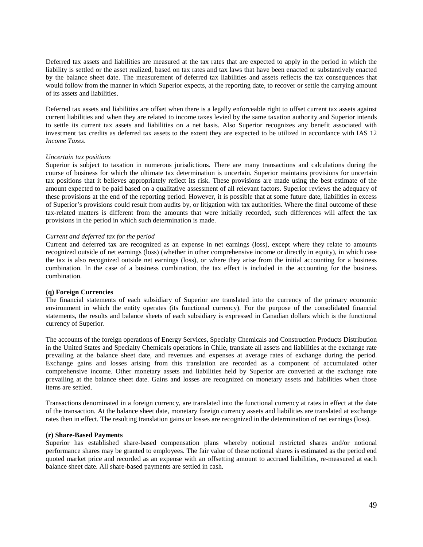Deferred tax assets and liabilities are measured at the tax rates that are expected to apply in the period in which the liability is settled or the asset realized, based on tax rates and tax laws that have been enacted or substantively enacted by the balance sheet date. The measurement of deferred tax liabilities and assets reflects the tax consequences that would follow from the manner in which Superior expects, at the reporting date, to recover or settle the carrying amount of its assets and liabilities.

Deferred tax assets and liabilities are offset when there is a legally enforceable right to offset current tax assets against current liabilities and when they are related to income taxes levied by the same taxation authority and Superior intends to settle its current tax assets and liabilities on a net basis. Also Superior recognizes any benefit associated with investment tax credits as deferred tax assets to the extent they are expected to be utilized in accordance with IAS 12 *Income Taxes*.

#### *Uncertain tax positions*

Superior is subject to taxation in numerous jurisdictions. There are many transactions and calculations during the course of business for which the ultimate tax determination is uncertain. Superior maintains provisions for uncertain tax positions that it believes appropriately reflect its risk. These provisions are made using the best estimate of the amount expected to be paid based on a qualitative assessment of all relevant factors. Superior reviews the adequacy of these provisions at the end of the reporting period. However, it is possible that at some future date, liabilities in excess of Superior's provisions could result from audits by, or litigation with tax authorities. Where the final outcome of these tax-related matters is different from the amounts that were initially recorded, such differences will affect the tax provisions in the period in which such determination is made.

#### *Current and deferred tax for the period*

Current and deferred tax are recognized as an expense in net earnings (loss), except where they relate to amounts recognized outside of net earnings (loss) (whether in other comprehensive income or directly in equity), in which case the tax is also recognized outside net earnings (loss), or where they arise from the initial accounting for a business combination. In the case of a business combination, the tax effect is included in the accounting for the business combination.

#### **(q) Foreign Currencies**

The financial statements of each subsidiary of Superior are translated into the currency of the primary economic environment in which the entity operates (its functional currency). For the purpose of the consolidated financial statements, the results and balance sheets of each subsidiary is expressed in Canadian dollars which is the functional currency of Superior.

The accounts of the foreign operations of Energy Services, Specialty Chemicals and Construction Products Distribution in the United States and Specialty Chemicals operations in Chile, translate all assets and liabilities at the exchange rate prevailing at the balance sheet date, and revenues and expenses at average rates of exchange during the period. Exchange gains and losses arising from this translation are recorded as a component of accumulated other comprehensive income. Other monetary assets and liabilities held by Superior are converted at the exchange rate prevailing at the balance sheet date. Gains and losses are recognized on monetary assets and liabilities when those items are settled.

Transactions denominated in a foreign currency, are translated into the functional currency at rates in effect at the date of the transaction. At the balance sheet date, monetary foreign currency assets and liabilities are translated at exchange rates then in effect. The resulting translation gains or losses are recognized in the determination of net earnings (loss).

#### **(r) Share-Based Payments**

Superior has established share-based compensation plans whereby notional restricted shares and/or notional performance shares may be granted to employees. The fair value of these notional shares is estimated as the period end quoted market price and recorded as an expense with an offsetting amount to accrued liabilities, re-measured at each balance sheet date. All share-based payments are settled in cash.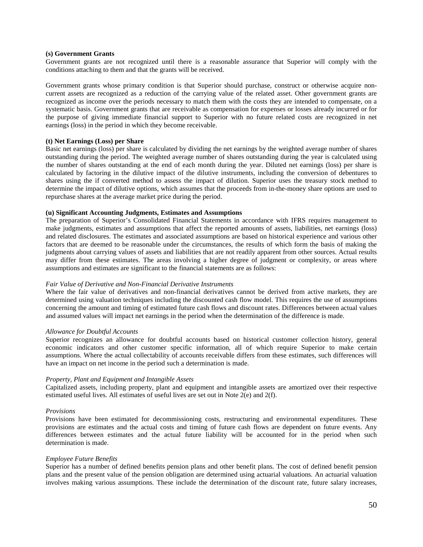#### **(s) Government Grants**

Government grants are not recognized until there is a reasonable assurance that Superior will comply with the conditions attaching to them and that the grants will be received.

Government grants whose primary condition is that Superior should purchase, construct or otherwise acquire noncurrent assets are recognized as a reduction of the carrying value of the related asset. Other government grants are recognized as income over the periods necessary to match them with the costs they are intended to compensate, on a systematic basis. Government grants that are receivable as compensation for expenses or losses already incurred or for the purpose of giving immediate financial support to Superior with no future related costs are recognized in net earnings (loss) in the period in which they become receivable.

# **(t) Net Earnings (Loss) per Share**

Basic net earnings (loss) per share is calculated by dividing the net earnings by the weighted average number of shares outstanding during the period. The weighted average number of shares outstanding during the year is calculated using the number of shares outstanding at the end of each month during the year. Diluted net earnings (loss) per share is calculated by factoring in the dilutive impact of the dilutive instruments, including the conversion of debentures to shares using the if converted method to assess the impact of dilution. Superior uses the treasury stock method to determine the impact of dilutive options, which assumes that the proceeds from in-the-money share options are used to repurchase shares at the average market price during the period.

## **(u) Significant Accounting Judgments, Estimates and Assumptions**

The preparation of Superior's Consolidated Financial Statements in accordance with IFRS requires management to make judgments, estimates and assumptions that affect the reported amounts of assets, liabilities, net earnings (loss) and related disclosures. The estimates and associated assumptions are based on historical experience and various other factors that are deemed to be reasonable under the circumstances, the results of which form the basis of making the judgments about carrying values of assets and liabilities that are not readily apparent from other sources. Actual results may differ from these estimates. The areas involving a higher degree of judgment or complexity, or areas where assumptions and estimates are significant to the financial statements are as follows:

# *Fair Value of Derivative and Non-Financial Derivative Instruments*

Where the fair value of derivatives and non-financial derivatives cannot be derived from active markets, they are determined using valuation techniques including the discounted cash flow model. This requires the use of assumptions concerning the amount and timing of estimated future cash flows and discount rates. Differences between actual values and assumed values will impact net earnings in the period when the determination of the difference is made.

#### *Allowance for Doubtful Accounts*

Superior recognizes an allowance for doubtful accounts based on historical customer collection history, general economic indicators and other customer specific information, all of which require Superior to make certain assumptions. Where the actual collectability of accounts receivable differs from these estimates, such differences will have an impact on net income in the period such a determination is made.

# *Property, Plant and Equipment and Intangible Assets*

Capitalized assets, including property, plant and equipment and intangible assets are amortized over their respective estimated useful lives. All estimates of useful lives are set out in Note 2(e) and 2(f).

# *Provisions*

Provisions have been estimated for decommissioning costs, restructuring and environmental expenditures. These provisions are estimates and the actual costs and timing of future cash flows are dependent on future events. Any differences between estimates and the actual future liability will be accounted for in the period when such determination is made.

## *Employee Future Benefits*

Superior has a number of defined benefits pension plans and other benefit plans. The cost of defined benefit pension plans and the present value of the pension obligation are determined using actuarial valuations. An actuarial valuation involves making various assumptions. These include the determination of the discount rate, future salary increases,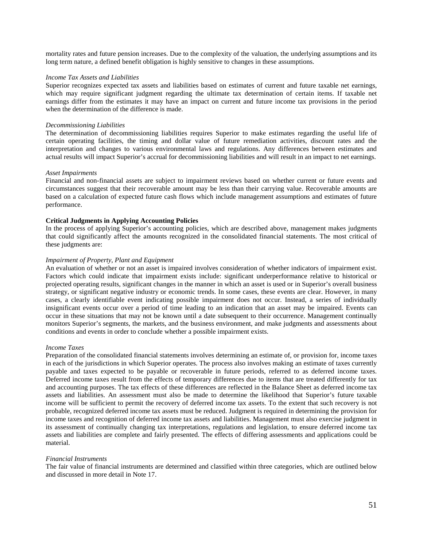mortality rates and future pension increases. Due to the complexity of the valuation, the underlying assumptions and its long term nature, a defined benefit obligation is highly sensitive to changes in these assumptions.

#### *Income Tax Assets and Liabilities*

Superior recognizes expected tax assets and liabilities based on estimates of current and future taxable net earnings, which may require significant judgment regarding the ultimate tax determination of certain items. If taxable net earnings differ from the estimates it may have an impact on current and future income tax provisions in the period when the determination of the difference is made.

#### *Decommissioning Liabilities*

The determination of decommissioning liabilities requires Superior to make estimates regarding the useful life of certain operating facilities, the timing and dollar value of future remediation activities, discount rates and the interpretation and changes to various environmental laws and regulations. Any differences between estimates and actual results will impact Superior's accrual for decommissioning liabilities and will result in an impact to net earnings.

#### *Asset Impairments*

Financial and non-financial assets are subject to impairment reviews based on whether current or future events and circumstances suggest that their recoverable amount may be less than their carrying value. Recoverable amounts are based on a calculation of expected future cash flows which include management assumptions and estimates of future performance.

## **Critical Judgments in Applying Accounting Policies**

In the process of applying Superior's accounting policies, which are described above, management makes judgments that could significantly affect the amounts recognized in the consolidated financial statements. The most critical of these judgments are:

#### *Impairment of Property, Plant and Equipment*

An evaluation of whether or not an asset is impaired involves consideration of whether indicators of impairment exist. Factors which could indicate that impairment exists include: significant underperformance relative to historical or projected operating results, significant changes in the manner in which an asset is used or in Superior's overall business strategy, or significant negative industry or economic trends. In some cases, these events are clear. However, in many cases, a clearly identifiable event indicating possible impairment does not occur. Instead, a series of individually insignificant events occur over a period of time leading to an indication that an asset may be impaired. Events can occur in these situations that may not be known until a date subsequent to their occurrence. Management continually monitors Superior's segments, the markets, and the business environment, and make judgments and assessments about conditions and events in order to conclude whether a possible impairment exists.

#### *Income Taxes*

Preparation of the consolidated financial statements involves determining an estimate of, or provision for, income taxes in each of the jurisdictions in which Superior operates. The process also involves making an estimate of taxes currently payable and taxes expected to be payable or recoverable in future periods, referred to as deferred income taxes. Deferred income taxes result from the effects of temporary differences due to items that are treated differently for tax and accounting purposes. The tax effects of these differences are reflected in the Balance Sheet as deferred income tax assets and liabilities. An assessment must also be made to determine the likelihood that Superior's future taxable income will be sufficient to permit the recovery of deferred income tax assets. To the extent that such recovery is not probable, recognized deferred income tax assets must be reduced. Judgment is required in determining the provision for income taxes and recognition of deferred income tax assets and liabilities. Management must also exercise judgment in its assessment of continually changing tax interpretations, regulations and legislation, to ensure deferred income tax assets and liabilities are complete and fairly presented. The effects of differing assessments and applications could be material.

#### *Financial Instruments*

The fair value of financial instruments are determined and classified within three categories, which are outlined below and discussed in more detail in Note 17.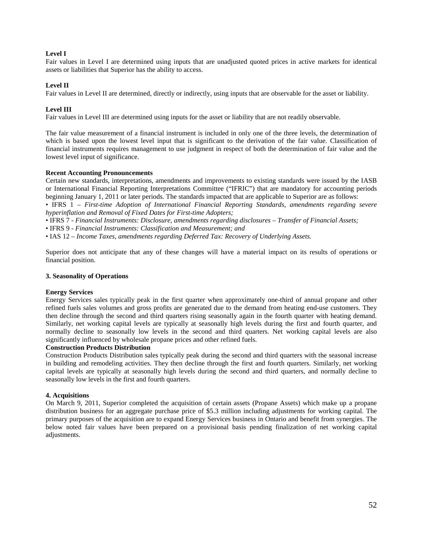# **Level I**

Fair values in Level I are determined using inputs that are unadjusted quoted prices in active markets for identical assets or liabilities that Superior has the ability to access.

# **Level II**

Fair values in Level II are determined, directly or indirectly, using inputs that are observable for the asset or liability.

# **Level III**

Fair values in Level III are determined using inputs for the asset or liability that are not readily observable.

The fair value measurement of a financial instrument is included in only one of the three levels, the determination of which is based upon the lowest level input that is significant to the derivation of the fair value. Classification of financial instruments requires management to use judgment in respect of both the determination of fair value and the lowest level input of significance.

## **Recent Accounting Pronouncements**

Certain new standards, interpretations, amendments and improvements to existing standards were issued by the IASB or International Financial Reporting Interpretations Committee ("IFRIC") that are mandatory for accounting periods beginning January 1, 2011 or later periods. The standards impacted that are applicable to Superior are as follows:

• IFRS 1 – *First-time Adoption of International Financial Reporting Standards, amendments regarding severe hyperinflation and Removal of Fixed Dates for First-time Adopters;* 

• IFRS 7 - *Financial Instruments: Disclosure, amendments regarding disclosures – Transfer of Financial Assets;* 

• IFRS 9 - *Financial Instruments: Classification and Measurement; and* 

• IAS 12 – *Income Taxes, amendments regarding Deferred Tax: Recovery of Underlying Assets.* 

Superior does not anticipate that any of these changes will have a material impact on its results of operations or financial position.

#### **3. Seasonality of Operations**

#### **Energy Services**

Energy Services sales typically peak in the first quarter when approximately one-third of annual propane and other refined fuels sales volumes and gross profits are generated due to the demand from heating end-use customers. They then decline through the second and third quarters rising seasonally again in the fourth quarter with heating demand. Similarly, net working capital levels are typically at seasonally high levels during the first and fourth quarter, and normally decline to seasonally low levels in the second and third quarters. Net working capital levels are also significantly influenced by wholesale propane prices and other refined fuels.

#### **Construction Products Distribution**

Construction Products Distribution sales typically peak during the second and third quarters with the seasonal increase in building and remodeling activities. They then decline through the first and fourth quarters. Similarly, net working capital levels are typically at seasonally high levels during the second and third quarters, and normally decline to seasonally low levels in the first and fourth quarters.

#### **4. Acquisitions**

On March 9, 2011, Superior completed the acquisition of certain assets (Propane Assets) which make up a propane distribution business for an aggregate purchase price of \$5.3 million including adjustments for working capital. The primary purposes of the acquisition are to expand Energy Services business in Ontario and benefit from synergies. The below noted fair values have been prepared on a provisional basis pending finalization of net working capital adjustments.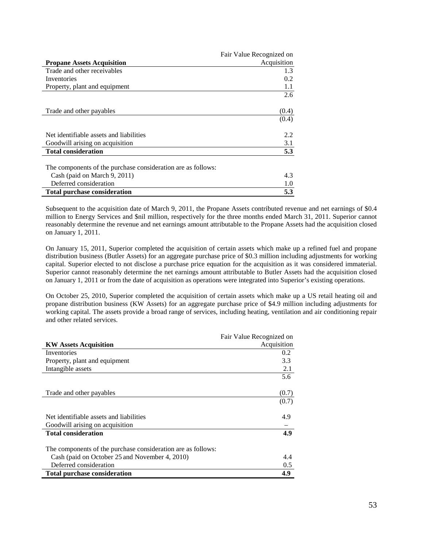|                                                              | Fair Value Recognized on |
|--------------------------------------------------------------|--------------------------|
| <b>Propane Assets Acquisition</b>                            | Acquisition              |
| Trade and other receivables                                  | 1.3                      |
| Inventories                                                  | 0.2                      |
| Property, plant and equipment                                | 1.1                      |
|                                                              | 2.6                      |
| Trade and other payables                                     | (0.4)                    |
|                                                              | (0.4)                    |
| Net identifiable assets and liabilities                      | 2.2                      |
| Goodwill arising on acquisition                              | 3.1                      |
| <b>Total consideration</b>                                   | 5.3                      |
| The components of the purchase consideration are as follows: |                          |
| Cash (paid on March 9, 2011)                                 | 4.3                      |
| Deferred consideration                                       | 1.0                      |
| <b>Total purchase consideration</b>                          | 5.3                      |

Subsequent to the acquisition date of March 9, 2011, the Propane Assets contributed revenue and net earnings of \$0.4 million to Energy Services and \$nil million, respectively for the three months ended March 31, 2011. Superior cannot reasonably determine the revenue and net earnings amount attributable to the Propane Assets had the acquisition closed on January 1, 2011.

On January 15, 2011, Superior completed the acquisition of certain assets which make up a refined fuel and propane distribution business (Butler Assets) for an aggregate purchase price of \$0.3 million including adjustments for working capital. Superior elected to not disclose a purchase price equation for the acquisition as it was considered immaterial. Superior cannot reasonably determine the net earnings amount attributable to Butler Assets had the acquisition closed on January 1, 2011 or from the date of acquisition as operations were integrated into Superior's existing operations.

On October 25, 2010, Superior completed the acquisition of certain assets which make up a US retail heating oil and propane distribution business (KW Assets) for an aggregate purchase price of \$4.9 million including adjustments for working capital. The assets provide a broad range of services, including heating, ventilation and air conditioning repair and other related services.

|                                                              | Fair Value Recognized on |
|--------------------------------------------------------------|--------------------------|
| <b>KW Assets Acquisition</b>                                 | Acquisition              |
| Inventories                                                  | 0.2                      |
| Property, plant and equipment                                | 3.3                      |
| Intangible assets                                            | 2.1                      |
|                                                              | 5.6                      |
| Trade and other payables                                     | (0.7)                    |
|                                                              | (0.7)                    |
| Net identifiable assets and liabilities                      | 4.9                      |
| Goodwill arising on acquisition                              |                          |
| <b>Total consideration</b>                                   | 4.9                      |
| The components of the purchase consideration are as follows: |                          |
| Cash (paid on October 25 and November 4, 2010)               | 4.4                      |
| Deferred consideration                                       | 0.5                      |
| <b>Total purchase consideration</b>                          | 4.9                      |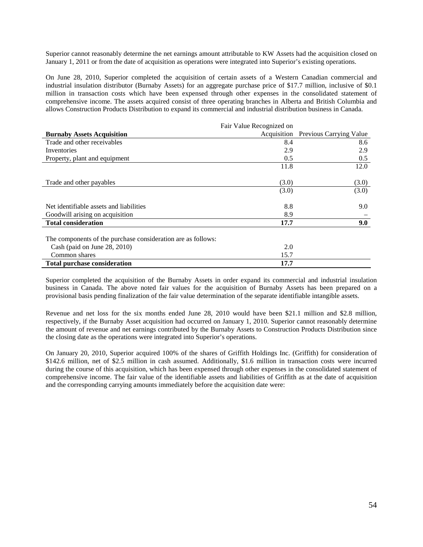Superior cannot reasonably determine the net earnings amount attributable to KW Assets had the acquisition closed on January 1, 2011 or from the date of acquisition as operations were integrated into Superior's existing operations.

On June 28, 2010, Superior completed the acquisition of certain assets of a Western Canadian commercial and industrial insulation distributor (Burnaby Assets) for an aggregate purchase price of \$17.7 million, inclusive of \$0.1 million in transaction costs which have been expensed through other expenses in the consolidated statement of comprehensive income. The assets acquired consist of three operating branches in Alberta and British Columbia and allows Construction Products Distribution to expand its commercial and industrial distribution business in Canada.

|                                                              | Fair Value Recognized on |                                     |
|--------------------------------------------------------------|--------------------------|-------------------------------------|
| <b>Burnaby Assets Acquisition</b>                            |                          | Acquisition Previous Carrying Value |
| Trade and other receivables                                  | 8.4                      | 8.6                                 |
| Inventories                                                  | 2.9                      | 2.9                                 |
| Property, plant and equipment                                | 0.5                      | 0.5                                 |
|                                                              | 11.8                     | 12.0                                |
|                                                              |                          |                                     |
| Trade and other payables                                     | (3.0)                    | (3.0)                               |
|                                                              | (3.0)                    | (3.0)                               |
|                                                              |                          |                                     |
| Net identifiable assets and liabilities                      | 8.8                      | 9.0                                 |
| Goodwill arising on acquisition                              | 8.9                      |                                     |
| <b>Total consideration</b>                                   | 17.7                     | 9.0                                 |
|                                                              |                          |                                     |
| The components of the purchase consideration are as follows: |                          |                                     |
| Cash (paid on June 28, 2010)                                 | 2.0                      |                                     |
| Common shares                                                | 15.7                     |                                     |
| <b>Total purchase consideration</b>                          | 17.7                     |                                     |

Superior completed the acquisition of the Burnaby Assets in order expand its commercial and industrial insulation business in Canada. The above noted fair values for the acquisition of Burnaby Assets has been prepared on a provisional basis pending finalization of the fair value determination of the separate identifiable intangible assets.

Revenue and net loss for the six months ended June 28, 2010 would have been \$21.1 million and \$2.8 million, respectively, if the Burnaby Asset acquisition had occurred on January 1, 2010. Superior cannot reasonably determine the amount of revenue and net earnings contributed by the Burnaby Assets to Construction Products Distribution since the closing date as the operations were integrated into Superior's operations.

On January 20, 2010, Superior acquired 100% of the shares of Griffith Holdings Inc. (Griffith) for consideration of \$142.6 million, net of \$2.5 million in cash assumed. Additionally, \$1.6 million in transaction costs were incurred during the course of this acquisition, which has been expensed through other expenses in the consolidated statement of comprehensive income. The fair value of the identifiable assets and liabilities of Griffith as at the date of acquisition and the corresponding carrying amounts immediately before the acquisition date were: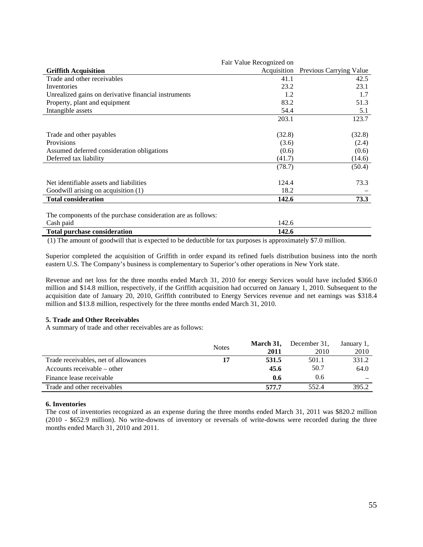|                                                              | Fair Value Recognized on |                                     |
|--------------------------------------------------------------|--------------------------|-------------------------------------|
| <b>Griffith Acquisition</b>                                  |                          | Acquisition Previous Carrying Value |
| Trade and other receivables                                  | 41.1                     | 42.5                                |
| Inventories                                                  | 23.2                     | 23.1                                |
| Unrealized gains on derivative financial instruments         | 1.2                      | 1.7                                 |
| Property, plant and equipment                                | 83.2                     | 51.3                                |
| Intangible assets                                            | 54.4                     | 5.1                                 |
|                                                              | 203.1                    | 123.7                               |
| Trade and other payables                                     | (32.8)                   | (32.8)                              |
| Provisions                                                   | (3.6)                    | (2.4)                               |
| Assumed deferred consideration obligations                   | (0.6)                    | (0.6)                               |
| Deferred tax liability                                       | (41.7)                   | (14.6)                              |
|                                                              | (78.7)                   | (50.4)                              |
| Net identifiable assets and liabilities                      | 124.4                    | 73.3                                |
| Goodwill arising on acquisition (1)                          | 18.2                     |                                     |
| <b>Total consideration</b>                                   | 142.6                    | 73.3                                |
| The components of the purchase consideration are as follows: |                          |                                     |
| Cash paid                                                    | 142.6                    |                                     |
| <b>Total purchase consideration</b>                          | 142.6                    |                                     |

(1) The amount of goodwill that is expected to be deductible for tax purposes is approximately \$7.0 million.

Superior completed the acquisition of Griffith in order expand its refined fuels distribution business into the north eastern U.S. The Company's business is complementary to Superior's other operations in New York state.

Revenue and net loss for the three months ended March 31, 2010 for energy Services would have included \$366.0 million and \$14.8 million, respectively, if the Griffith acquisition had occurred on January 1, 2010. Subsequent to the acquisition date of January 20, 2010, Griffith contributed to Energy Services revenue and net earnings was \$318.4 million and \$13.8 million, respectively for the three months ended March 31, 2010.

# **5. Trade and Other Receivables**

A summary of trade and other receivables are as follows:

|                                      | <b>Notes</b> | March 31, | December 31, | January 1, |
|--------------------------------------|--------------|-----------|--------------|------------|
|                                      |              | 2011      | 2010         | 2010       |
| Trade receivables, net of allowances | 17           | 531.5     | 501.1        | 331.2      |
| Accounts receivable – other          |              | 45.6      | 50.7         | 64.0       |
| Finance lease receivable             |              | 0.6       | 0.6          |            |
| Trade and other receivables          |              | 577.7     | 552.4        | 395.2      |

# **6. Inventories**

The cost of inventories recognized as an expense during the three months ended March 31, 2011 was \$820.2 million (2010 - \$652.9 million). No write-downs of inventory or reversals of write-downs were recorded during the three months ended March 31, 2010 and 2011.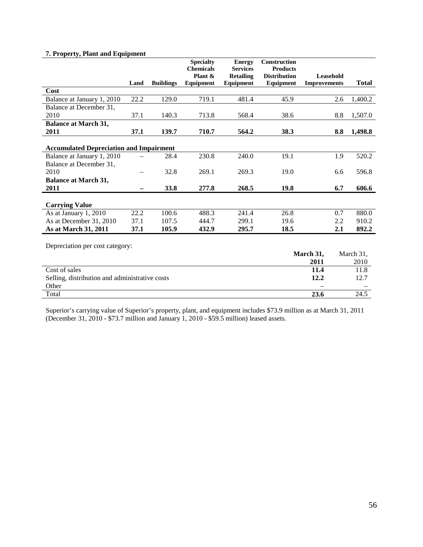# **7. Property, Plant and Equipment**

|                                                |      |                  | <b>Specialty</b> | <b>Energy</b>    | <b>Construction</b> |                     |              |
|------------------------------------------------|------|------------------|------------------|------------------|---------------------|---------------------|--------------|
|                                                |      |                  | <b>Chemicals</b> | <b>Services</b>  | <b>Products</b>     |                     |              |
|                                                |      |                  | Plant &          | <b>Retailing</b> | <b>Distribution</b> | Leasehold           |              |
|                                                | Land | <b>Buildings</b> | Equipment        | Equipment        | Equipment           | <b>Improvements</b> | <b>Total</b> |
| Cost                                           |      |                  |                  |                  |                     |                     |              |
| Balance at January 1, 2010                     | 22.2 | 129.0            | 719.1            | 481.4            | 45.9                | 2.6                 | 1,400.2      |
| Balance at December 31,                        |      |                  |                  |                  |                     |                     |              |
| 2010                                           | 37.1 | 140.3            | 713.8            | 568.4            | 38.6                | 8.8                 | 1,507.0      |
| <b>Balance at March 31,</b>                    |      |                  |                  |                  |                     |                     |              |
| 2011                                           | 37.1 | 139.7            | 710.7            | 564.2            | 38.3                | 8.8                 | 1,498.8      |
|                                                |      |                  |                  |                  |                     |                     |              |
| <b>Accumulated Depreciation and Impairment</b> |      |                  |                  |                  |                     |                     |              |
| Balance at January 1, 2010                     |      | 28.4             | 230.8            | 240.0            | 19.1                | 1.9                 | 520.2        |
| Balance at December 31,                        |      |                  |                  |                  |                     |                     |              |
| 2010                                           |      | 32.8             | 269.1            | 269.3            | 19.0                | 6.6                 | 596.8        |
| <b>Balance at March 31,</b>                    |      |                  |                  |                  |                     |                     |              |
| 2011                                           |      | 33.8             | 277.8            | 268.5            | 19.8                | 6.7                 | 606.6        |
|                                                |      |                  |                  |                  |                     |                     |              |
| <b>Carrying Value</b>                          |      |                  |                  |                  |                     |                     |              |
| As at January 1, 2010                          | 22.2 | 100.6            | 488.3            | 241.4            | 26.8                | 0.7                 | 880.0        |
| As at December 31, 2010                        | 37.1 | 107.5            | 444.7            | 299.1            | 19.6                | 2.2                 | 910.2        |
| As at March 31, 2011                           | 37.1 | 105.9            | 432.9            | 295.7            | 18.5                | 2.1                 | 892.2        |

Depreciation per cost category:

|                                                | March 31,                | March 31,                |
|------------------------------------------------|--------------------------|--------------------------|
|                                                | 2011                     | 2010                     |
| Cost of sales                                  | 11.4                     | 11.8                     |
| Selling, distribution and administrative costs | 12.2                     | 12.7                     |
| Other                                          | $\overline{\phantom{a}}$ | $\overline{\phantom{a}}$ |
| Total                                          | 23.6                     | 24.5                     |

Superior's carrying value of Superior's property, plant, and equipment includes \$73.9 million as at March 31, 2011 (December 31, 2010 - \$73.7 million and January 1, 2010 - \$59.5 million) leased assets.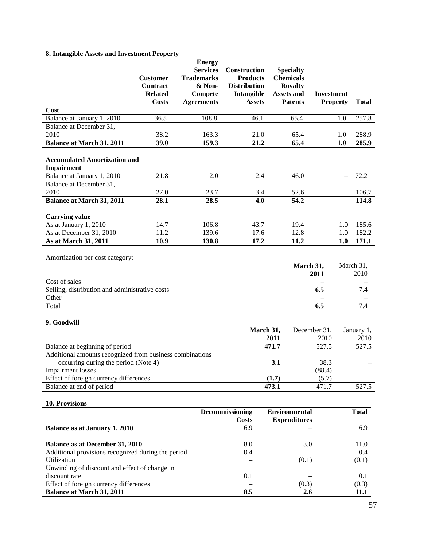# **8. Intangible Assets and Investment Property**

|                                                                          | <b>Customer</b><br>Contract | <b>Energy</b><br><b>Services</b><br><b>Trademarks</b><br>& Non- | Construction<br><b>Products</b><br><b>Distribution</b> | <b>Specialty</b><br><b>Chemicals</b>        |                   |                   |                   |
|--------------------------------------------------------------------------|-----------------------------|-----------------------------------------------------------------|--------------------------------------------------------|---------------------------------------------|-------------------|-------------------|-------------------|
|                                                                          | <b>Related</b>              | <b>Compete</b>                                                  | Intangible                                             | <b>Royalty</b><br><b>Assets and</b>         | <b>Investment</b> |                   |                   |
|                                                                          | Costs                       | <b>Agreements</b>                                               | <b>Assets</b>                                          | <b>Patents</b>                              | <b>Property</b>   |                   | <b>Total</b>      |
| Cost                                                                     |                             |                                                                 |                                                        |                                             |                   |                   |                   |
| Balance at January 1, 2010                                               | 36.5                        | 108.8                                                           | 46.1                                                   | 65.4                                        |                   | 1.0               | 257.8             |
| Balance at December 31,                                                  |                             |                                                                 |                                                        |                                             |                   |                   |                   |
| 2010                                                                     | 38.2                        | 163.3                                                           | 21.0                                                   | 65.4                                        |                   | 1.0               | 288.9             |
| <b>Balance at March 31, 2011</b>                                         | 39.0                        | 159.3                                                           | 21.2                                                   | 65.4                                        |                   | 1.0               | 285.9             |
| <b>Accumulated Amortization and</b><br>Impairment                        |                             |                                                                 |                                                        |                                             |                   |                   |                   |
| Balance at January 1, 2010                                               | 21.8                        | 2.0                                                             | 2.4                                                    | 46.0                                        |                   | $\qquad \qquad -$ | 72.2              |
| Balance at December 31,                                                  |                             |                                                                 |                                                        |                                             |                   |                   |                   |
| 2010                                                                     | 27.0                        | 23.7                                                            | 3.4                                                    | 52.6                                        |                   | -                 | 106.7             |
| <b>Balance at March 31, 2011</b>                                         | 28.1                        | 28.5                                                            | 4.0                                                    | 54.2                                        |                   | $\qquad \qquad -$ | 114.8             |
| <b>Carrying value</b>                                                    |                             |                                                                 |                                                        |                                             |                   |                   |                   |
| As at January 1, 2010                                                    | 14.7                        | 106.8                                                           | 43.7                                                   | 19.4                                        |                   | 1.0               | 185.6             |
| As at December 31, 2010                                                  | 11.2                        | 139.6                                                           | 17.6                                                   | 12.8                                        |                   | 1.0               | 182.2             |
| As at March 31, 2011                                                     | 10.9                        | 130.8                                                           | 17.2                                                   | 11.2                                        |                   | 1.0               | 171.1             |
| Amortization per cost category:                                          |                             |                                                                 |                                                        |                                             | March 31,<br>2011 |                   | March 31,<br>2010 |
| Cost of sales<br>Selling, distribution and administrative costs<br>Other |                             |                                                                 |                                                        |                                             | 6.5               |                   | 7.4               |
| Total                                                                    |                             |                                                                 |                                                        |                                             | 6.5               |                   | $\overline{7.4}$  |
| 9. Goodwill                                                              |                             |                                                                 |                                                        |                                             |                   |                   |                   |
|                                                                          |                             |                                                                 |                                                        | March 31,                                   | December 31,      |                   | January 1,        |
|                                                                          |                             |                                                                 |                                                        | 2011                                        | 2010              |                   | 2010              |
| Balance at beginning of period                                           |                             |                                                                 |                                                        | 471.7                                       | 527.5             |                   | 527.5             |
| Additional amounts recognized from business combinations                 |                             |                                                                 |                                                        |                                             | 38.3              |                   |                   |
| occurring during the period (Note 4)                                     |                             |                                                                 |                                                        | 3.1                                         |                   |                   |                   |
| <b>Impairment</b> losses<br>Effect of foreign currency differences       |                             |                                                                 |                                                        | (1.7)                                       | (88.4)<br>(5.7)   |                   |                   |
| Balance at end of period                                                 |                             |                                                                 |                                                        | 473.1                                       | 471.7             |                   | 527.5             |
|                                                                          |                             |                                                                 |                                                        |                                             |                   |                   |                   |
| 10. Provisions                                                           |                             |                                                                 |                                                        |                                             |                   |                   |                   |
|                                                                          |                             |                                                                 | Decommissioning<br><b>Costs</b>                        | <b>Environmental</b><br><b>Expenditures</b> |                   |                   | <b>Total</b>      |
| <b>Balance as at January 1, 2010</b>                                     |                             |                                                                 | 6.9                                                    |                                             | —                 |                   | 6.9               |
| <b>Balance as at December 31, 2010</b>                                   |                             |                                                                 | 8.0                                                    |                                             | 3.0               |                   | 11.0              |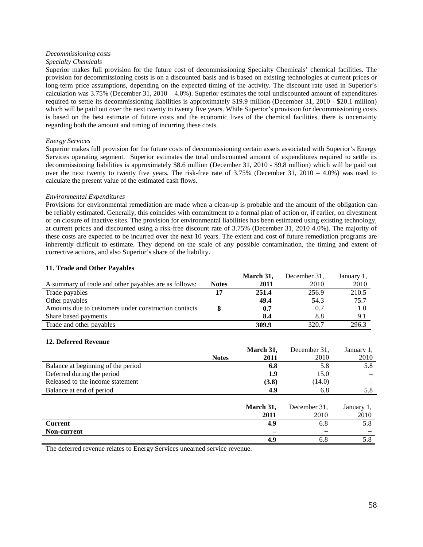# *Decommissioning costs Specialty Chemicals*

Superior makes full provision for the future cost of decommissioning Specialty Chemicals' chemical facilities. The provision for decommissioning costs is on a discounted basis and is based on existing technologies at current prices or long-term price assumptions, depending on the expected timing of the activity. The discount rate used in Superior's calculation was  $3.75\%$  (December 31, 2010 – 4.0%). Superior estimates the total undiscounted amount of expenditures required to settle its decommissioning liabilities is approximately \$19.9 million (December 31, 2010 - \$20.1 million) which will be paid out over the next twenty to twenty five years. While Superior's provision for decommissioning costs is based on the best estimate of future costs and the economic lives of the chemical facilities, there is uncertainty regarding both the amount and timing of incurring these costs.

# *Energy Services*

Superior makes full provision for the future costs of decommissioning certain assets associated with Superior's Energy Services operating segment. Superior estimates the total undiscounted amount of expenditures required to settle its decommissioning liabilities is approximately \$8.6 million (December 31, 2010 - \$9.8 million) which will be paid out over the next twenty to twenty five years. The risk-free rate of  $3.75\%$  (December 31, 2010 – 4.0%) was used to calculate the present value of the estimated cash flows.

# *Environmental Expenditures*

Provisions for environmental remediation are made when a clean-up is probable and the amount of the obligation can be reliably estimated. Generally, this coincides with commitment to a formal plan of action or, if earlier, on divestment or on closure of inactive sites. The provision for environmental liabilities has been estimated using existing technology, at current prices and discounted using a risk-free discount rate of 3.75% (December 31, 2010 4.0%). The majority of these costs are expected to be incurred over the next 10 years. The extent and cost of future remediation programs are inherently difficult to estimate. They depend on the scale of any possible contamination, the timing and extent of corrective actions, and also Superior's share of the liability.

# **11. Trade and Other Payables**

|                                                       |              | March 31, | December 31, | January 1, |
|-------------------------------------------------------|--------------|-----------|--------------|------------|
| A summary of trade and other payables are as follows: | <b>Notes</b> | 2011      | 2010         | 2010       |
| Trade payables                                        | 17           | 251.4     | 256.9        | 210.5      |
| Other payables                                        |              | 49.4      | 54.3         | 75.7       |
| Amounts due to customers under construction contacts  |              | 0.7       | 0.7          | 1.0        |
| Share based payments                                  |              | 8.4       | 8.8          | 9.1        |
| Trade and other payables                              |              | 309.9     | 320.7        | 296.3      |

# **12. Deferred Revenue**

|                                    |              | March 31, | December 31. | January 1, |
|------------------------------------|--------------|-----------|--------------|------------|
|                                    | <b>Notes</b> | 2011      | 2010         | 2010       |
| Balance at beginning of the period |              | 6.8       | 5.8          |            |
| Deferred during the period         |              | 1.9       | 15.0         |            |
| Released to the income statement   |              | (3.8)     | (14.0)       | -          |
| Balance at end of period           |              | 4.9       | 6.8          |            |

|                | March 31, | December 31, | January 1, |
|----------------|-----------|--------------|------------|
|                | 2011      | 2010         | 2010       |
| <b>Current</b> | 4.9       | 6.8          | 5.8        |
| Non-current    |           | -            | $-$        |
|                | 4.9       |              | 5.8        |

The deferred revenue relates to Energy Services unearned service revenue.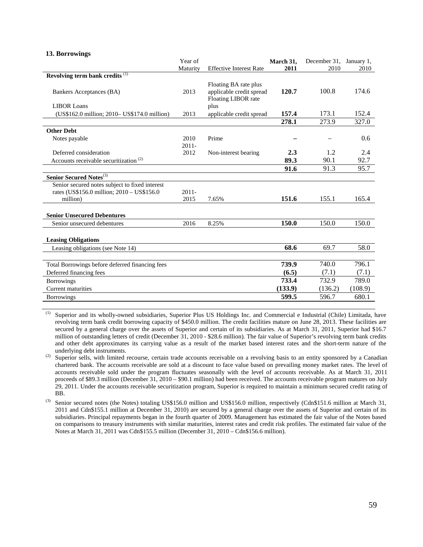# **13. Borrowings**

|                                                                                                          | Year of          |                                                                          | March 31, | December 31, | January 1, |
|----------------------------------------------------------------------------------------------------------|------------------|--------------------------------------------------------------------------|-----------|--------------|------------|
|                                                                                                          | Maturity         | <b>Effective Interest Rate</b>                                           | 2011      | 2010         | 2010       |
| Revolving term bank credits <sup>(1)</sup>                                                               |                  |                                                                          |           |              |            |
| Bankers Acceptances (BA)                                                                                 | 2013             | Floating BA rate plus<br>applicable credit spread<br>Floating LIBOR rate | 120.7     | 100.8        | 174.6      |
| <b>LIBOR Loans</b>                                                                                       |                  | plus                                                                     |           |              |            |
| (US\$162.0 million; 2010– US\$174.0 million)                                                             | 2013             | applicable credit spread                                                 | 157.4     | 173.1        | 152.4      |
|                                                                                                          |                  |                                                                          | 278.1     | 273.9        | 327.0      |
| <b>Other Debt</b>                                                                                        |                  |                                                                          |           |              |            |
| Notes payable                                                                                            | 2010<br>$2011 -$ | Prime                                                                    |           |              | 0.6        |
| Deferred consideration                                                                                   | 2012             | Non-interest bearing                                                     | 2.3       | 1.2          | 2.4        |
| Accounts receivable securitization <sup>(2)</sup>                                                        |                  |                                                                          | 89.3      | 90.1         | 92.7       |
|                                                                                                          |                  |                                                                          | 91.6      | 91.3         | 95.7       |
| Senior Secured Notes <sup>(3)</sup>                                                                      |                  |                                                                          |           |              |            |
| Senior secured notes subject to fixed interest<br>rates (US\$156.0 million; 2010 - US\$156.0<br>million) | $2011 -$<br>2015 | 7.65%                                                                    | 151.6     | 155.1        | 165.4      |
| <b>Senior Unsecured Debentures</b>                                                                       |                  |                                                                          |           |              |            |
| Senior unsecured debentures                                                                              | 2016             | 8.25%                                                                    | 150.0     | 150.0        | 150.0      |
| <b>Leasing Obligations</b>                                                                               |                  |                                                                          |           |              |            |
| Leasing obligations (see Note 14)                                                                        |                  |                                                                          | 68.6      | 69.7         | 58.0       |
|                                                                                                          |                  |                                                                          |           |              |            |
| Total Borrowings before deferred financing fees                                                          |                  |                                                                          | 739.9     | 740.0        | 796.1      |
| Deferred financing fees                                                                                  |                  |                                                                          | (6.5)     | (7.1)        | (7.1)      |
| <b>Borrowings</b>                                                                                        |                  |                                                                          | 733.4     | 732.9        | 789.0      |
| Current maturities                                                                                       |                  |                                                                          | (133.9)   | (136.2)      | (108.9)    |
| <b>Borrowings</b>                                                                                        |                  |                                                                          | 599.5     | 596.7        | 680.1      |

(1) Superior and its wholly-owned subsidiaries, Superior Plus US Holdings Inc. and Commercial e Industrial (Chile) Limitada, have revolving term bank credit borrowing capacity of \$450.0 million. The credit facilities mature on June 28, 2013. These facilities are secured by a general charge over the assets of Superior and certain of its subsidiaries. As at March 31, 2011, Superior had \$16.7 million of outstanding letters of credit (December 31, 2010 - \$28.6 million). The fair value of Superior's revolving term bank credits and other debt approximates its carrying value as a result of the market based interest rates and the short-term nature of the underlying debt instruments.

<sup>(2)</sup> Superior sells, with limited recourse, certain trade accounts receivable on a revolving basis to an entity sponsored by a Canadian chartered bank. The accounts receivable are sold at a discount to face value based on prevailing money market rates. The level of accounts receivable sold under the program fluctuates seasonally with the level of accounts receivable. As at March 31, 2011 proceeds of \$89.3 million (December 31, 2010 – \$90.1 million) had been received. The accounts receivable program matures on July 29, 2011. Under the accounts receivable securitization program, Superior is required to maintain a minimum secured credit rating of BB.

<sup>(3)</sup> Senior secured notes (the Notes) totaling US\$156.0 million and US\$156.0 million, respectively (Cdn\$151.6 million at March 31, 2011 and Cdn\$155.1 million at December 31, 2010) are secured by a general charge over the assets of Superior and certain of its subsidiaries. Principal repayments began in the fourth quarter of 2009. Management has estimated the fair value of the Notes based on comparisons to treasury instruments with similar maturities, interest rates and credit risk profiles. The estimated fair value of the Notes at March 31, 2011 was Cdn\$155.5 million (December 31, 2010 – Cdn\$156.6 million).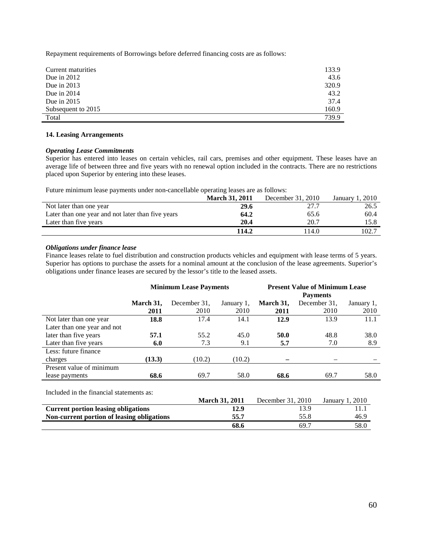Repayment requirements of Borrowings before deferred financing costs are as follows:

| Current maturities | 133.9 |
|--------------------|-------|
| Due in $2012$      | 43.6  |
| Due in $2013$      | 320.9 |
| Due in $2014$      | 43.2  |
| Due in $2015$      | 37.4  |
| Subsequent to 2015 | 160.9 |
| Total              | 739.9 |

## **14. Leasing Arrangements**

#### *Operating Lease Commitments*

Superior has entered into leases on certain vehicles, rail cars, premises and other equipment. These leases have an average life of between three and five years with no renewal option included in the contracts. There are no restrictions placed upon Superior by entering into these leases.

| Future minimum lease payments under non-cancellable operating leases are as follows: |
|--------------------------------------------------------------------------------------|
|--------------------------------------------------------------------------------------|

|                                                   | <b>March 31, 2011</b> | December 31, 2010 | January 1, 2010 |
|---------------------------------------------------|-----------------------|-------------------|-----------------|
| Not later than one year                           | 29.6                  | 27.7              | 26.5            |
| Later than one year and not later than five years | 64.2                  | 65.6              | 60.4            |
| Later than five years                             | 20.4                  | 20.7              | 15.8            |
|                                                   | 114.2                 | 114.0             | 102.7           |

# *Obligations under finance lease*

Finance leases relate to fuel distribution and construction products vehicles and equipment with lease terms of 5 years. Superior has options to purchase the assets for a nominal amount at the conclusion of the lease agreements. Superior's obligations under finance leases are secured by the lessor's title to the leased assets.

|                             | <b>Minimum Lease Payments</b> |              | <b>Present Value of Minimum Lease</b><br><b>Payments</b> |           |              |            |
|-----------------------------|-------------------------------|--------------|----------------------------------------------------------|-----------|--------------|------------|
|                             | March 31,                     | December 31. | January 1,                                               | March 31, | December 31, | January 1, |
|                             | 2011                          | 2010         | 2010                                                     | 2011      | 2010         | 2010       |
| Not later than one year     | 18.8                          | 17.4         | 14.1                                                     | 12.9      | 13.9         | 11.1       |
| Later than one year and not |                               |              |                                                          |           |              |            |
| later than five years       | 57.1                          | 55.2         | 45.0                                                     | 50.0      | 48.8         | 38.0       |
| Later than five years       | 6.0                           | 7.3          | 9.1                                                      | 5.7       | 7.0          | 8.9        |
| Less: future finance        |                               |              |                                                          |           |              |            |
| charges                     | (13.3)                        | (10.2)       | (10.2)                                                   |           |              |            |
| Present value of minimum    |                               |              |                                                          |           |              |            |
| lease payments              | 68.6                          | 69.7         | 58.0                                                     | 68.6      | 69.7         | 58.0       |
|                             |                               |              |                                                          |           |              |            |

Included in the financial statements as:

|                                            | <b>March 31, 2011</b> | December 31, 2010 | 2010<br>January 1 |
|--------------------------------------------|-----------------------|-------------------|-------------------|
| <b>Current portion leasing obligations</b> | 12.9                  | 13.9              |                   |
| Non-current portion of leasing obligations | 55.7                  | 55.8              | 46.9              |
|                                            | 68.6                  | 69.7              | 58.0              |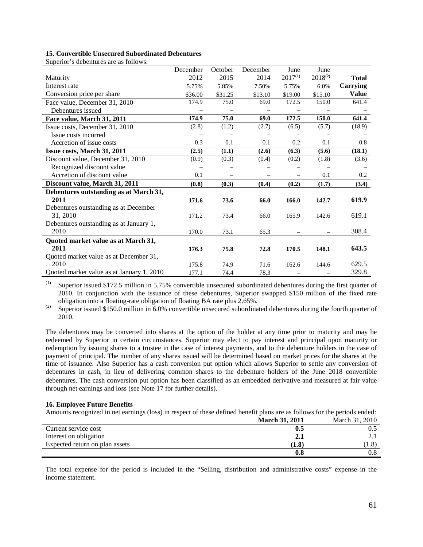# **15. Convertible Unsecured Subordinated Debentures**

Superior's debentures are as follows:

|                                           | December | October | December                 | June         | June         |                 |
|-------------------------------------------|----------|---------|--------------------------|--------------|--------------|-----------------|
| Maturity                                  | 2012     | 2015    | 2014                     | $2017^{(1)}$ | $2018^{(2)}$ | <b>Total</b>    |
| Interest rate                             | 5.75%    | 5.85%   | 7.50%                    | 5.75%        | 6.0%         | <b>Carrying</b> |
| Conversion price per share                | \$36.00  | \$31.25 | \$13.10                  | \$19.00      | \$15.10      | <b>Value</b>    |
| Face value, December 31, 2010             | 174.9    | 75.0    | 69.0                     | 172.5        | 150.0        | 641.4           |
| Debentures issued                         |          |         |                          |              |              |                 |
| Face value, March 31, 2011                | 174.9    | 75.0    | 69.0                     | 172.5        | 150.0        | 641.4           |
| Issue costs, December 31, 2010            | (2.8)    | (1.2)   | (2.7)                    | (6.5)        | (5.7)        | (18.9)          |
| Issue costs incurred                      |          |         |                          |              |              |                 |
| Accretion of issue costs                  | 0.3      | 0.1     | 0.1                      | 0.2          | 0.1          | $0.8\,$         |
| Issue costs, March 31, 2011               | (2.5)    | (1.1)   | (2.6)                    | (6.3)        | (5.6)        | (18.1)          |
| Discount value, December 31, 2010         | (0.9)    | (0.3)   | (0.4)                    | (0.2)        | (1.8)        | (3.6)           |
| Recognized discount value                 |          |         |                          |              |              |                 |
| Accretion of discount value               | 0.1      |         | $\overline{\phantom{0}}$ |              | 0.1          | 0.2             |
| Discount value, March 31, 2011            | (0.8)    | (0.3)   | (0.4)                    | (0.2)        | (1.7)        | (3.4)           |
| Debentures outstanding as at March 31,    |          |         |                          |              |              |                 |
| 2011                                      | 171.6    | 73.6    | 66.0                     | 166.0        | 142.7        | 619.9           |
| Debentures outstanding as at December     |          |         |                          |              |              |                 |
| 31, 2010                                  | 171.2    | 73.4    | 66.0                     | 165.9        | 142.6        | 619.1           |
| Debentures outstanding as at January 1,   |          |         |                          |              |              |                 |
| 2010                                      | 170.0    | 73.1    | 65.3                     |              |              | 308.4           |
| Quoted market value as at March 31,       |          |         |                          |              |              |                 |
| 2011                                      | 176.3    | 75.8    | 72.8                     | 170.5        | 148.1        | 643.5           |
| Quoted market value as at December 31,    |          |         |                          |              |              |                 |
| 2010                                      | 175.8    | 74.9    | 71.6                     | 162.6        | 144.6        | 629.5           |
| Quoted market value as at January 1, 2010 | 177.1    | 74.4    | 78.3                     |              |              | 329.8           |

 $(1)$  Superior issued \$172.5 million in 5.75% convertible unsecured subordinated debentures during the first quarter of 2010. In conjunction with the issuance of these debentures, Superior swapped \$150 million of the fixed rate obligation into a floating-rate obligation of floating BA rate plus 2.65%.

(2) Superior issued \$150.0 million in 6.0% convertible unsecured subordinated debentures during the fourth quarter of 2010.

The debentures may be converted into shares at the option of the holder at any time prior to maturity and may be redeemed by Superior in certain circumstances. Superior may elect to pay interest and principal upon maturity or redemption by issuing shares to a trustee in the case of interest payments, and to the debenture holders in the case of payment of principal. The number of any shares issued will be determined based on market prices for the shares at the time of issuance. Also Superior has a cash conversion put option which allows Superior to settle any conversion of debentures in cash, in lieu of delivering common shares to the debenture holders of the June 2018 convertible debentures. The cash conversion put option has been classified as an embedded derivative and measured at fair value through net earnings and loss (see Note 17 for further details).

## **16. Employee Future Benefits**

Amounts recognized in net earnings (loss) in respect of these defined benefit plans are as follows for the periods ended:

|                                | <b>March 31, 2011</b> | March 31, 2010 |
|--------------------------------|-----------------------|----------------|
| Current service cost           | 0.5                   | J.J            |
| Interest on obligation         |                       |                |
| Expected return on plan assets | (1.8)                 | 1.8)           |
|                                |                       | $0.8\,$        |

The total expense for the period is included in the "Selling, distribution and administrative costs" expense in the income statement.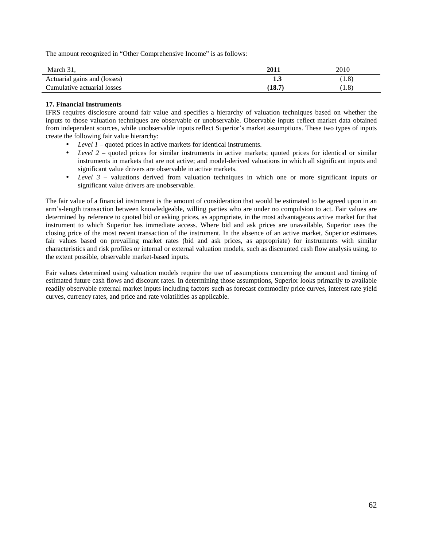The amount recognized in "Other Comprehensive Income" is as follows:

| March 31,                    | 2011   | 2010  |
|------------------------------|--------|-------|
| Actuarial gains and (losses) | 1.3    | (1.8) |
| Cumulative actuarial losses  | (18.7) | (1.8) |

# **17. Financial Instruments**

IFRS requires disclosure around fair value and specifies a hierarchy of valuation techniques based on whether the inputs to those valuation techniques are observable or unobservable. Observable inputs reflect market data obtained from independent sources, while unobservable inputs reflect Superior's market assumptions. These two types of inputs create the following fair value hierarchy:

- *Level 1* quoted prices in active markets for identical instruments.
- *Level 2* quoted prices for similar instruments in active markets; quoted prices for identical or similar instruments in markets that are not active; and model-derived valuations in which all significant inputs and significant value drivers are observable in active markets.
- *Level 3* valuations derived from valuation techniques in which one or more significant inputs or significant value drivers are unobservable.

The fair value of a financial instrument is the amount of consideration that would be estimated to be agreed upon in an arm's-length transaction between knowledgeable, willing parties who are under no compulsion to act. Fair values are determined by reference to quoted bid or asking prices, as appropriate, in the most advantageous active market for that instrument to which Superior has immediate access. Where bid and ask prices are unavailable, Superior uses the closing price of the most recent transaction of the instrument. In the absence of an active market, Superior estimates fair values based on prevailing market rates (bid and ask prices, as appropriate) for instruments with similar characteristics and risk profiles or internal or external valuation models, such as discounted cash flow analysis using, to the extent possible, observable market-based inputs.

Fair values determined using valuation models require the use of assumptions concerning the amount and timing of estimated future cash flows and discount rates. In determining those assumptions, Superior looks primarily to available readily observable external market inputs including factors such as forecast commodity price curves, interest rate yield curves, currency rates, and price and rate volatilities as applicable.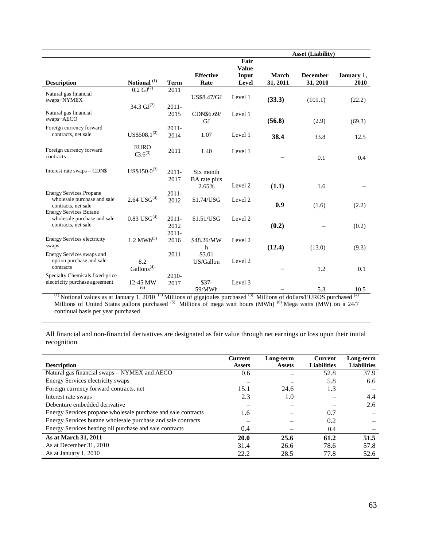| <b>Asset (Liability)</b>                                                                                                                                                                        |                    |
|-------------------------------------------------------------------------------------------------------------------------------------------------------------------------------------------------|--------------------|
| Fair                                                                                                                                                                                            |                    |
| <b>Value</b>                                                                                                                                                                                    |                    |
| <b>Effective</b><br>Input<br><b>March</b><br><b>December</b><br>Notional <sup>(1)</sup><br><b>Description</b><br><b>Term</b><br>Rate<br>Level<br>31, 2011<br>31, 2010                           | January 1,<br>2010 |
| $0.2 \text{ GJ}^{(2)}$<br>2011                                                                                                                                                                  |                    |
| Natural gas financial<br><b>US\$8.47/GJ</b><br>Level 1                                                                                                                                          |                    |
| (33.3)<br>(101.1)<br>swaps-NYMEX                                                                                                                                                                | (22.2)             |
| 34.3 $GI^{(2)}$<br>$2011 -$                                                                                                                                                                     |                    |
| Natural gas financial<br>CDN\$6.69/<br>2015<br>Level 1<br>swaps-AECO                                                                                                                            |                    |
| (56.8)<br>(2.9)<br>GJ                                                                                                                                                                           | (69.3)             |
| Foreign currency forward<br>$2011 -$<br>$US$508.1^{(3)}$<br>contracts, net sale<br>1.07<br>Level 1                                                                                              |                    |
| 2014<br>38.4<br>33.8                                                                                                                                                                            | 12.5               |
| <b>EURO</b>                                                                                                                                                                                     |                    |
| Foreign currency forward<br>2011<br>1.40<br>Level 1<br>$\epsilon$ 3.6 <sup>3</sup><br>contracts                                                                                                 |                    |
| 0.1                                                                                                                                                                                             | 0.4                |
| $US$150.0^{(3)}$<br>Interest rate swaps - CDN\$<br>$2011 -$<br>Six month                                                                                                                        |                    |
| 2017<br>BA rate plus                                                                                                                                                                            |                    |
| Level 2<br>(1.1)<br>1.6<br>2.65%                                                                                                                                                                |                    |
| $2011 -$<br><b>Energy Services Propane</b>                                                                                                                                                      |                    |
| $2.64$ USG <sup>(4)</sup><br>wholesale purchase and sale<br>\$1.74/USG<br>Level 2<br>2012                                                                                                       |                    |
| 0.9<br>(1.6)<br>contracts, net sale                                                                                                                                                             | (2.2)              |
| <b>Energy Services Butane</b>                                                                                                                                                                   |                    |
| $0.83$ USG <sup>(4)</sup><br>wholesale purchase and sale<br>$2011 -$<br>\$1.51/USG<br>Level 2<br>contracts, net sale                                                                            |                    |
| (0.2)<br>2012<br>$2011 -$                                                                                                                                                                       | (0.2)              |
| <b>Energy Services electricity</b><br>$1.2 \text{ MWh}^{(5)}$<br>2016<br>\$48.26/MW<br>Level 2                                                                                                  |                    |
| swaps<br>(12.4)<br>(13.0)<br>h                                                                                                                                                                  | (9.3)              |
| Energy Services swaps and<br>2011<br>\$3.01                                                                                                                                                     |                    |
| option purchase and sale<br>Level 2<br>8.2<br>US/Gallon                                                                                                                                         |                    |
| contracts<br>Gallons <sup>(4)</sup><br>1.2                                                                                                                                                      | 0.1                |
| Specialty Chemicals fixed-price<br>2010-                                                                                                                                                        |                    |
| electricity purchase agreement<br>12-45 MW<br>$$37-$<br>Level 3<br>2017                                                                                                                         |                    |
| (6)<br>5.3<br>59/MWh<br>$1.2010(2)$ $\sqrt{11}$<br>$1 \t1^{(3)} \t1^{(11)}$<br>$(1)$ $\mathbf{r}$ $\mathbf{r}$ $\mathbf{r}$ $\mathbf{r}$ $\mathbf{r}$ $\mathbf{r}$ $\mathbf{r}$<br>$TITDOC = 1$ | 10.5<br>(4)        |

<sup>(1)</sup> Notional values as at January 1, 2010<sup>(2)</sup> Millions of gigajoules purchased<sup>(3)</sup> Millions of dollars/EUROS purchased<sup>(4)</sup> Millions of United States gallons purchased <sup>(5)</sup> Millions of mega watt hours (MWh) <sup>(6)</sup> Mega watts (MW) on a 24/7 continual basis per year purchased

All financial and non-financial derivatives are designated as fair value through net earnings or loss upon their initial recognition.

| <b>Description</b>                                            | <b>Current</b><br><b>Assets</b> | Long-term<br><b>Assets</b> | Current<br><b>Liabilities</b> | Long-term<br><b>Liabilities</b> |
|---------------------------------------------------------------|---------------------------------|----------------------------|-------------------------------|---------------------------------|
| Natural gas financial swaps - NYMEX and AECO                  | 0.6                             |                            | 52.8                          | 37.9                            |
| Energy Services electricity swaps                             |                                 |                            | 5.8                           | 6.6                             |
| Foreign currency forward contracts, net                       | 15.1                            | 24.6                       | 1.3                           |                                 |
| Interest rate swaps                                           | 2.3                             | 1.0                        |                               | 4.4                             |
| Debenture embedded derivative                                 |                                 |                            |                               | 2.6                             |
| Energy Services propane wholesale purchase and sale contracts | 1.6                             |                            | 0.7                           |                                 |
| Energy Services butane wholesale purchase and sale contracts  |                                 |                            | 0.2                           |                                 |
| Energy Services heating oil purchase and sale contracts       | 0.4                             |                            | 0.4                           |                                 |
| As at March 31, 2011                                          | <b>20.0</b>                     | 25.6                       | 61.2                          | 51.5                            |
| As at December 31, 2010                                       | 31.4                            | 26.6                       | 78.6                          | 57.8                            |
| As at January 1, 2010                                         | 22.2                            | 28.5                       | 77.8                          | 52.6                            |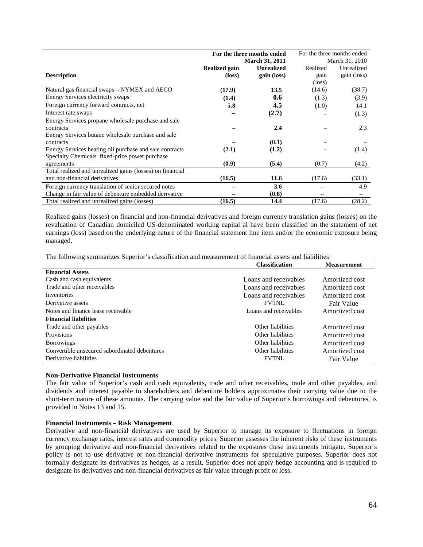|                                                           | For the three months ended |                   | For the three months ended |                |
|-----------------------------------------------------------|----------------------------|-------------------|----------------------------|----------------|
|                                                           | <b>March 31, 2011</b>      |                   |                            | March 31, 2010 |
|                                                           | <b>Realized gain</b>       | <b>Unrealized</b> | Realized                   | Unrealized     |
| <b>Description</b>                                        | $(\text{loss})$            | gain (loss)       | gain                       | gain (loss)    |
|                                                           |                            |                   | $(\text{loss})$            |                |
| Natural gas financial swaps – NYMEX and AECO              | (17.9)                     | 13.5              | (14.6)                     | (38.7)         |
| Energy Services electricity swaps                         | (1.4)                      | 0.6               | (1.3)                      | (3.9)          |
| Foreign currency forward contracts, net                   | 5.8                        | 4.5               | (1.0)                      | 14.1           |
| Interest rate swaps                                       |                            | (2.7)             |                            | (1.3)          |
| Energy Services propane wholesale purchase and sale       |                            |                   |                            |                |
| contracts                                                 |                            | 2.4               |                            | 2.3            |
| Energy Services butane wholesale purchase and sale        |                            |                   |                            |                |
| contracts                                                 |                            | (0.1)             |                            |                |
| Energy Services heating oil purchase and sale contracts   | (2.1)                      | (1.2)             |                            | (1.4)          |
| Specialty Chemicals fixed-price power purchase            |                            |                   |                            |                |
| agreements                                                | (0.9)                      | (5.4)             | (0.7)                      | (4.2)          |
| Total realized and unrealized gains (losses) on financial |                            |                   |                            |                |
| and non-financial derivatives                             | (16.5)                     | 11.6              | (17.6)                     | (33.1)         |
| Foreign currency translation of senior secured notes      |                            | 3.6               |                            | 4.9            |
| Change in fair value of debenture embedded derivative     |                            | (0.8)             |                            |                |
| Total realized and unrealized gains (losses)              | (16.5)                     | 14.4              | (17.6)                     | (28.2)         |

Realized gains (losses) on financial and non-financial derivatives and foreign currency translation gains (losses) on the revaluation of Canadian domiciled US-denominated working capital al have been classified on the statement of net earnings (loss) based on the underlying nature of the financial statement line item and/or the economic exposure being managed.

The following summarizes Superior's classification and measurement of financial assets and liabilities:

|                                               | <b>Classification</b> | <b>Measurement</b> |
|-----------------------------------------------|-----------------------|--------------------|
| <b>Financial Assets</b>                       |                       |                    |
| Cash and cash equivalents                     | Loans and receivables | Amortized cost     |
| Trade and other receivables                   | Loans and receivables | Amortized cost     |
| Inventories                                   | Loans and receivables | Amortized cost     |
| Derivative assets                             | <b>FVTNL</b>          | Fair Value         |
| Notes and finance lease receivable            | Loans and receivables | Amortized cost     |
| <b>Financial liabilities</b>                  |                       |                    |
| Trade and other payables                      | Other liabilities     | Amortized cost     |
| Provisions                                    | Other liabilities     | Amortized cost     |
| <b>Borrowings</b>                             | Other liabilities     | Amortized cost     |
| Convertible unsecured subordinated debentures | Other liabilities     | Amortized cost     |
| Derivative liabilities                        | <b>FVTNL</b>          | Fair Value         |

## **Non-Derivative Financial Instruments**

The fair value of Superior's cash and cash equivalents, trade and other receivables, trade and other payables, and dividends and interest payable to shareholders and debenture holders approximates their carrying value due to the short-term nature of these amounts. The carrying value and the fair value of Superior's borrowings and debentures, is provided in Notes 13 and 15.

#### **Financial Instruments – Risk Management**

Derivative and non-financial derivatives are used by Superior to manage its exposure to fluctuations in foreign currency exchange rates, interest rates and commodity prices. Superior assesses the inherent risks of these instruments by grouping derivative and non-financial derivatives related to the exposures these instruments mitigate. Superior's policy is not to use derivative or non-financial derivative instruments for speculative purposes. Superior does not formally designate its derivatives as hedges, as a result, Superior does not apply hedge accounting and is required to designate its derivatives and non-financial derivatives as fair value through profit or loss.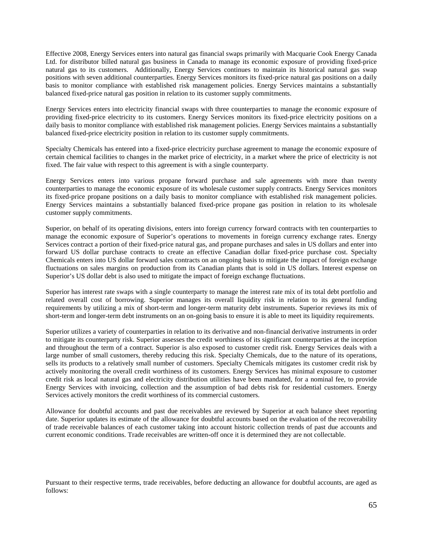Effective 2008, Energy Services enters into natural gas financial swaps primarily with Macquarie Cook Energy Canada Ltd. for distributor billed natural gas business in Canada to manage its economic exposure of providing fixed-price natural gas to its customers. Additionally, Energy Services continues to maintain its historical natural gas swap positions with seven additional counterparties. Energy Services monitors its fixed-price natural gas positions on a daily basis to monitor compliance with established risk management policies. Energy Services maintains a substantially balanced fixed-price natural gas position in relation to its customer supply commitments.

Energy Services enters into electricity financial swaps with three counterparties to manage the economic exposure of providing fixed-price electricity to its customers. Energy Services monitors its fixed-price electricity positions on a daily basis to monitor compliance with established risk management policies. Energy Services maintains a substantially balanced fixed-price electricity position in relation to its customer supply commitments.

Specialty Chemicals has entered into a fixed-price electricity purchase agreement to manage the economic exposure of certain chemical facilities to changes in the market price of electricity, in a market where the price of electricity is not fixed. The fair value with respect to this agreement is with a single counterparty.

Energy Services enters into various propane forward purchase and sale agreements with more than twenty counterparties to manage the economic exposure of its wholesale customer supply contracts. Energy Services monitors its fixed-price propane positions on a daily basis to monitor compliance with established risk management policies. Energy Services maintains a substantially balanced fixed-price propane gas position in relation to its wholesale customer supply commitments.

Superior, on behalf of its operating divisions, enters into foreign currency forward contracts with ten counterparties to manage the economic exposure of Superior's operations to movements in foreign currency exchange rates. Energy Services contract a portion of their fixed-price natural gas, and propane purchases and sales in US dollars and enter into forward US dollar purchase contracts to create an effective Canadian dollar fixed-price purchase cost. Specialty Chemicals enters into US dollar forward sales contracts on an ongoing basis to mitigate the impact of foreign exchange fluctuations on sales margins on production from its Canadian plants that is sold in US dollars. Interest expense on Superior's US dollar debt is also used to mitigate the impact of foreign exchange fluctuations.

Superior has interest rate swaps with a single counterparty to manage the interest rate mix of its total debt portfolio and related overall cost of borrowing. Superior manages its overall liquidity risk in relation to its general funding requirements by utilizing a mix of short-term and longer-term maturity debt instruments. Superior reviews its mix of short-term and longer-term debt instruments on an on-going basis to ensure it is able to meet its liquidity requirements.

Superior utilizes a variety of counterparties in relation to its derivative and non-financial derivative instruments in order to mitigate its counterparty risk. Superior assesses the credit worthiness of its significant counterparties at the inception and throughout the term of a contract. Superior is also exposed to customer credit risk. Energy Services deals with a large number of small customers, thereby reducing this risk. Specialty Chemicals, due to the nature of its operations, sells its products to a relatively small number of customers. Specialty Chemicals mitigates its customer credit risk by actively monitoring the overall credit worthiness of its customers. Energy Services has minimal exposure to customer credit risk as local natural gas and electricity distribution utilities have been mandated, for a nominal fee, to provide Energy Services with invoicing, collection and the assumption of bad debts risk for residential customers. Energy Services actively monitors the credit worthiness of its commercial customers.

Allowance for doubtful accounts and past due receivables are reviewed by Superior at each balance sheet reporting date. Superior updates its estimate of the allowance for doubtful accounts based on the evaluation of the recoverability of trade receivable balances of each customer taking into account historic collection trends of past due accounts and current economic conditions. Trade receivables are written-off once it is determined they are not collectable.

Pursuant to their respective terms, trade receivables, before deducting an allowance for doubtful accounts, are aged as follows: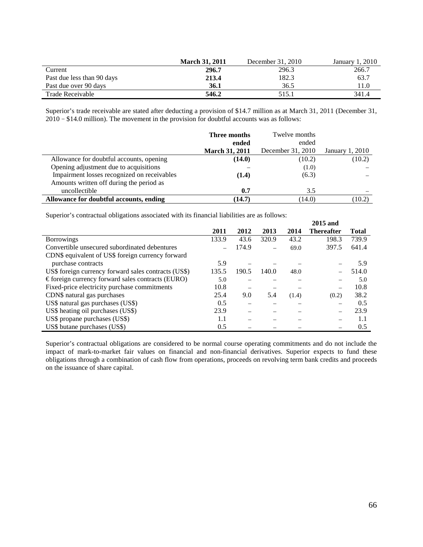|                            | <b>March 31, 2011</b> | December 31, 2010 | January 1, 2010 |
|----------------------------|-----------------------|-------------------|-----------------|
| Current                    | 296.7                 | 296.3             | 266.7           |
| Past due less than 90 days | 213.4                 | 182.3             | 63.7            |
| Past due over 90 days      | 36.1                  | 36.5              | 11.0            |
| Trade Receivable           | 546.2                 | 515.1             | 341.4           |

Superior's trade receivable are stated after deducting a provision of \$14.7 million as at March 31, 2011 (December 31, 2010 – \$14.0 million). The movement in the provision for doubtful accounts was as follows:

|                                             | Three months          | Twelve months     |                 |
|---------------------------------------------|-----------------------|-------------------|-----------------|
|                                             | ended                 | ended             |                 |
|                                             | <b>March 31, 2011</b> | December 31, 2010 | January 1, 2010 |
| Allowance for doubtful accounts, opening    | (14.0)                | (10.2)            | (10.2)          |
| Opening adjustment due to acquisitions      |                       | (1.0)             |                 |
| Impairment losses recognized on receivables | (1.4)                 | (6.3)             |                 |
| Amounts written off during the period as    |                       |                   |                 |
| uncollectible                               | 0.7                   | 3.5               |                 |
| Allowance for doubtful accounts, ending     | (14.7)                | (14.0)            | (10.2)          |

Superior's contractual obligations associated with its financial liabilities are as follows:

|                                                            |       |       |       |       | 2015 and          |       |
|------------------------------------------------------------|-------|-------|-------|-------|-------------------|-------|
|                                                            | 2011  | 2012  | 2013  | 2014  | <b>Thereafter</b> | Total |
| <b>Borrowings</b>                                          | 133.9 | 43.6  | 320.9 | 43.2  | 198.3             | 739.9 |
| Convertible unsecured subordinated debentures              |       | 174.9 |       | 69.0  | 397.5             | 641.4 |
| CDN\$ equivalent of US\$ foreign currency forward          |       |       |       |       |                   |       |
| purchase contracts                                         | 5.9   |       |       |       |                   | 5.9   |
| US\$ foreign currency forward sales contracts (US\$)       | 135.5 | 190.5 | 140.0 | 48.0  |                   | 514.0 |
| $\epsilon$ foreign currency forward sales contracts (EURO) | 5.0   |       |       |       |                   | 5.0   |
| Fixed-price electricity purchase commitments               | 10.8  |       |       |       |                   | 10.8  |
| CDN\$ natural gas purchases                                | 25.4  | 9.0   | 5.4   | (1.4) | (0.2)             | 38.2  |
| US\$ natural gas purchases (US\$)                          | 0.5   |       |       |       |                   | 0.5   |
| US\$ heating oil purchases (US\$)                          | 23.9  |       |       |       |                   | 23.9  |
| US\$ propane purchases (US\$)                              | 1.1   |       |       |       |                   | 1.1   |
| US\$ butane purchases (US\$)                               | 0.5   |       |       |       |                   | 0.5   |

Superior's contractual obligations are considered to be normal course operating commitments and do not include the impact of mark-to-market fair values on financial and non-financial derivatives. Superior expects to fund these obligations through a combination of cash flow from operations, proceeds on revolving term bank credits and proceeds on the issuance of share capital.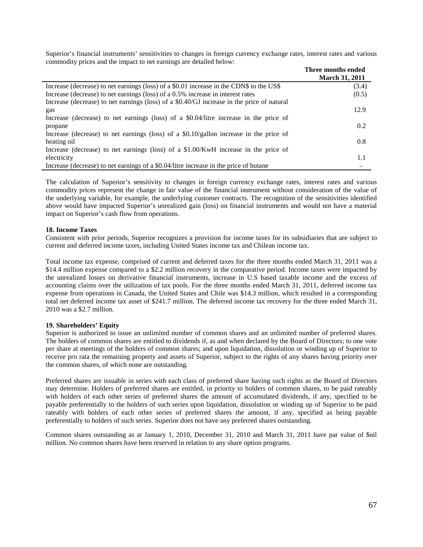Superior's financial instruments' sensitivities to changes in foreign currency exchange rates, interest rates and various commodity prices and the impact to net earnings are detailed below:

|                                                                                            | Three months ended    |
|--------------------------------------------------------------------------------------------|-----------------------|
|                                                                                            | <b>March 31, 2011</b> |
| Increase (decrease) to net earnings (loss) of a \$0.01 increase in the CDN\$ to the US\$   | (3.4)                 |
| Increase (decrease) to net earnings (loss) of a 0.5% increase in interest rates            | (0.5)                 |
| Increase (decrease) to net earnings (loss) of a \$0.40/GJ increase in the price of natural |                       |
| gas                                                                                        | 12.9                  |
| Increase (decrease) to net earnings (loss) of a \$0.04/litre increase in the price of      |                       |
| propane                                                                                    | 0.2                   |
| Increase (decrease) to net earnings (loss) of a \$0.10/gallon increase in the price of     |                       |
| heating oil                                                                                | 0.8                   |
| Increase (decrease) to net earnings (loss) of a \$1.00/KwH increase in the price of        |                       |
| electricity                                                                                | 1.1                   |
| Increase (decrease) to net earnings of a \$0.04/litre increase in the price of butane      |                       |

The calculation of Superior's sensitivity to changes in foreign currency exchange rates, interest rates and various commodity prices represent the change in fair value of the financial instrument without consideration of the value of the underlying variable, for example, the underlying customer contracts. The recognition of the sensitivities identified above would have impacted Superior's unrealized gain (loss) on financial instruments and would not have a material impact on Superior's cash flow from operations.

# **18. Income Taxes**

Consistent with prior periods, Superior recognizes a provision for income taxes for its subsidiaries that are subject to current and deferred income taxes, including United States income tax and Chilean income tax.

Total income tax expense, comprised of current and deferred taxes for the three months ended March 31, 2011 was a \$14.4 million expense compared to a \$2.2 million recovery in the comparative period. Income taxes were impacted by the unrealized losses on derivative financial instruments, increase in U.S based taxable income and the excess of accounting claims over the utilization of tax pools. For the three months ended March 31, 2011, deferred income tax expense from operations in Canada, the United States and Chile was \$14.3 million, which resulted in a corresponding total net deferred income tax asset of \$241.7 million. The deferred income tax recovery for the three ended March 31, 2010 was a \$2.7 million.

# **19. Shareholders' Equity**

Superior is authorized to issue an unlimited number of common shares and an unlimited number of preferred shares. The holders of common shares are entitled to dividends if, as and when declared by the Board of Directors; to one vote per share at meetings of the holders of common shares; and upon liquidation, dissolution or winding up of Superior to receive pro rata the remaining property and assets of Superior, subject to the rights of any shares having priority over the common shares, of which none are outstanding.

Preferred shares are issuable in series with each class of preferred share having such rights as the Board of Directors may determine. Holders of preferred shares are entitled, in priority to holders of common shares, to be paid rateably with holders of each other series of preferred shares the amount of accumulated dividends, if any, specified to be payable preferentially to the holders of such series upon liquidation, dissolution or winding up of Superior to be paid rateably with holders of each other series of preferred shares the amount, if any, specified as being payable preferentially to holders of such series. Superior does not have any preferred shares outstanding.

Common shares outstanding as at January 1, 2010, December 31, 2010 and March 31, 2011 have par value of \$nil million. No common shares have been reserved in relation to any share option programs.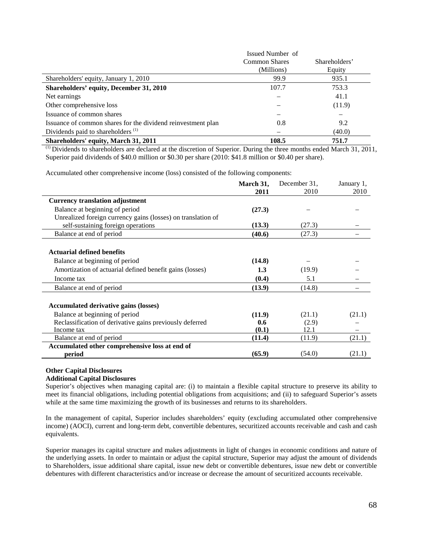|                                                              | Issued Number of     |               |
|--------------------------------------------------------------|----------------------|---------------|
|                                                              | <b>Common Shares</b> | Shareholders' |
|                                                              | (Millions)           | Equity        |
| Shareholders' equity, January 1, 2010                        | 99.9                 | 935.1         |
| <b>Shareholders' equity, December 31, 2010</b>               | 107.7                | 753.3         |
| Net earnings                                                 |                      | 41.1          |
| Other comprehensive loss                                     |                      | (11.9)        |
| Issuance of common shares                                    |                      |               |
| Issuance of common shares for the dividend reinvestment plan | 0.8                  | 9.2           |
| Dividends paid to shareholders <sup>(1)</sup>                |                      | (40.0)        |
| <b>Shareholders' equity, March 31, 2011</b>                  | 108.5                | 751.7         |

 $<sup>(1)</sup>$  Dividends to shareholders are declared at the discretion of Superior. During the three months ended March 31, 2011,</sup> Superior paid dividends of \$40.0 million or \$0.30 per share (2010: \$41.8 million or \$0.40 per share).

Accumulated other comprehensive income (loss) consisted of the following components:

|                                                              | March 31, | December 31, | January 1, |
|--------------------------------------------------------------|-----------|--------------|------------|
|                                                              | 2011      | 2010         | 2010       |
| <b>Currency translation adjustment</b>                       |           |              |            |
| Balance at beginning of period                               | (27.3)    |              |            |
| Unrealized foreign currency gains (losses) on translation of |           |              |            |
| self-sustaining foreign operations                           | (13.3)    | (27.3)       |            |
| Balance at end of period                                     | (40.6)    | (27.3)       |            |
| <b>Actuarial defined benefits</b>                            |           |              |            |
| Balance at beginning of period                               | (14.8)    |              |            |
| Amortization of actuarial defined benefit gains (losses)     | 1.3       | (19.9)       |            |
| Income tax                                                   | (0.4)     | 5.1          |            |
| Balance at end of period                                     | (13.9)    | (14.8)       |            |
| <b>Accumulated derivative gains (losses)</b>                 |           |              |            |
| Balance at beginning of period                               | (11.9)    | (21.1)       | (21.1)     |
| Reclassification of derivative gains previously deferred     | 0.6       | (2.9)        |            |
| Income tax                                                   | (0.1)     | 12.1         |            |
| Balance at end of period                                     | (11.4)    | (11.9)       | (21.1)     |
| Accumulated other comprehensive loss at end of               |           |              |            |
| period                                                       | (65.9)    | (54.0)       | (21.1)     |

# **Other Capital Disclosures**

# **Additional Capital Disclosures**

Superior's objectives when managing capital are: (i) to maintain a flexible capital structure to preserve its ability to meet its financial obligations, including potential obligations from acquisitions; and (ii) to safeguard Superior's assets while at the same time maximizing the growth of its businesses and returns to its shareholders.

In the management of capital, Superior includes shareholders' equity (excluding accumulated other comprehensive income) (AOCI), current and long-term debt, convertible debentures, securitized accounts receivable and cash and cash equivalents.

Superior manages its capital structure and makes adjustments in light of changes in economic conditions and nature of the underlying assets. In order to maintain or adjust the capital structure, Superior may adjust the amount of dividends to Shareholders, issue additional share capital, issue new debt or convertible debentures, issue new debt or convertible debentures with different characteristics and/or increase or decrease the amount of securitized accounts receivable.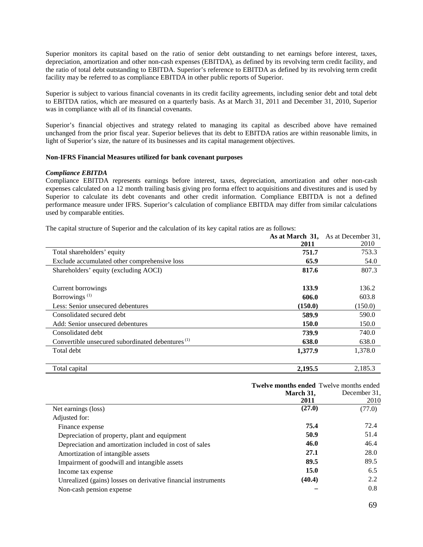Superior monitors its capital based on the ratio of senior debt outstanding to net earnings before interest, taxes, depreciation, amortization and other non-cash expenses (EBITDA), as defined by its revolving term credit facility, and the ratio of total debt outstanding to EBITDA. Superior's reference to EBITDA as defined by its revolving term credit facility may be referred to as compliance EBITDA in other public reports of Superior.

Superior is subject to various financial covenants in its credit facility agreements, including senior debt and total debt to EBITDA ratios, which are measured on a quarterly basis. As at March 31, 2011 and December 31, 2010, Superior was in compliance with all of its financial covenants.

Superior's financial objectives and strategy related to managing its capital as described above have remained unchanged from the prior fiscal year. Superior believes that its debt to EBITDA ratios are within reasonable limits, in light of Superior's size, the nature of its businesses and its capital management objectives.

# **Non-IFRS Financial Measures utilized for bank covenant purposes**

## *Compliance EBITDA*

Compliance EBITDA represents earnings before interest, taxes, depreciation, amortization and other non-cash expenses calculated on a 12 month trailing basis giving pro forma effect to acquisitions and divestitures and is used by Superior to calculate its debt covenants and other credit information. Compliance EBITDA is not a defined performance measure under IFRS. Superior's calculation of compliance EBITDA may differ from similar calculations used by comparable entities.

The capital structure of Superior and the calculation of its key capital ratios are as follows:

|                                                              |         | As at March 31, As at December 31, |
|--------------------------------------------------------------|---------|------------------------------------|
|                                                              | 2011    | 2010                               |
| Total shareholders' equity                                   | 751.7   | 753.3                              |
| Exclude accumulated other comprehensive loss                 | 65.9    | 54.0                               |
| Shareholders' equity (excluding AOCI)                        | 817.6   | 807.3                              |
| Current borrowings                                           | 133.9   | 136.2                              |
| Borrowings <sup>(1)</sup>                                    | 606.0   | 603.8                              |
| Less: Senior unsecured debentures                            | (150.0) | (150.0)                            |
| Consolidated secured debt                                    | 589.9   | 590.0                              |
| Add: Senior unsecured debentures                             | 150.0   | 150.0                              |
| Consolidated debt                                            | 739.9   | 740.0                              |
| Convertible unsecured subordinated debentures <sup>(1)</sup> | 638.0   | 638.0                              |
| Total debt                                                   | 1,377.9 | 1,378.0                            |
| Total capital                                                | 2,195.5 | 2,185.3                            |

|                                                               | <b>Twelve months ended</b> Twelve months ended<br>March 31,<br>2011 | December 31,<br>2010 |
|---------------------------------------------------------------|---------------------------------------------------------------------|----------------------|
| Net earnings (loss)                                           | (27.0)                                                              | (77.0)               |
| Adjusted for:                                                 |                                                                     |                      |
| Finance expense                                               | 75.4                                                                | 72.4                 |
| Depreciation of property, plant and equipment                 | 50.9                                                                | 51.4                 |
| Depreciation and amortization included in cost of sales       | 46.0                                                                | 46.4                 |
| Amortization of intangible assets                             | 27.1                                                                | 28.0                 |
| Impairment of goodwill and intangible assets                  | 89.5                                                                | 89.5                 |
| Income tax expense                                            | 15.0                                                                | 6.5                  |
| Unrealized (gains) losses on derivative financial instruments | (40.4)                                                              | 2.2                  |
| Non-cash pension expense                                      |                                                                     | 0.8                  |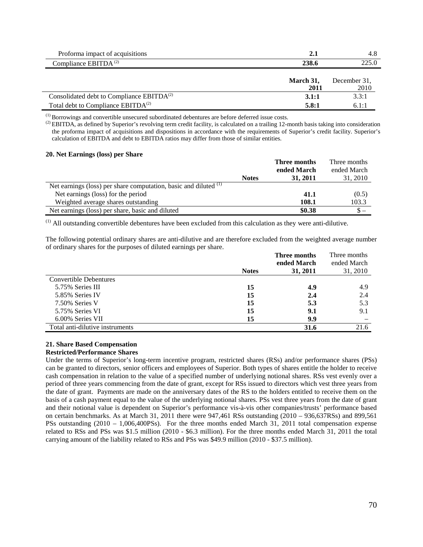| Proforma impact of acquisitions                | 2.1               | 4.8                  |
|------------------------------------------------|-------------------|----------------------|
| Compliance EBITDA $^{(2)}$                     | 238.6             | 225.0                |
|                                                | March 31,<br>2011 | December 31.<br>2010 |
| Consolidated debt to Compliance $EBITDA(2)$    | 3.1:1             | 3.3:1                |
| Total debt to Compliance EBITDA <sup>(2)</sup> | 5.8:1             | 6.1:1                |

(1) Borrowings and convertible unsecured subordinated debentures are before deferred issue costs.

 $^{(2)}$  EBITDA, as defined by Superior's revolving term credit facility, is calculated on a trailing 12-month basis taking into consideration the proforma impact of acquisitions and dispositions in accordance with the requirements of Superior's credit facility. Superior's calculation of EBITDA and debt to EBITDA ratios may differ from those of similar entities.

# **20. Net Earnings (loss) per Share**

|                                                                             |              | Three months | Three months |
|-----------------------------------------------------------------------------|--------------|--------------|--------------|
|                                                                             |              | ended March  | ended March  |
|                                                                             | <b>Notes</b> | 31, 2011     | 31, 2010     |
| Net earnings (loss) per share computation, basic and diluted <sup>(1)</sup> |              |              |              |
| Net earnings (loss) for the period                                          |              | 41.1         | (0.5)        |
| Weighted average shares outstanding                                         |              | 108.1        | 103.3        |
| Net earnings (loss) per share, basic and diluted                            |              | \$0.38       | $\$$ $-$     |

(1) All outstanding convertible debentures have been excluded from this calculation as they were anti-dilutive.

The following potential ordinary shares are anti-dilutive and are therefore excluded from the weighted average number of ordinary shares for the purposes of diluted earnings per share.

|                                 |              | Three months | Three months |
|---------------------------------|--------------|--------------|--------------|
|                                 |              | ended March  | ended March  |
|                                 | <b>Notes</b> | 31, 2011     | 31, 2010     |
| Convertible Debentures          |              |              |              |
| 5.75% Series III                | 15           | 4.9          | 4.9          |
| 5.85% Series IV                 | 15           | 2.4          | 2.4          |
| 7.50% Series V                  | 15           | 5.3          | 5.3          |
| 5.75% Series VI                 | 15           | 9.1          | 9.1          |
| 6.00% Series VII                | 15           | 9.9          |              |
| Total anti-dilutive instruments |              | 31.6         | 21.6         |

# **21. Share Based Compensation**

# **Restricted/Performance Shares**

Under the terms of Superior's long-term incentive program, restricted shares (RSs) and/or performance shares (PSs) can be granted to directors, senior officers and employees of Superior. Both types of shares entitle the holder to receive cash compensation in relation to the value of a specified number of underlying notional shares. RSs vest evenly over a period of three years commencing from the date of grant, except for RSs issued to directors which vest three years from the date of grant. Payments are made on the anniversary dates of the RS to the holders entitled to receive them on the basis of a cash payment equal to the value of the underlying notional shares. PSs vest three years from the date of grant and their notional value is dependent on Superior's performance vis-à-vis other companies/trusts' performance based on certain benchmarks. As at March 31, 2011 there were 947,461 RSs outstanding (2010 – 936,637RSs) and 899,561 PSs outstanding (2010 – 1,006,400PSs). For the three months ended March 31, 2011 total compensation expense related to RSs and PSs was \$1.5 million (2010 - \$6.3 million). For the three months ended March 31, 2011 the total carrying amount of the liability related to RSs and PSs was \$49.9 million (2010 - \$37.5 million).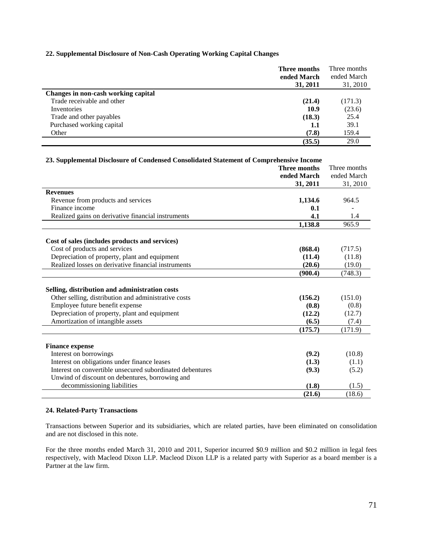# **22. Supplemental Disclosure of Non-Cash Operating Working Capital Changes**

|                                     | Three months<br>ended March<br>31, 2011 | Three months<br>ended March<br>31, 2010 |
|-------------------------------------|-----------------------------------------|-----------------------------------------|
| Changes in non-cash working capital |                                         |                                         |
| Trade receivable and other          | (21.4)                                  | (171.3)                                 |
| Inventories                         | 10.9                                    | (23.6)                                  |
| Trade and other payables            | (18.3)                                  | 25.4                                    |
| Purchased working capital           | 1.1                                     | 39.1                                    |
| Other                               | (7.8)                                   | 159.4                                   |
|                                     | (35.5)                                  | 29.0                                    |

# **23. Supplemental Disclosure of Condensed Consolidated Statement of Comprehensive Income**

|                                                           | Three months | Three months |
|-----------------------------------------------------------|--------------|--------------|
|                                                           | ended March  | ended March  |
|                                                           | 31, 2011     | 31, 2010     |
| <b>Revenues</b>                                           |              |              |
| Revenue from products and services                        | 1,134.6      | 964.5        |
| Finance income                                            | 0.1          |              |
| Realized gains on derivative financial instruments        | 4.1          | 1.4          |
|                                                           | 1,138.8      | 965.9        |
|                                                           |              |              |
| Cost of sales (includes products and services)            |              |              |
| Cost of products and services                             | (868.4)      | (717.5)      |
| Depreciation of property, plant and equipment             | (11.4)       | (11.8)       |
| Realized losses on derivative financial instruments       | (20.6)       | (19.0)       |
|                                                           | (900.4)      | (748.3)      |
|                                                           |              |              |
| Selling, distribution and administration costs            |              |              |
| Other selling, distribution and administrative costs      | (156.2)      | (151.0)      |
| Employee future benefit expense                           | (0.8)        | (0.8)        |
| Depreciation of property, plant and equipment             | (12.2)       | (12.7)       |
| Amortization of intangible assets                         | (6.5)        | (7.4)        |
|                                                           | (175.7)      | (171.9)      |
| <b>Finance expense</b>                                    |              |              |
| Interest on borrowings                                    | (9.2)        | (10.8)       |
| Interest on obligations under finance leases              | (1.3)        |              |
| Interest on convertible unsecured subordinated debentures |              | (1.1)        |
|                                                           | (9.3)        | (5.2)        |
| Unwind of discount on debentures, borrowing and           |              |              |
| decommissioning liabilities                               | (1.8)        | (1.5)        |
|                                                           | (21.6)       | (18.6)       |

# **24. Related-Party Transactions**

Transactions between Superior and its subsidiaries, which are related parties, have been eliminated on consolidation and are not disclosed in this note.

For the three months ended March 31, 2010 and 2011, Superior incurred \$0.9 million and \$0.2 million in legal fees respectively, with Macleod Dixon LLP. Macleod Dixon LLP is a related party with Superior as a board member is a Partner at the law firm.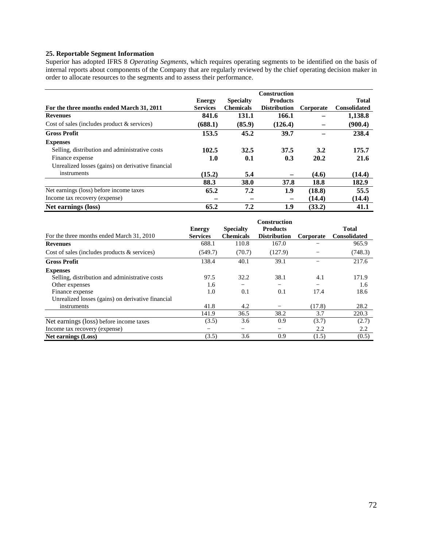# **25. Reportable Segment Information**

Superior has adopted IFRS 8 *Operating Segments*, which requires operating segments to be identified on the basis of internal reports about components of the Company that are regularly reviewed by the chief operating decision maker in order to allocate resources to the segments and to assess their performance.

|                                                   | <b>Construction</b>              |                                      |                                        |           |                                     |
|---------------------------------------------------|----------------------------------|--------------------------------------|----------------------------------------|-----------|-------------------------------------|
| For the three months ended March 31, 2011         | <b>Energy</b><br><b>Services</b> | <b>Specialty</b><br><b>Chemicals</b> | <b>Products</b><br><b>Distribution</b> | Corporate | <b>Total</b><br><b>Consolidated</b> |
| <b>Revenues</b>                                   | 841.6                            | 131.1                                | 166.1                                  |           | 1,138.8                             |
| Cost of sales (includes product $\&$ services)    | (688.1)                          | (85.9)                               | (126.4)                                |           | (900.4)                             |
| <b>Gross Profit</b>                               | 153.5                            | 45.2                                 | 39.7                                   |           | 238.4                               |
| <b>Expenses</b>                                   |                                  |                                      |                                        |           |                                     |
| Selling, distribution and administrative costs    | 102.5                            | 32.5                                 | 37.5                                   | 3.2       | 175.7                               |
| Finance expense                                   | 1.0                              | 0.1                                  | 0.3                                    | 20.2      | 21.6                                |
| Unrealized losses (gains) on derivative financial |                                  |                                      |                                        |           |                                     |
| instruments                                       | (15.2)                           | 5.4                                  |                                        | (4.6)     | (14.4)                              |
|                                                   | 88.3                             | 38.0                                 | 37.8                                   | 18.8      | 182.9                               |
| Net earnings (loss) before income taxes           | 65.2                             | 7.2                                  | 1.9                                    | (18.8)    | 55.5                                |
| Income tax recovery (expense)                     |                                  |                                      | $\overline{\phantom{m}}$               | (14.4)    | (14.4)                              |
| Net earnings (loss)                               | 65.2                             | 7.2                                  | 1.9                                    | (33.2)    | 41.1                                |

| For the three months ended March 31, 2010         | <b>Energy</b><br><b>Services</b> | <b>Specialty</b><br><b>Chemicals</b> | <b>Construction</b><br><b>Products</b><br><b>Distribution</b> | Corporate | Total<br><b>Consolidated</b> |
|---------------------------------------------------|----------------------------------|--------------------------------------|---------------------------------------------------------------|-----------|------------------------------|
| <b>Revenues</b>                                   | 688.1                            | 110.8                                | 167.0                                                         |           | 965.9                        |
| Cost of sales (includes products $\&$ services)   | (549.7)                          | (70.7)                               | (127.9)                                                       |           | (748.3)                      |
| <b>Gross Profit</b>                               | 138.4                            | 40.1                                 | 39.1                                                          |           | 217.6                        |
| <b>Expenses</b>                                   |                                  |                                      |                                                               |           |                              |
| Selling, distribution and administrative costs    | 97.5                             | 32.2                                 | 38.1                                                          | 4.1       | 171.9                        |
| Other expenses                                    | 1.6                              |                                      | $\overline{\phantom{0}}$                                      |           | 1.6                          |
| Finance expense                                   | 1.0                              | 0.1                                  | 0.1                                                           | 17.4      | 18.6                         |
| Unrealized losses (gains) on derivative financial |                                  |                                      |                                                               |           |                              |
| instruments                                       | 41.8                             | 4.2                                  |                                                               | (17.8)    | 28.2                         |
|                                                   | 141.9                            | 36.5                                 | 38.2                                                          | 3.7       | 220.3                        |
| Net earnings (loss) before income taxes           | (3.5)                            | 3.6                                  | 0.9                                                           | (3.7)     | (2.7)                        |
| Income tax recovery (expense)                     | $\overline{\phantom{0}}$         |                                      |                                                               | 2.2       | 2.2                          |
| Net earnings (Loss)                               | (3.5)                            | 3.6                                  | 0.9                                                           | (1.5)     | (0.5)                        |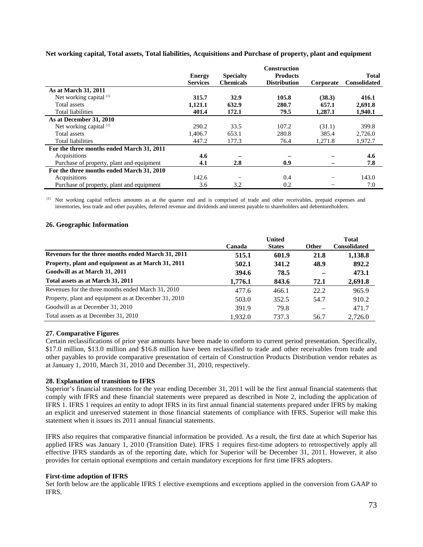|                                           |                 |                  | <b>Construction</b><br><b>Products</b> |           | <b>Total</b>        |
|-------------------------------------------|-----------------|------------------|----------------------------------------|-----------|---------------------|
|                                           | Energy          | <b>Specialty</b> |                                        |           |                     |
|                                           | <b>Services</b> | <b>Chemicals</b> | <b>Distribution</b>                    | Corporate | <b>Consolidated</b> |
| As at March 31, 2011                      |                 |                  |                                        |           |                     |
| Net working capital <sup>(1)</sup>        | 315.7           | 32.9             | 105.8                                  | (38.3)    | 416.1               |
| Total assets                              | 1.121.1         | 632.9            | 280.7                                  | 657.1     | 2.691.8             |
| Total liabilities                         | 401.4           | 172.1            | 79.5                                   | 1.287.1   | 1,940.1             |
| As at December 31, 2010                   |                 |                  |                                        |           |                     |
| Net working capital $(1)$                 | 290.2           | 33.5             | 107.2                                  | (31.1)    | 399.8               |
| Total assets                              | 1.406.7         | 653.1            | 280.8                                  | 385.4     | 2,726.0             |
| Total liabilities                         | 447.2           | 177.3            | 76.4                                   | 1,271.8   | 1,972.7             |
| For the three months ended March 31, 2011 |                 |                  |                                        |           |                     |
| Acquisitions                              | 4.6             |                  |                                        |           | 4.6                 |
| Purchase of property, plant and equipment | 4.1             | 2.8              | 0.9                                    |           | 7.8                 |
| For the three months ended March 31, 2010 |                 |                  |                                        |           |                     |
| Acquisitions                              | 142.6           |                  | 0.4                                    |           | 143.0               |
| Purchase of property, plant and equipment | 3.6             | 3.2              | 0.2                                    |           | 7.0                 |

**Net working capital, Total assets, Total liabilities, Acquisitions and Purchase of property, plant and equipment** 

 (1) Net working capital reflects amounts as at the quarter end and is comprised of trade and other receivables, prepaid expenses and inventories, less trade and other payables, deferred revenue and dividends and interest payable to shareholders and debentureholders.

# **26. Geographic Information**

|                                                       |         | <b>United</b> |              | <b>Total</b>        |
|-------------------------------------------------------|---------|---------------|--------------|---------------------|
|                                                       | Canada  | <b>States</b> | <b>Other</b> | <b>Consolidated</b> |
| Revenues for the three months ended March 31, 2011    | 515.1   | 601.9         | 21.8         | 1,138.8             |
| Property, plant and equipment as at March 31, 2011    | 502.1   | 341.2         | 48.9         | 892.2               |
| Goodwill as at March 31, 2011                         | 394.6   | 78.5          |              | 473.1               |
| Total assets as at March 31, 2011                     | 1,776.1 | 843.6         | 72.1         | 2,691.8             |
| Revenues for the three months ended March 31, 2010    | 477.6   | 466.1         | 22.2         | 965.9               |
| Property, plant and equipment as at December 31, 2010 | 503.0   | 352.5         | 54.7         | 910.2               |
| Goodwill as at December 31, 2010                      | 391.9   | 79.8          |              | 471.7               |
| Total assets as at December 31, 2010                  | 1.932.0 | 737.3         | 56.7         | 2.726.0             |

# **27. Comparative Figures**

Certain reclassifications of prior year amounts have been made to conform to current period presentation. Specifically, \$17.0 million, \$13.0 million and \$16.8 million have been reclassified to trade and other receivables from trade and other payables to provide comparative presentation of certain of Construction Products Distribution vendor rebates as at January 1, 2010, March 31, 2010 and December 31, 2010, respectively.

### **28. Explanation of transition to IFRS**

Superior's financial statements for the year ending December 31, 2011 will be the first annual financial statements that comply with IFRS and these financial statements were prepared as described in Note 2, including the application of IFRS 1. IFRS 1 requires an entity to adopt IFRS in its first annual financial statements prepared under IFRS by making an explicit and unreserved statement in those financial statements of compliance with IFRS. Superior will make this statement when it issues its 2011 annual financial statements.

IFRS also requires that comparative financial information be provided. As a result, the first date at which Superior has applied IFRS was January 1, 2010 (Transition Date). IFRS 1 requires first-time adopters to retrospectively apply all effective IFRS standards as of the reporting date, which for Superior will be December 31, 2011. However, it also provides for certain optional exemptions and certain mandatory exceptions for first time IFRS adopters.

### **First-time adoption of IFRS**

Set forth below are the applicable IFRS 1 elective exemptions and exceptions applied in the conversion from GAAP to IFRS.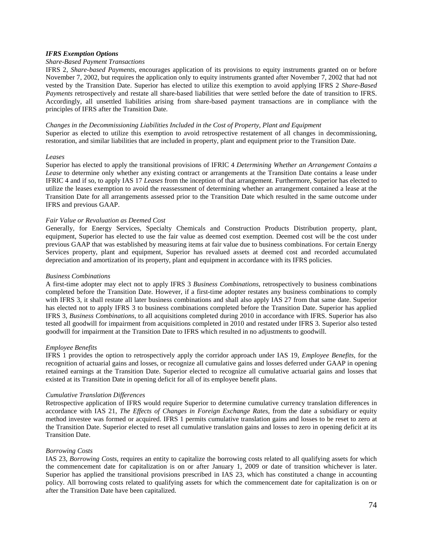### *IFRS Exemption Options*

### *Share-Based Payment Transactions*

IFRS 2, *Share-based Payments*, encourages application of its provisions to equity instruments granted on or before November 7, 2002, but requires the application only to equity instruments granted after November 7, 2002 that had not vested by the Transition Date. Superior has elected to utilize this exemption to avoid applying IFRS 2 *Share-Based Payments* retrospectively and restate all share-based liabilities that were settled before the date of transition to IFRS. Accordingly, all unsettled liabilities arising from share-based payment transactions are in compliance with the principles of IFRS after the Transition Date.

#### *Changes in the Decommissioning Liabilities Included in the Cost of Property, Plant and Equipment*

Superior as elected to utilize this exemption to avoid retrospective restatement of all changes in decommissioning, restoration, and similar liabilities that are included in property, plant and equipment prior to the Transition Date.

#### *Leases*

Superior has elected to apply the transitional provisions of IFRIC 4 *Determining Whether an Arrangement Contains a Lease* to determine only whether any existing contract or arrangements at the Transition Date contains a lease under IFRIC 4 and if so, to apply IAS 17 *Leases* from the inception of that arrangement. Furthermore, Superior has elected to utilize the leases exemption to avoid the reassessment of determining whether an arrangement contained a lease at the Transition Date for all arrangements assessed prior to the Transition Date which resulted in the same outcome under IFRS and previous GAAP.

#### *Fair Value or Revaluation as Deemed Cost*

Generally, for Energy Services, Specialty Chemicals and Construction Products Distribution property, plant, equipment, Superior has elected to use the fair value as deemed cost exemption. Deemed cost will be the cost under previous GAAP that was established by measuring items at fair value due to business combinations. For certain Energy Services property, plant and equipment, Superior has revalued assets at deemed cost and recorded accumulated depreciation and amortization of its property, plant and equipment in accordance with its IFRS policies.

#### *Business Combinations*

A first-time adopter may elect not to apply IFRS 3 *Business Combinations*, retrospectively to business combinations completed before the Transition Date. However, if a first-time adopter restates any business combinations to comply with IFRS 3, it shall restate all later business combinations and shall also apply IAS 27 from that same date. Superior has elected not to apply IFRS 3 to business combinations completed before the Transition Date. Superior has applied IFRS 3, *Business Combinations*, to all acquisitions completed during 2010 in accordance with IFRS. Superior has also tested all goodwill for impairment from acquisitions completed in 2010 and restated under IFRS 3. Superior also tested goodwill for impairment at the Transition Date to IFRS which resulted in no adjustments to goodwill.

### *Employee Benefits*

IFRS 1 provides the option to retrospectively apply the corridor approach under IAS 19, *Employee Benefits*, for the recognition of actuarial gains and losses, or recognize all cumulative gains and losses deferred under GAAP in opening retained earnings at the Transition Date. Superior elected to recognize all cumulative actuarial gains and losses that existed at its Transition Date in opening deficit for all of its employee benefit plans.

### *Cumulative Translation Differences*

Retrospective application of IFRS would require Superior to determine cumulative currency translation differences in accordance with IAS 21, *The Effects of Changes in Foreign Exchange Rates*, from the date a subsidiary or equity method investee was formed or acquired. IFRS 1 permits cumulative translation gains and losses to be reset to zero at the Transition Date. Superior elected to reset all cumulative translation gains and losses to zero in opening deficit at its Transition Date.

#### *Borrowing Costs*

IAS 23, *Borrowing Costs*, requires an entity to capitalize the borrowing costs related to all qualifying assets for which the commencement date for capitalization is on or after January 1, 2009 or date of transition whichever is later. Superior has applied the transitional provisions prescribed in IAS 23, which has constituted a change in accounting policy. All borrowing costs related to qualifying assets for which the commencement date for capitalization is on or after the Transition Date have been capitalized.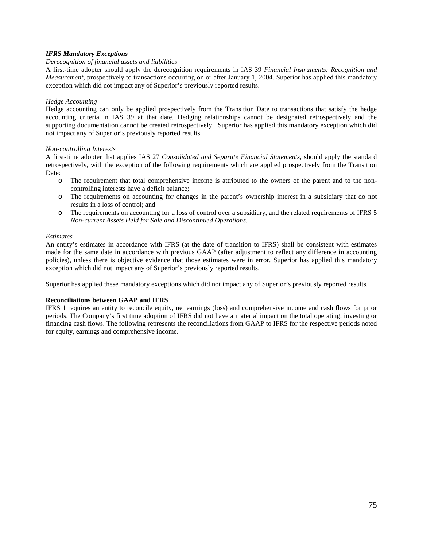# *IFRS Mandatory Exceptions*

# *Derecognition of financial assets and liabilities*

A first-time adopter should apply the derecognition requirements in IAS 39 *Financial Instruments: Recognition and Measurement,* prospectively to transactions occurring on or after January 1, 2004. Superior has applied this mandatory exception which did not impact any of Superior's previously reported results.

# *Hedge Accounting*

Hedge accounting can only be applied prospectively from the Transition Date to transactions that satisfy the hedge accounting criteria in IAS 39 at that date. Hedging relationships cannot be designated retrospectively and the supporting documentation cannot be created retrospectively. Superior has applied this mandatory exception which did not impact any of Superior's previously reported results.

# *Non-controlling Interests*

A first-time adopter that applies IAS 27 *Consolidated and Separate Financial Statements*, should apply the standard retrospectively, with the exception of the following requirements which are applied prospectively from the Transition Date:

- o The requirement that total comprehensive income is attributed to the owners of the parent and to the noncontrolling interests have a deficit balance;
- o The requirements on accounting for changes in the parent's ownership interest in a subsidiary that do not results in a loss of control; and
- o The requirements on accounting for a loss of control over a subsidiary, and the related requirements of IFRS 5 *Non-current Assets Held for Sale and Discontinued Operations.*

# *Estimates*

An entity's estimates in accordance with IFRS (at the date of transition to IFRS) shall be consistent with estimates made for the same date in accordance with previous GAAP (after adjustment to reflect any difference in accounting policies), unless there is objective evidence that those estimates were in error. Superior has applied this mandatory exception which did not impact any of Superior's previously reported results.

Superior has applied these mandatory exceptions which did not impact any of Superior's previously reported results.

# **Reconciliations between GAAP and IFRS**

IFRS 1 requires an entity to reconcile equity, net earnings (loss) and comprehensive income and cash flows for prior periods. The Company's first time adoption of IFRS did not have a material impact on the total operating, investing or financing cash flows. The following represents the reconciliations from GAAP to IFRS for the respective periods noted for equity, earnings and comprehensive income.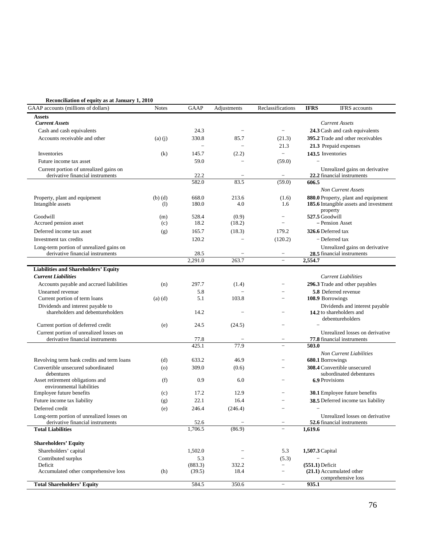| Reconciliation of equity as at January 1, 2010 |              |               |             |                                      |                          |                                                                      |
|------------------------------------------------|--------------|---------------|-------------|--------------------------------------|--------------------------|----------------------------------------------------------------------|
| GAAP accounts (millions of dollars)            | <b>Notes</b> | <b>GAAP</b>   | Adjustments | Reclassifications                    | <b>IFRS</b>              | <b>IFRS</b> accounts                                                 |
| <b>Assets</b>                                  |              |               |             |                                      |                          |                                                                      |
| <b>Current Assets</b>                          |              |               |             |                                      |                          | <b>Current Assets</b>                                                |
| Cash and cash equivalents                      |              | 24.3          |             | $\overline{\phantom{0}}$             |                          | 24.3 Cash and cash equivalents                                       |
| Accounts receivable and other                  | $(a)$ $(i)$  | 330.8         | 85.7        | (21.3)                               |                          | 395.2 Trade and other receivables                                    |
|                                                |              | $\equiv$      |             | 21.3                                 |                          | 21.3 Prepaid expenses                                                |
| Inventories                                    | (k)          | 145.7         | (2.2)       | $\equiv$                             |                          | 143.5 Inventories                                                    |
| Future income tax asset                        |              | 59.0          |             | (59.0)                               |                          |                                                                      |
| Current portion of unrealized gains on         |              |               |             |                                      |                          | Unrealized gains on derivative                                       |
| derivative financial instruments               |              | 22.2          |             | $\overline{\phantom{m}}$             |                          | 22.2 financial instruments                                           |
|                                                |              | 582.0         | 83.5        | (59.0)                               | 606.5                    |                                                                      |
|                                                |              |               |             |                                      |                          | <b>Non Current Assets</b>                                            |
| Property, plant and equipment                  | $(b)$ $(d)$  | 668.0         | 213.6       | (1.6)                                |                          | 880.0 Property, plant and equipment                                  |
| Intangible assets                              | (1)          | 180.0         | 4.0         | 1.6                                  |                          | 185.6 Intangible assets and investment                               |
|                                                |              |               |             |                                      |                          | property                                                             |
| Goodwill<br>Accrued pension asset              | (m)          | 528.4<br>18.2 | (0.9)       | $\overline{\phantom{0}}$<br>$\equiv$ | 527.5 Goodwill           | - Pension Asset                                                      |
|                                                | (c)          |               | (18.2)      |                                      |                          |                                                                      |
| Deferred income tax asset                      | (g)          | 165.7         | (18.3)      | 179.2                                |                          | 326.6 Deferred tax                                                   |
| Investment tax credits                         |              | 120.2         |             | (120.2)                              |                          | - Deferred tax                                                       |
| Long-term portion of unrealized gains on       |              |               |             |                                      |                          | Unrealized gains on derivative                                       |
| derivative financial instruments               |              | 28.5          |             | $\overline{\phantom{m}}$             |                          | 28.5 financial instruments                                           |
|                                                |              | 2.291.0       | 263.7       |                                      | 2,554.7                  |                                                                      |
| <b>Liabilities and Shareholders' Equity</b>    |              |               |             |                                      |                          |                                                                      |
| <b>Current Liabilities</b>                     |              |               |             |                                      |                          | <b>Current Liabilities</b>                                           |
| Accounts payable and accrued liabilities       | (n)          | 297.7         | (1.4)       |                                      |                          | 296.3 Trade and other payables                                       |
| Unearned revenue                               |              | 5.8           |             |                                      |                          | 5.8 Deferred revenue                                                 |
| Current portion of term loans                  | $(a)$ $(d)$  | 5.1           | 103.8       | $\equiv$                             |                          | 108.9 Borrowings                                                     |
| Dividends and interest payable to              |              |               |             |                                      |                          | Dividends and interest payable                                       |
| shareholders and debentureholders              |              | 14.2          |             |                                      |                          | 14.2 to shareholders and                                             |
| Current portion of deferred credit             | (e)          | 24.5          | (24.5)      | L,                                   | $\overline{\phantom{0}}$ | debentureholders                                                     |
| Current portion of unrealized losses on        |              |               |             |                                      |                          |                                                                      |
| derivative financial instruments               |              | 77.8          |             | $\overline{\phantom{0}}$             |                          | Unrealized losses on derivative<br><b>77.8</b> financial instruments |
|                                                |              | 425.1         | 77.9        |                                      | 503.0                    |                                                                      |
|                                                |              |               |             |                                      |                          | <b>Non Current Liabilities</b>                                       |
| Revolving term bank credits and term loans     | (d)          | 633.2         | 46.9        |                                      |                          | 680.1 Borrowings                                                     |
| Convertible unsecured subordinated             | $\circ$      | 309.0         | (0.6)       |                                      |                          | 308.4 Convertible unsecured                                          |
| debentures                                     |              |               |             |                                      |                          | subordinated debentures                                              |
| Asset retirement obligations and               | (f)          | 0.9           | 6.0         |                                      |                          | 6.9 Provisions                                                       |
| environmental liabilities                      |              |               |             |                                      |                          |                                                                      |
| Employee future benefits                       | (c)          | 17.2          | 12.9        |                                      |                          | 30.1 Employee future benefits                                        |
| Future income tax liability                    | (g)          | 22.1          | 16.4        |                                      |                          | 38.5 Deferred income tax liability                                   |
| Deferred credit                                | (e)          | 246.4         | (246.4)     |                                      |                          |                                                                      |
| Long-term portion of unrealized losses on      |              |               |             |                                      |                          | Unrealized losses on derivative                                      |
| derivative financial instruments               |              | 52.6          |             |                                      |                          | 52.6 financial instruments                                           |
| <b>Total Liabilities</b>                       |              | 1.706.5       | (86.9)      | $\equiv$                             | 1,619.6                  |                                                                      |
| <b>Shareholders' Equity</b>                    |              |               |             |                                      |                          |                                                                      |
| Shareholders' capital                          |              | 1,502.0       |             | 5.3                                  | 1,507.3 Capital          |                                                                      |
| Contributed surplus                            |              | 5.3           |             | (5.3)                                |                          |                                                                      |
| Deficit                                        |              | (883.3)       | 332.2       | $\qquad \qquad -$                    | $(551.1)$ Deficit        |                                                                      |
| Accumulated other comprehensive loss           | (h)          | (39.5)        | 18.4        | $\qquad \qquad$                      |                          | (21.1) Accumulated other                                             |
|                                                |              |               |             |                                      |                          | comprehensive loss                                                   |
| <b>Total Shareholders' Equity</b>              |              | 584.5         | 350.6       | $\overline{\phantom{m}}$             | 935.1                    |                                                                      |

# 76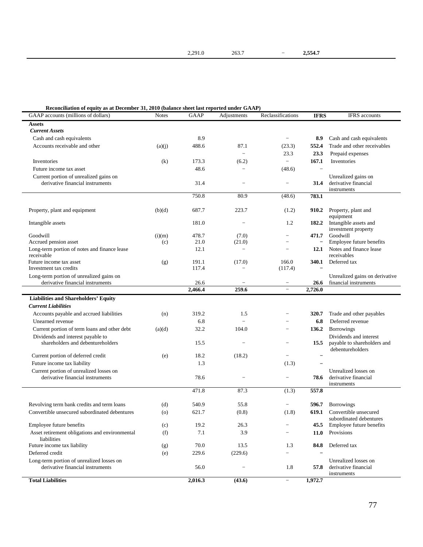# **Reconciliation of equity as at December 31, 2010 (balance sheet last reported under GAAP)**

| GAAP accounts (millions of dollars)                                          | <b>Notes</b> | GAAP           | Adjustments                        | <b>Reclassifications</b> | <b>IFRS</b> | <b>IFRS</b> accounts                                    |
|------------------------------------------------------------------------------|--------------|----------------|------------------------------------|--------------------------|-------------|---------------------------------------------------------|
| Assets                                                                       |              |                |                                    |                          |             |                                                         |
| <b>Current Assets</b>                                                        |              |                |                                    |                          |             |                                                         |
| Cash and cash equivalents                                                    |              | 8.9            |                                    | $\qquad \qquad -$        | 8.9         | Cash and cash equivalents                               |
| Accounts receivable and other                                                | (a)(j)       | 488.6          | 87.1                               | (23.3)                   | 552.4       | Trade and other receivables                             |
|                                                                              |              |                | $\equiv$                           | 23.3                     | 23.3        | Prepaid expenses                                        |
| Inventories                                                                  | (k)          | 173.3          | (6.2)                              | $\equiv$                 | 167.1       | Inventories                                             |
| Future income tax asset                                                      |              | 48.6           | $\equiv$                           | (48.6)                   |             |                                                         |
| Current portion of unrealized gains on                                       |              |                |                                    |                          |             | Unrealized gains on                                     |
| derivative financial instruments                                             |              | 31.4           | $\qquad \qquad -$                  | $\overline{\phantom{m}}$ | 31.4        | derivative financial                                    |
|                                                                              |              |                |                                    |                          |             | instruments                                             |
|                                                                              |              | 750.8          | 80.9                               | (48.6)                   | 783.1       |                                                         |
|                                                                              |              |                |                                    |                          |             |                                                         |
| Property, plant and equipment                                                | (b)(d)       | 687.7          | 223.7                              | (1.2)                    | 910.2       | Property, plant and                                     |
| Intangible assets                                                            |              | 181.0          | $\qquad \qquad$                    | 1.2                      | 182.2       | equipment<br>Intangible assets and                      |
|                                                                              |              |                |                                    |                          |             | investment property                                     |
| Goodwill                                                                     | (i)(m)       | 478.7          | (7.0)                              | $\overline{\phantom{0}}$ | 471.7       | Goodwill                                                |
| Accrued pension asset                                                        | (c)          | 21.0           | (21.0)                             | $\overline{\phantom{0}}$ | $\equiv$    | Employee future benefits                                |
| Long-term portion of notes and finance lease                                 |              | 12.1           | $\overline{\phantom{0}}$           | $\overline{\phantom{0}}$ | 12.1        | Notes and finance lease                                 |
| receivable                                                                   |              |                |                                    |                          |             | receivables                                             |
| Future income tax asset<br>Investment tax credits                            | (g)          | 191.1<br>117.4 | (17.0)<br>$\overline{\phantom{0}}$ | 166.0<br>(117.4)         | 340.1       | Deferred tax                                            |
|                                                                              |              |                |                                    |                          |             |                                                         |
| Long-term portion of unrealized gains on<br>derivative financial instruments |              | 26.6           |                                    | $\overline{\phantom{a}}$ | 26.6        | Unrealized gains on derivative<br>financial instruments |
|                                                                              |              | 2,466.4        | 259.6                              | $\equiv$                 | 2,726.0     |                                                         |
| Liabilities and Shareholders' Equity                                         |              |                |                                    |                          |             |                                                         |
| <b>Current Liabilities</b>                                                   |              |                |                                    |                          |             |                                                         |
| Accounts payable and accrued liabilities                                     |              | 319.2          | 1.5                                |                          | 320.7       |                                                         |
|                                                                              | (n)          | 6.8            |                                    |                          | 6.8         | Trade and other payables                                |
| Unearned revenue                                                             |              |                |                                    |                          |             | Deferred revenue                                        |
| Current portion of term loans and other debt                                 | (a)(d)       | 32.2           | 104.0                              | $\overline{\phantom{0}}$ | 136.2       | <b>Borrowings</b>                                       |
| Dividends and interest payable to<br>shareholders and debentureholders       |              | 15.5           |                                    | $\equiv$                 | 15.5        | Dividends and interest<br>payable to shareholders and   |
|                                                                              |              |                |                                    |                          |             | debentureholders                                        |
| Current portion of deferred credit                                           | (e)          | 18.2           | (18.2)                             |                          |             |                                                         |
| Future income tax liability                                                  |              | 1.3            |                                    | (1.3)                    |             |                                                         |
| Current portion of unrealized losses on                                      |              |                |                                    |                          |             | Unrealized losses on                                    |
| derivative financial instruments                                             |              | 78.6           |                                    | $\qquad \qquad -$        | 78.6        | derivative financial                                    |
|                                                                              |              |                |                                    |                          |             | instruments                                             |
|                                                                              |              | 471.8          | 87.3                               | (1.3)                    | 557.8       |                                                         |
|                                                                              |              |                |                                    |                          |             |                                                         |
| Revolving term bank credits and term loans                                   | (d)          | 540.9          | 55.8                               |                          | 596.7       | <b>Borrowings</b>                                       |
| Convertible unsecured subordinated debentures                                | $\circ$      | 621.7          | (0.8)                              | (1.8)                    | 619.1       | Convertible unsecured                                   |
| Employee future benefits                                                     | (c)          | 19.2           | 26.3                               |                          | 45.5        | subordinated debentures<br>Employee future benefits     |
| Asset retirement obligations and environmental                               | (f)          | 7.1            | 3.9                                | $\overline{\phantom{0}}$ | 11.0        | Provisions                                              |
| liabilities                                                                  |              |                |                                    |                          |             |                                                         |
| Future income tax liability                                                  | (g)          | 70.0           | 13.5                               | 1.3                      | 84.8        | Deferred tax                                            |
| Deferred credit                                                              | (e)          | 229.6          | (229.6)                            | $\qquad \qquad -$        |             |                                                         |
| Long-term portion of unrealized losses on                                    |              |                |                                    |                          |             | Unrealized losses on                                    |
| derivative financial instruments                                             |              | 56.0           | $\overline{\phantom{0}}$           | 1.8                      | 57.8        | derivative financial                                    |
|                                                                              |              |                |                                    |                          |             | instruments                                             |
| <b>Total Liabilities</b>                                                     |              | 2,016.3        | (43.6)                             | $\overline{\phantom{0}}$ | 1,972.7     |                                                         |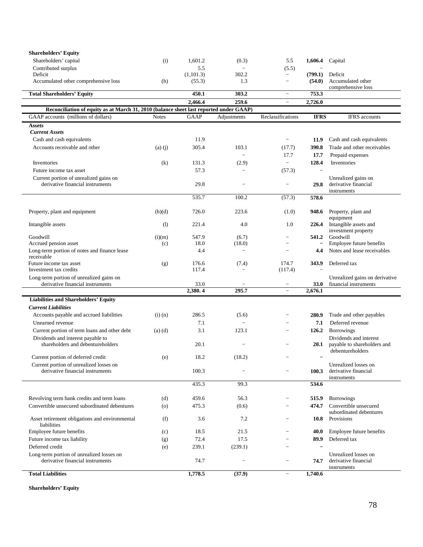| <b>Shareholders' Equity</b>                                                            |                    |                |                                   |                          |                   |                                                         |
|----------------------------------------------------------------------------------------|--------------------|----------------|-----------------------------------|--------------------------|-------------------|---------------------------------------------------------|
| Shareholders' capital                                                                  | (i)                | 1,601.2        | (0.3)                             | 5.5                      | 1,606.4           | Capital                                                 |
| Contributed surplus                                                                    |                    | 5.5            |                                   | (5.5)                    |                   |                                                         |
| Deficit                                                                                |                    | (1,101.3)      | 302.2                             | $\overline{\phantom{0}}$ | (799.1)           | Deficit                                                 |
| Accumulated other comprehensive loss                                                   | (h)                | (55.3)         | 1.3                               | $\overline{\phantom{0}}$ | (54.0)            | Accumulated other<br>comprehensive loss                 |
| <b>Total Shareholders' Equity</b>                                                      |                    | 450.1          | 303.2                             | $\overline{\phantom{0}}$ | 753.3             |                                                         |
|                                                                                        |                    | 2,466.4        | 259.6                             | $\overline{\phantom{a}}$ | 2,726.0           |                                                         |
| Reconciliation of equity as at March 31, 2010 (balance sheet last reported under GAAP) |                    |                |                                   |                          |                   |                                                         |
| GAAP accounts (millions of dollars)                                                    | <b>Notes</b>       | <b>GAAP</b>    | Adjustments                       | Reclassifications        | <b>IFRS</b>       | IFRS accounts                                           |
| <b>Assets</b>                                                                          |                    |                |                                   |                          |                   |                                                         |
| <b>Current Assets</b>                                                                  |                    |                |                                   |                          |                   |                                                         |
| Cash and cash equivalents                                                              |                    | 11.9           |                                   | $\overline{\phantom{0}}$ | 11.9              | Cash and cash equivalents                               |
| Accounts receivable and other                                                          | $(a)$ $(i)$        | 305.4          | 103.1                             | (17.7)                   | 390.8             | Trade and other receivables                             |
|                                                                                        |                    |                | $\overline{\phantom{0}}$          | 17.7                     | 17.7              | Prepaid expenses                                        |
| Inventories                                                                            | (k)                | 131.3          | (2.9)                             | $-$                      | 128.4             | Inventories                                             |
| Future income tax asset                                                                |                    | 57.3           | $\overline{\phantom{0}}$          | (57.3)                   |                   |                                                         |
| Current portion of unrealized gains on                                                 |                    |                |                                   |                          |                   | Unrealized gains on                                     |
| derivative financial instruments                                                       |                    | 29.8           | $\overline{\phantom{0}}$          | $\overline{\phantom{0}}$ | 29.8              | derivative financial<br>instruments                     |
|                                                                                        |                    | 535.7          | 100.2                             | (57.3)                   | 578.6             |                                                         |
|                                                                                        |                    |                |                                   |                          |                   |                                                         |
| Property, plant and equipment                                                          | (b)(d)             | 726.0          | 223.6                             | (1.0)                    | 948.6             | Property, plant and<br>equipment                        |
| Intangible assets                                                                      | (1)                | 221.4          | 4.0                               | 1.0                      | 226.4             | Intangible assets and                                   |
|                                                                                        |                    |                |                                   |                          |                   | investment property                                     |
| Goodwill                                                                               | (i)(m)             | 547.9          | (6.7)                             |                          | 541.2             | Goodwill                                                |
| Accrued pension asset                                                                  | (c)                | 18.0           | (18.0)                            | $\equiv$                 | $\qquad \qquad -$ | Employee future benefits                                |
| Long-term portion of notes and finance lease<br>receivable                             |                    | 4.4            | $\overline{\phantom{0}}$          |                          | 4.4               | Notes and lease receivables                             |
| Future income tax asset                                                                | (g)                | 176.6<br>117.4 | (7.4)<br>$\overline{\phantom{0}}$ | 174.7                    | 343.9             | Deferred tax                                            |
| Investment tax credits                                                                 |                    |                |                                   | (117.4)                  |                   |                                                         |
| Long-term portion of unrealized gains on<br>derivative financial instruments           |                    | 33.0           | $\overline{\phantom{0}}$          |                          | <b>33.0</b>       | Unrealized gains on derivative<br>financial instruments |
|                                                                                        |                    | 2,380.4        | 295.7                             | $\equiv$                 | 2,676.1           |                                                         |
| <b>Liabilities and Shareholders' Equity</b>                                            |                    |                |                                   |                          |                   |                                                         |
| <b>Current Liabilities</b>                                                             |                    |                |                                   |                          |                   |                                                         |
| Accounts payable and accrued liabilities                                               | $(i)$ $(n)$        | 286.5          | (5.6)                             |                          | 280.9             | Trade and other payables                                |
| Unearned revenue                                                                       |                    | 7.1            | $\equiv$                          |                          | 7.1               | Deferred revenue                                        |
|                                                                                        |                    |                |                                   |                          |                   |                                                         |
| Current portion of term loans and other debt<br>Dividends and interest payable to      | $(a)$ $(d)$        | 3.1            | 123.1                             |                          | 126.2             | <b>Borrowings</b>                                       |
| shareholders and debentureholders                                                      |                    | 20.1           |                                   |                          | 20.1              | Dividends and interest<br>payable to shareholders and   |
|                                                                                        |                    |                |                                   |                          |                   | debentureholders                                        |
| Current portion of deferred credit                                                     | (e)                | 18.2           | (18.2)                            |                          |                   |                                                         |
| Current portion of unrealized losses on                                                |                    |                |                                   |                          |                   | Unrealized losses on                                    |
| derivative financial instruments                                                       |                    | 100.3          |                                   |                          | 100.3             | derivative financial                                    |
|                                                                                        |                    | 435.3          | 99.3                              |                          | 534.6             | instruments                                             |
|                                                                                        |                    |                |                                   |                          |                   |                                                         |
| Revolving term bank credits and term loans                                             | (d)                | 459.6          | 56.3                              |                          | 515.9             | <b>Borrowings</b>                                       |
| Convertible unsecured subordinated debentures                                          | $\left( 0 \right)$ | 475.3          | (0.6)                             |                          | 474.7             | Convertible unsecured                                   |
| Asset retirement obligations and environmental                                         | (f)                | 3.6            | 7.2                               | $\overline{\phantom{0}}$ | 10.8              | subordinated debentures<br>Provisions                   |
| liabilities                                                                            |                    |                |                                   |                          |                   |                                                         |
| Employee future benefits                                                               | (c)                | 18.5           | 21.5                              |                          | 40.0              | Employee future benefits                                |
| Future income tax liability                                                            | (g)                | 72.4           | 17.5                              |                          | 89.9              | Deferred tax                                            |
| Deferred credit                                                                        | (e)                | 239.1          | (239.1)                           |                          |                   |                                                         |
| Long-term portion of unrealized losses on                                              |                    |                |                                   |                          |                   | Unrealized losses on                                    |
| derivative financial instruments                                                       |                    | 74.7           | $\overline{\phantom{0}}$          | $\overline{\phantom{0}}$ | 74.7              | derivative financial                                    |
|                                                                                        |                    |                |                                   |                          |                   | instruments                                             |
| <b>Total Liabilities</b>                                                               |                    | 1,778.5        | (37.9)                            | $\overline{\phantom{0}}$ | 1,740.6           |                                                         |

**Shareholders' Equity**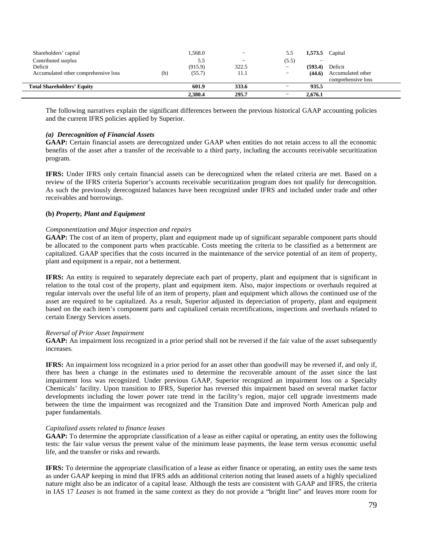|                                      |     | 2,380.4 | 295.7                    |                          | 2,676.1 |                    |
|--------------------------------------|-----|---------|--------------------------|--------------------------|---------|--------------------|
| <b>Total Shareholders' Equity</b>    |     | 601.9   | 333.6                    | $\overline{\phantom{m}}$ | 935.5   |                    |
|                                      |     |         |                          |                          |         | comprehensive loss |
| Accumulated other comprehensive loss | (h) | (55.7)  | 11.1                     | $\overline{\phantom{m}}$ | (44.6)  | Accumulated other  |
| Deficit                              |     | (915.9) | 322.5                    | $\overline{\phantom{m}}$ | (593.4) | Deficit            |
| Contributed surplus                  |     | 5.5     | -                        | (5.5)                    |         |                    |
| Shareholders' capital                |     | 1,568.0 | $\overline{\phantom{0}}$ | 5.5                      | 1,573.5 | Capital            |
|                                      |     |         |                          |                          |         |                    |

The following narratives explain the significant differences between the previous historical GAAP accounting policies and the current IFRS policies applied by Superior.

### *(a) Derecognition of Financial Assets*

**GAAP:** Certain financial assets are derecognized under GAAP when entities do not retain access to all the economic benefits of the asset after a transfer of the receivable to a third party, including the accounts receivable securitization program.

**IFRS:** Under IFRS only certain financial assets can be derecognized when the related criteria are met. Based on a review of the IFRS criteria Superior's accounts receivable securitization program does not qualify for derecognition. As such the previously derecognized balances have been recognized under IFRS and included under trade and other receivables and borrowings.

#### **(b)** *Property, Plant and Equipment*

#### *Componentization and Major inspection and repairs*

**GAAP:** The cost of an item of property, plant and equipment made up of significant separable component parts should be allocated to the component parts when practicable. Costs meeting the criteria to be classified as a betterment are capitalized. GAAP specifies that the costs incurred in the maintenance of the service potential of an item of property, plant and equipment is a repair, not a betterment.

**IFRS:** An entity is required to separately depreciate each part of property, plant and equipment that is significant in relation to the total cost of the property, plant and equipment item. Also, major inspections or overhauls required at regular intervals over the useful life of an item of property, plant and equipment which allows the continued use of the asset are required to be capitalized. As a result, Superior adjusted its depreciation of property, plant and equipment based on the each item's component parts and capitalized certain recertifications, inspections and overhauls related to certain Energy Services assets.

#### *Reversal of Prior Asset Impairment*

**GAAP:** An impairment loss recognized in a prior period shall not be reversed if the fair value of the asset subsequently increases.

**IFRS:** An impairment loss recognized in a prior period for an asset other than goodwill may be reversed if, and only if, there has been a change in the estimates used to determine the recoverable amount of the asset since the last impairment loss was recognized. Under previous GAAP, Superior recognized an impairment loss on a Specialty Chemicals' facility. Upon transition to IFRS, Superior has reversed this impairment based on several market factor developments including the lower power rate trend in the facility's region, major cell upgrade investments made between the time the impairment was recognized and the Transition Date and improved North American pulp and paper fundamentals.

#### *Capitalized assets related to finance leases*

**GAAP:** To determine the appropriate classification of a lease as either capital or operating, an entity uses the following tests: the fair value versus the present value of the minimum lease payments, the lease term versus economic useful life, and the transfer or risks and rewards.

**IFRS:** To determine the appropriate classification of a lease as either finance or operating, an entity uses the same tests as under GAAP keeping in mind that IFRS adds an additional criterion noting that leased assets of a highly specialized nature might also be an indicator of a capital lease. Although the tests are consistent with GAAP and IFRS, the criteria in IAS 17 *Leases* is not framed in the same context as they do not provide a "bright line" and leaves more room for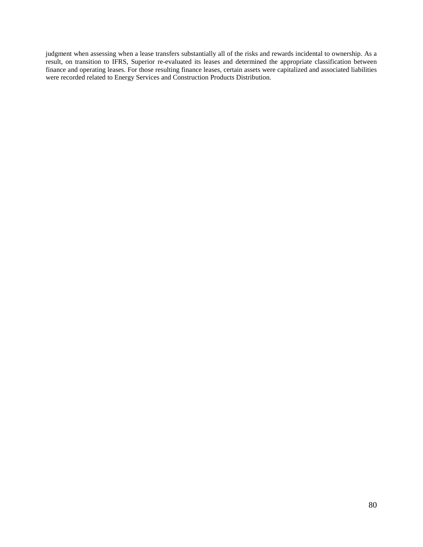judgment when assessing when a lease transfers substantially all of the risks and rewards incidental to ownership. As a result, on transition to IFRS, Superior re-evaluated its leases and determined the appropriate classification between finance and operating leases. For those resulting finance leases, certain assets were capitalized and associated liabilities were recorded related to Energy Services and Construction Products Distribution.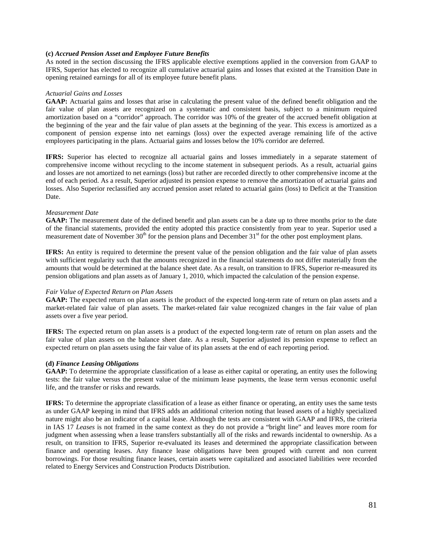# **(c)** *Accrued Pension Asset and Employee Future Benefits*

As noted in the section discussing the IFRS applicable elective exemptions applied in the conversion from GAAP to IFRS, Superior has elected to recognize all cumulative actuarial gains and losses that existed at the Transition Date in opening retained earnings for all of its employee future benefit plans.

### *Actuarial Gains and Losses*

**GAAP:** Actuarial gains and losses that arise in calculating the present value of the defined benefit obligation and the fair value of plan assets are recognized on a systematic and consistent basis, subject to a minimum required amortization based on a "corridor" approach. The corridor was 10% of the greater of the accrued benefit obligation at the beginning of the year and the fair value of plan assets at the beginning of the year. This excess is amortized as a component of pension expense into net earnings (loss) over the expected average remaining life of the active employees participating in the plans. Actuarial gains and losses below the 10% corridor are deferred.

**IFRS:** Superior has elected to recognize all actuarial gains and losses immediately in a separate statement of comprehensive income without recycling to the income statement in subsequent periods. As a result, actuarial gains and losses are not amortized to net earnings (loss) but rather are recorded directly to other comprehensive income at the end of each period. As a result, Superior adjusted its pension expense to remove the amortization of actuarial gains and losses. Also Superior reclassified any accrued pension asset related to actuarial gains (loss) to Deficit at the Transition Date.

# *Measurement Date*

**GAAP:** The measurement date of the defined benefit and plan assets can be a date up to three months prior to the date of the financial statements, provided the entity adopted this practice consistently from year to year. Superior used a measurement date of November 30<sup>th</sup> for the pension plans and December 31<sup>st</sup> for the other post employment plans.

**IFRS:** An entity is required to determine the present value of the pension obligation and the fair value of plan assets with sufficient regularity such that the amounts recognized in the financial statements do not differ materially from the amounts that would be determined at the balance sheet date. As a result, on transition to IFRS, Superior re-measured its pension obligations and plan assets as of January 1, 2010, which impacted the calculation of the pension expense.

### *Fair Value of Expected Return on Plan Assets*

**GAAP:** The expected return on plan assets is the product of the expected long-term rate of return on plan assets and a market-related fair value of plan assets. The market-related fair value recognized changes in the fair value of plan assets over a five year period.

**IFRS:** The expected return on plan assets is a product of the expected long-term rate of return on plan assets and the fair value of plan assets on the balance sheet date. As a result, Superior adjusted its pension expense to reflect an expected return on plan assets using the fair value of its plan assets at the end of each reporting period.

### **(d)** *Finance Leasing Obligations*

**GAAP:** To determine the appropriate classification of a lease as either capital or operating, an entity uses the following tests: the fair value versus the present value of the minimum lease payments, the lease term versus economic useful life, and the transfer or risks and rewards.

**IFRS:** To determine the appropriate classification of a lease as either finance or operating, an entity uses the same tests as under GAAP keeping in mind that IFRS adds an additional criterion noting that leased assets of a highly specialized nature might also be an indicator of a capital lease. Although the tests are consistent with GAAP and IFRS, the criteria in IAS 17 *Leases* is not framed in the same context as they do not provide a "bright line" and leaves more room for judgment when assessing when a lease transfers substantially all of the risks and rewards incidental to ownership. As a result, on transition to IFRS, Superior re-evaluated its leases and determined the appropriate classification between finance and operating leases. Any finance lease obligations have been grouped with current and non current borrowings. For those resulting finance leases, certain assets were capitalized and associated liabilities were recorded related to Energy Services and Construction Products Distribution.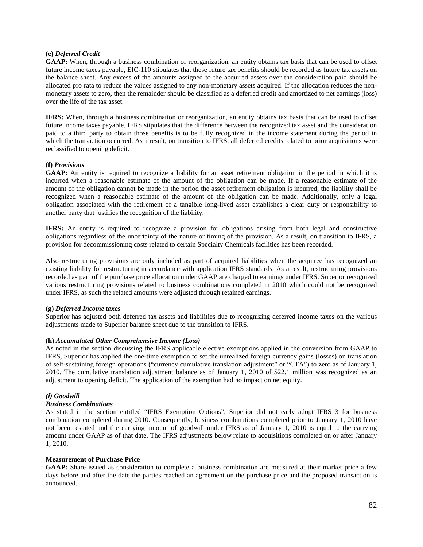### **(e)** *Deferred Credit*

**GAAP:** When, through a business combination or reorganization, an entity obtains tax basis that can be used to offset future income taxes payable, EIC-110 stipulates that these future tax benefits should be recorded as future tax assets on the balance sheet. Any excess of the amounts assigned to the acquired assets over the consideration paid should be allocated pro rata to reduce the values assigned to any non-monetary assets acquired. If the allocation reduces the nonmonetary assets to zero, then the remainder should be classified as a deferred credit and amortized to net earnings (loss) over the life of the tax asset.

**IFRS:** When, through a business combination or reorganization, an entity obtains tax basis that can be used to offset future income taxes payable, IFRS stipulates that the difference between the recognized tax asset and the consideration paid to a third party to obtain those benefits is to be fully recognized in the income statement during the period in which the transaction occurred. As a result, on transition to IFRS, all deferred credits related to prior acquisitions were reclassified to opening deficit.

# **(f)** *Provisions*

**GAAP:** An entity is required to recognize a liability for an asset retirement obligation in the period in which it is incurred when a reasonable estimate of the amount of the obligation can be made. If a reasonable estimate of the amount of the obligation cannot be made in the period the asset retirement obligation is incurred, the liability shall be recognized when a reasonable estimate of the amount of the obligation can be made. Additionally, only a legal obligation associated with the retirement of a tangible long-lived asset establishes a clear duty or responsibility to another party that justifies the recognition of the liability.

**IFRS:** An entity is required to recognize a provision for obligations arising from both legal and constructive obligations regardless of the uncertainty of the nature or timing of the provision. As a result, on transition to IFRS, a provision for decommissioning costs related to certain Specialty Chemicals facilities has been recorded.

Also restructuring provisions are only included as part of acquired liabilities when the acquiree has recognized an existing liability for restructuring in accordance with application IFRS standards. As a result, restructuring provisions recorded as part of the purchase price allocation under GAAP are charged to earnings under IFRS. Superior recognized various restructuring provisions related to business combinations completed in 2010 which could not be recognized under IFRS, as such the related amounts were adjusted through retained earnings.

# **(g)** *Deferred Income taxes*

Superior has adjusted both deferred tax assets and liabilities due to recognizing deferred income taxes on the various adjustments made to Superior balance sheet due to the transition to IFRS.

### **(h)** *Accumulated Other Comprehensive Income (Loss)*

As noted in the section discussing the IFRS applicable elective exemptions applied in the conversion from GAAP to IFRS, Superior has applied the one-time exemption to set the unrealized foreign currency gains (losses) on translation of self-sustaining foreign operations ("currency cumulative translation adjustment" or "CTA") to zero as of January 1, 2010. The cumulative translation adjustment balance as of January 1, 2010 of \$22.1 million was recognized as an adjustment to opening deficit. The application of the exemption had no impact on net equity.

### *(i) Goodwill*

# *Business Combinations*

As stated in the section entitled "IFRS Exemption Options", Superior did not early adopt IFRS 3 for business combination completed during 2010. Consequently, business combinations completed prior to January 1, 2010 have not been restated and the carrying amount of goodwill under IFRS as of January 1, 2010 is equal to the carrying amount under GAAP as of that date. The IFRS adjustments below relate to acquisitions completed on or after January 1, 2010.

# **Measurement of Purchase Price**

GAAP: Share issued as consideration to complete a business combination are measured at their market price a few days before and after the date the parties reached an agreement on the purchase price and the proposed transaction is announced.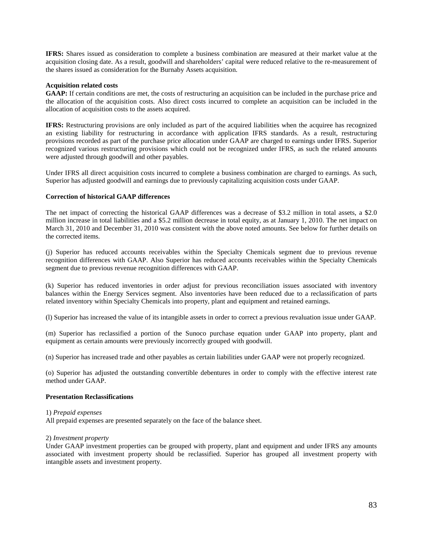**IFRS:** Shares issued as consideration to complete a business combination are measured at their market value at the acquisition closing date. As a result, goodwill and shareholders' capital were reduced relative to the re-measurement of the shares issued as consideration for the Burnaby Assets acquisition.

# **Acquisition related costs**

**GAAP:** If certain conditions are met, the costs of restructuring an acquisition can be included in the purchase price and the allocation of the acquisition costs. Also direct costs incurred to complete an acquisition can be included in the allocation of acquisition costs to the assets acquired.

**IFRS:** Restructuring provisions are only included as part of the acquired liabilities when the acquiree has recognized an existing liability for restructuring in accordance with application IFRS standards. As a result, restructuring provisions recorded as part of the purchase price allocation under GAAP are charged to earnings under IFRS. Superior recognized various restructuring provisions which could not be recognized under IFRS, as such the related amounts were adjusted through goodwill and other payables.

Under IFRS all direct acquisition costs incurred to complete a business combination are charged to earnings. As such, Superior has adjusted goodwill and earnings due to previously capitalizing acquisition costs under GAAP.

# **Correction of historical GAAP differences**

The net impact of correcting the historical GAAP differences was a decrease of \$3.2 million in total assets, a \$2.0 million increase in total liabilities and a \$5.2 million decrease in total equity, as at January 1, 2010. The net impact on March 31, 2010 and December 31, 2010 was consistent with the above noted amounts. See below for further details on the corrected items.

(j) Superior has reduced accounts receivables within the Specialty Chemicals segment due to previous revenue recognition differences with GAAP. Also Superior has reduced accounts receivables within the Specialty Chemicals segment due to previous revenue recognition differences with GAAP.

(k) Superior has reduced inventories in order adjust for previous reconciliation issues associated with inventory balances within the Energy Services segment. Also inventories have been reduced due to a reclassification of parts related inventory within Specialty Chemicals into property, plant and equipment and retained earnings.

(l) Superior has increased the value of its intangible assets in order to correct a previous revaluation issue under GAAP.

(m) Superior has reclassified a portion of the Sunoco purchase equation under GAAP into property, plant and equipment as certain amounts were previously incorrectly grouped with goodwill.

(n) Superior has increased trade and other payables as certain liabilities under GAAP were not properly recognized.

(o) Superior has adjusted the outstanding convertible debentures in order to comply with the effective interest rate method under GAAP.

### **Presentation Reclassifications**

### 1) *Prepaid expenses*

All prepaid expenses are presented separately on the face of the balance sheet.

### 2) *Investment property*

Under GAAP investment properties can be grouped with property, plant and equipment and under IFRS any amounts associated with investment property should be reclassified. Superior has grouped all investment property with intangible assets and investment property.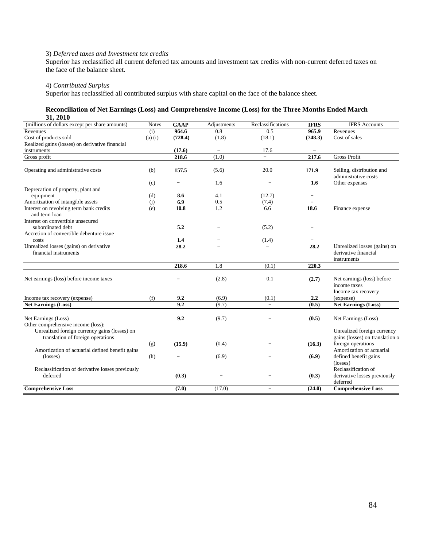# 3) *Deferred taxes and Investment tax credits*

Superior has reclassified all current deferred tax amounts and investment tax credits with non-current deferred taxes on the face of the balance sheet.

# 4) *Contributed Surplus*

Superior has reclassified all contributed surplus with share capital on the face of the balance sheet.

### **Reconciliation of Net Earnings (Loss) and Comprehensive Income (Loss) for the Three Months Ended March 31, 2010**

| (millions of dollars except per share amounts)   | <b>Notes</b> | <b>GAAP</b>       | Adjustments | Reclassifications | <b>IFRS</b>              | <b>IFRS</b> Accounts             |
|--------------------------------------------------|--------------|-------------------|-------------|-------------------|--------------------------|----------------------------------|
| Revenues                                         | (i)          | 964.6             | 0.8         | 0.5               | 965.9                    | Revenues                         |
| Cost of products sold                            | $(a)$ $(i)$  | (728.4)           | (1.8)       | (18.1)            | (748.3)                  | Cost of sales                    |
| Realized gains (losses) on derivative financial  |              |                   |             |                   |                          |                                  |
| instruments                                      |              | (17.6)            |             | 17.6              |                          |                                  |
| Gross profit                                     |              | 218.6             | (1.0)       | $\equiv$          | 217.6                    | <b>Gross Profit</b>              |
| Operating and administrative costs               | (b)          | 157.5             | (5.6)       | 20.0              | 171.9                    | Selling, distribution and        |
|                                                  |              |                   |             |                   |                          | administrative costs             |
| Deprecation of property, plant and               | (c)          | $\qquad \qquad -$ | 1.6         | $\qquad \qquad -$ | 1.6                      | Other expenses                   |
| equipment                                        | (d)          | 8.6               | 4.1         | (12.7)            | $\overline{\phantom{m}}$ |                                  |
| Amortization of intangible assets                | (i)          | 6.9               | 0.5         | (7.4)             |                          |                                  |
| Interest on revolving term bank credits          | (e)          | 10.8              | 1.2         | 6.6               | 18.6                     | Finance expense                  |
| and term loan                                    |              |                   |             |                   |                          |                                  |
| Interest on convertible unsecured                |              |                   |             |                   |                          |                                  |
| subordinated debt                                |              | 5.2               |             | (5.2)             |                          |                                  |
| Accretion of convertible debenture issue         |              |                   |             |                   |                          |                                  |
| costs                                            |              | 1.4               |             | (1.4)             |                          |                                  |
| Unrealized losses (gains) on derivative          |              | 28.2              |             |                   | 28.2                     | Unrealized losses (gains) on     |
| financial instruments                            |              |                   |             |                   |                          | derivative financial             |
|                                                  |              |                   |             |                   |                          | instruments                      |
|                                                  |              | 218.6             | 1.8         | (0.1)             | 220.3                    |                                  |
|                                                  |              |                   |             |                   |                          |                                  |
| Net earnings (loss) before income taxes          |              |                   | (2.8)       | 0.1               | (2.7)                    | Net earnings (loss) before       |
|                                                  |              |                   |             |                   |                          | income taxes                     |
|                                                  |              |                   |             |                   |                          | Income tax recovery              |
| Income tax recovery (expense)                    | (f)          | 9.2               | (6.9)       | (0.1)             | 2.2                      | (expense)                        |
| <b>Net Earnings (Loss)</b>                       |              | 9.2               | (9.7)       | $\equiv$          | (0.5)                    | <b>Net Earnings (Loss)</b>       |
| Net Earnings (Loss)                              |              | 9.2               | (9.7)       |                   | (0.5)                    | Net Earnings (Loss)              |
| Other comprehensive income (loss):               |              |                   |             |                   |                          |                                  |
| Unrealized foreign currency gains (losses) on    |              |                   |             |                   |                          | Unrealized foreign currency      |
| translation of foreign operations                |              |                   |             |                   |                          | gains (losses) on translation of |
|                                                  |              | (15.9)            | (0.4)       |                   | (16.3)                   | foreign operations               |
| Amortization of actuarial defined benefit gains  | (g)          |                   |             |                   |                          | Amortization of actuarial        |
|                                                  |              |                   |             |                   |                          |                                  |
| (losses)                                         | (h)          |                   | (6.9)       |                   | (6.9)                    | defined benefit gains            |
|                                                  |              |                   |             |                   |                          | $(\text{losses})$                |
| Reclassification of derivative losses previously |              |                   |             |                   |                          | Reclassification of              |
| deferred                                         |              | (0.3)             |             |                   | (0.3)                    | derivative losses previously     |
|                                                  |              |                   |             |                   |                          | deferred                         |
| <b>Comprehensive Loss</b>                        |              | (7.0)             | (17.0)      |                   | (24.0)                   | <b>Comprehensive Loss</b>        |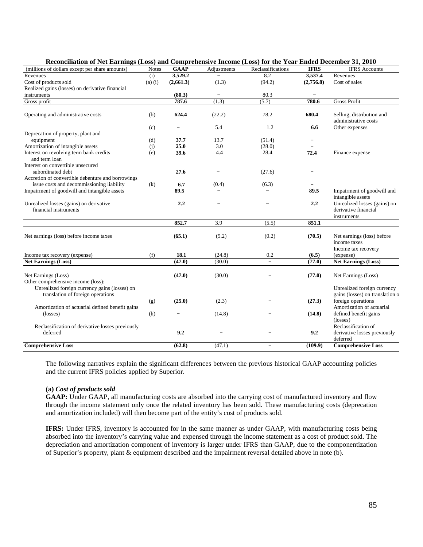| Reconcination of two earnings (E0ss) and Comprendisive income (E0ss) for the Fear Ended December 91, 2010<br>(millions of dollars except per share amounts) | <b>Notes</b> | <b>GAAP</b> | Adjustments              | Reclassifications        | <b>IFRS</b> | <b>IFRS</b> Accounts                                              |
|-------------------------------------------------------------------------------------------------------------------------------------------------------------|--------------|-------------|--------------------------|--------------------------|-------------|-------------------------------------------------------------------|
| Revenues                                                                                                                                                    | (i)          | 3,529.2     |                          | 8.2                      | 3,537.4     | Revenues                                                          |
| Cost of products sold                                                                                                                                       | $(a)$ $(i)$  | (2,661.3)   | (1.3)                    | (94.2)                   | (2,756.8)   | Cost of sales                                                     |
| Realized gains (losses) on derivative financial                                                                                                             |              |             |                          |                          |             |                                                                   |
| instruments                                                                                                                                                 |              | (80.3)      |                          | 80.3                     |             |                                                                   |
| Gross profit                                                                                                                                                |              | 787.6       | (1.3)                    | (5.7)                    | 780.6       | <b>Gross Profit</b>                                               |
| Operating and administrative costs                                                                                                                          | (b)          | 624.4       | (22.2)                   | 78.2                     | 680.4       | Selling, distribution and<br>administrative costs                 |
|                                                                                                                                                             | (c)          | -           | 5.4                      | 1.2                      | 6.6         | Other expenses                                                    |
| Deprecation of property, plant and                                                                                                                          |              |             |                          |                          |             |                                                                   |
| equipment                                                                                                                                                   | (d)          | 37.7        | 13.7                     | (51.4)                   |             |                                                                   |
| Amortization of intangible assets                                                                                                                           | (i)          | 25.0        | 3.0                      | (28.0)                   | $\equiv$    |                                                                   |
| Interest on revolving term bank credits<br>and term loan                                                                                                    | (e)          | 39.6        | 4.4                      | 28.4                     | 72.4        | Finance expense                                                   |
| Interest on convertible unsecured                                                                                                                           |              |             |                          |                          |             |                                                                   |
| subordinated debt                                                                                                                                           |              | 27.6        |                          | (27.6)                   |             |                                                                   |
| Accretion of convertible debenture and borrowings                                                                                                           |              |             |                          |                          |             |                                                                   |
| issue costs and decommissioning liability                                                                                                                   | (k)          | 6.7         | (0.4)                    | (6.3)                    |             |                                                                   |
| Impairment of goodwill and intangible assets                                                                                                                |              | 89.5        |                          |                          | 89.5        | Impairment of goodwill and                                        |
|                                                                                                                                                             |              |             |                          |                          |             | intangible assets                                                 |
| Unrealized losses (gains) on derivative                                                                                                                     |              | 2,2         | $\overline{\phantom{0}}$ | $\overline{\phantom{0}}$ | 2.2         | Unrealized losses (gains) on                                      |
| financial instruments                                                                                                                                       |              |             |                          |                          |             | derivative financial<br>instruments                               |
|                                                                                                                                                             |              | 852.7       | 3.9                      | (5.5)                    | 851.1       |                                                                   |
|                                                                                                                                                             |              |             |                          |                          |             |                                                                   |
| Net earnings (loss) before income taxes                                                                                                                     |              | (65.1)      | (5.2)                    | (0.2)                    | (70.5)      | Net earnings (loss) before<br>income taxes<br>Income tax recovery |
| Income tax recovery (expense)                                                                                                                               | (f)          | 18.1        | (24.8)                   | 0.2                      | (6.5)       | (expense)                                                         |
| <b>Net Earnings (Loss)</b>                                                                                                                                  |              | (47.0)      | (30.0)                   | $\equiv$                 | (77.0)      | <b>Net Earnings (Loss)</b>                                        |
|                                                                                                                                                             |              |             |                          |                          |             |                                                                   |
| Net Earnings (Loss)                                                                                                                                         |              | (47.0)      | (30.0)                   |                          | (77.0)      | Net Earnings (Loss)                                               |
| Other comprehensive income (loss):                                                                                                                          |              |             |                          |                          |             |                                                                   |
| Unrealized foreign currency gains (losses) on                                                                                                               |              |             |                          |                          |             | Unrealized foreign currency                                       |
| translation of foreign operations                                                                                                                           |              |             |                          |                          |             | gains (losses) on translation o                                   |
|                                                                                                                                                             | (g)          | (25.0)      | (2.3)                    |                          | (27.3)      | foreign operations                                                |
| Amortization of actuarial defined benefit gains                                                                                                             |              |             |                          |                          |             | Amortization of actuarial                                         |
| (losses)                                                                                                                                                    | (h)          |             | (14.8)                   |                          | (14.8)      | defined benefit gains                                             |
|                                                                                                                                                             |              |             |                          |                          |             | $(\text{losses})$                                                 |
| Reclassification of derivative losses previously                                                                                                            |              |             |                          |                          |             | Reclassification of                                               |
| deferred                                                                                                                                                    |              | 9.2         |                          |                          | 9.2         | derivative losses previously                                      |
|                                                                                                                                                             |              |             |                          |                          |             | deferred                                                          |
|                                                                                                                                                             |              | (62.8)      | (47.1)                   | $\equiv$                 | (109.9)     |                                                                   |
| <b>Comprehensive Loss</b>                                                                                                                                   |              |             |                          |                          |             | <b>Comprehensive Loss</b>                                         |

|  | Reconciliation of Net Earnings (Loss) and Comprehensive Income (Loss) for the Year Ended December 31, 2010 |
|--|------------------------------------------------------------------------------------------------------------|
|--|------------------------------------------------------------------------------------------------------------|

The following narratives explain the significant differences between the previous historical GAAP accounting policies and the current IFRS policies applied by Superior.

### **(a)** *Cost of products sold*

GAAP: Under GAAP, all manufacturing costs are absorbed into the carrying cost of manufactured inventory and flow through the income statement only once the related inventory has been sold. These manufacturing costs (deprecation and amortization included) will then become part of the entity's cost of products sold.

**IFRS:** Under IFRS, inventory is accounted for in the same manner as under GAAP, with manufacturing costs being absorbed into the inventory's carrying value and expensed through the income statement as a cost of product sold. The depreciation and amortization component of inventory is larger under IFRS than GAAP, due to the componentization of Superior's property, plant & equipment described and the impairment reversal detailed above in note (b).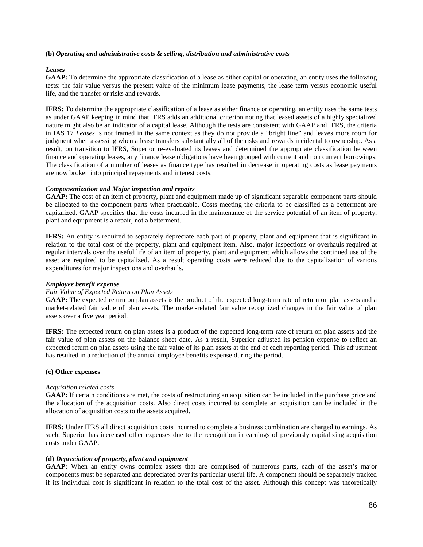### **(b)** *Operating and administrative costs & selling, distribution and administrative costs*

# *Leases*

**GAAP:** To determine the appropriate classification of a lease as either capital or operating, an entity uses the following tests: the fair value versus the present value of the minimum lease payments, the lease term versus economic useful life, and the transfer or risks and rewards.

**IFRS:** To determine the appropriate classification of a lease as either finance or operating, an entity uses the same tests as under GAAP keeping in mind that IFRS adds an additional criterion noting that leased assets of a highly specialized nature might also be an indicator of a capital lease. Although the tests are consistent with GAAP and IFRS, the criteria in IAS 17 *Leases* is not framed in the same context as they do not provide a "bright line" and leaves more room for judgment when assessing when a lease transfers substantially all of the risks and rewards incidental to ownership. As a result, on transition to IFRS, Superior re-evaluated its leases and determined the appropriate classification between finance and operating leases, any finance lease obligations have been grouped with current and non current borrowings. The classification of a number of leases as finance type has resulted in decrease in operating costs as lease payments are now broken into principal repayments and interest costs.

### *Componentization and Major inspection and repairs*

**GAAP:** The cost of an item of property, plant and equipment made up of significant separable component parts should be allocated to the component parts when practicable. Costs meeting the criteria to be classified as a betterment are capitalized. GAAP specifies that the costs incurred in the maintenance of the service potential of an item of property, plant and equipment is a repair, not a betterment.

**IFRS:** An entity is required to separately depreciate each part of property, plant and equipment that is significant in relation to the total cost of the property, plant and equipment item. Also, major inspections or overhauls required at regular intervals over the useful life of an item of property, plant and equipment which allows the continued use of the asset are required to be capitalized. As a result operating costs were reduced due to the capitalization of various expenditures for major inspections and overhauls.

### *Employee benefit expense*

### *Fair Value of Expected Return on Plan Assets*

**GAAP:** The expected return on plan assets is the product of the expected long-term rate of return on plan assets and a market-related fair value of plan assets. The market-related fair value recognized changes in the fair value of plan assets over a five year period.

**IFRS:** The expected return on plan assets is a product of the expected long-term rate of return on plan assets and the fair value of plan assets on the balance sheet date. As a result, Superior adjusted its pension expense to reflect an expected return on plan assets using the fair value of its plan assets at the end of each reporting period. This adjustment has resulted in a reduction of the annual employee benefits expense during the period.

### **(c) Other expenses**

### *Acquisition related costs*

GAAP: If certain conditions are met, the costs of restructuring an acquisition can be included in the purchase price and the allocation of the acquisition costs. Also direct costs incurred to complete an acquisition can be included in the allocation of acquisition costs to the assets acquired.

**IFRS:** Under IFRS all direct acquisition costs incurred to complete a business combination are charged to earnings. As such, Superior has increased other expenses due to the recognition in earnings of previously capitalizing acquisition costs under GAAP.

### **(d)** *Depreciation of property, plant and equipment*

GAAP: When an entity owns complex assets that are comprised of numerous parts, each of the asset's major components must be separated and depreciated over its particular useful life. A component should be separately tracked if its individual cost is significant in relation to the total cost of the asset. Although this concept was theoretically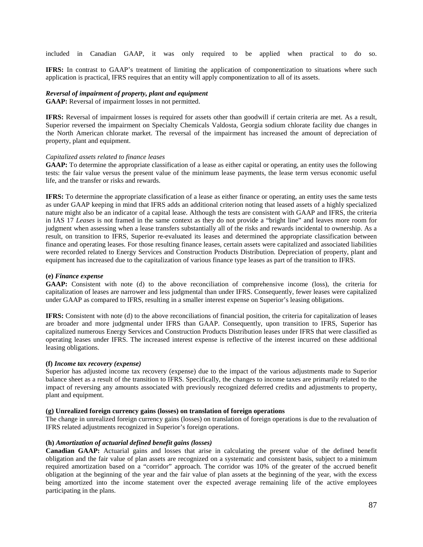included in Canadian GAAP, it was only required to be applied when practical to do so.

**IFRS:** In contrast to GAAP's treatment of limiting the application of componentization to situations where such application is practical, IFRS requires that an entity will apply componentization to all of its assets.

### *Reversal of impairment of property, plant and equipment*

**GAAP:** Reversal of impairment losses in not permitted.

IFRS: Reversal of impairment losses is required for assets other than goodwill if certain criteria are met. As a result, Superior reversed the impairment on Specialty Chemicals Valdosta, Georgia sodium chlorate facility due changes in the North American chlorate market. The reversal of the impairment has increased the amount of depreciation of property, plant and equipment.

### *Capitalized assets related to finance leases*

**GAAP:** To determine the appropriate classification of a lease as either capital or operating, an entity uses the following tests: the fair value versus the present value of the minimum lease payments, the lease term versus economic useful life, and the transfer or risks and rewards.

**IFRS:** To determine the appropriate classification of a lease as either finance or operating, an entity uses the same tests as under GAAP keeping in mind that IFRS adds an additional criterion noting that leased assets of a highly specialized nature might also be an indicator of a capital lease. Although the tests are consistent with GAAP and IFRS, the criteria in IAS 17 *Leases* is not framed in the same context as they do not provide a "bright line" and leaves more room for judgment when assessing when a lease transfers substantially all of the risks and rewards incidental to ownership. As a result, on transition to IFRS, Superior re-evaluated its leases and determined the appropriate classification between finance and operating leases. For those resulting finance leases, certain assets were capitalized and associated liabilities were recorded related to Energy Services and Construction Products Distribution. Depreciation of property, plant and equipment has increased due to the capitalization of various finance type leases as part of the transition to IFRS.

### **(e)** *Finance expense*

**GAAP:** Consistent with note (d) to the above reconciliation of comprehensive income (loss), the criteria for capitalization of leases are narrower and less judgmental than under IFRS. Consequently, fewer leases were capitalized under GAAP as compared to IFRS, resulting in a smaller interest expense on Superior's leasing obligations.

**IFRS:** Consistent with note (d) to the above reconciliations of financial position, the criteria for capitalization of leases are broader and more judgmental under IFRS than GAAP. Consequently, upon transition to IFRS, Superior has capitalized numerous Energy Services and Construction Products Distribution leases under IFRS that were classified as operating leases under IFRS. The increased interest expense is reflective of the interest incurred on these additional leasing obligations.

### **(f)** *Income tax recovery (expense)*

Superior has adjusted income tax recovery (expense) due to the impact of the various adjustments made to Superior balance sheet as a result of the transition to IFRS. Specifically, the changes to income taxes are primarily related to the impact of reversing any amounts associated with previously recognized deferred credits and adjustments to property, plant and equipment.

### **(g) Unrealized foreign currency gains (losses) on translation of foreign operations**

The change in unrealized foreign currency gains (losses) on translation of foreign operations is due to the revaluation of IFRS related adjustments recognized in Superior's foreign operations.

# **(h)** *Amortization of actuarial defined benefit gains (losses)*

**Canadian GAAP:** Actuarial gains and losses that arise in calculating the present value of the defined benefit obligation and the fair value of plan assets are recognized on a systematic and consistent basis, subject to a minimum required amortization based on a "corridor" approach. The corridor was 10% of the greater of the accrued benefit obligation at the beginning of the year and the fair value of plan assets at the beginning of the year, with the excess being amortized into the income statement over the expected average remaining life of the active employees participating in the plans.